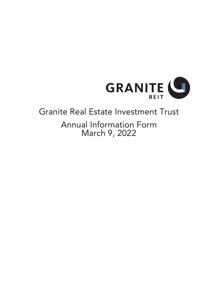

# Granite Real Estate Investment Trust

Annual Information Form March 9, 2022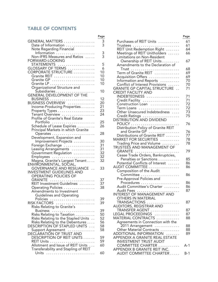# TABLE OF CONTENTS

|                                                                   | Page     |
|-------------------------------------------------------------------|----------|
| GENERAL MATTERS                                                   | 3        |
| Date of Information                                               | 3        |
| Note Regarding Financial                                          |          |
| Information<br>Non-IFRS Measures and Ratios                       | 3<br>3   |
| FORWARD-LOOKING                                                   |          |
| <b>STATEMENTS</b><br>.                                            | 5        |
| GLOSSARY OF TERMS                                                 | 6        |
| CORPORATE STRUCTURE                                               | 10       |
|                                                                   | 10       |
| Granite GP                                                        | 10<br>10 |
| Organizational Structure and                                      |          |
|                                                                   | 10       |
| Subsidiaries<br>GENERAL DEVELOPMENT OF THE                        |          |
| BUSINESS<br>BUSINESS OVERVIEW                                     | 12       |
|                                                                   | 20       |
| Income-Producing Properties                                       | 21<br>23 |
| Property Types<br>Tenant Overview                                 | 24       |
| Profile of Granite's Real Estate                                  |          |
| Portfolio                                                         | 25       |
| Schedule of Lease Expiries                                        | 26       |
| Principal Markets in which Granite                                |          |
| Operates<br>Development, Expansion and                            | 28       |
| Improvement Projects                                              | 30       |
|                                                                   | 31       |
| Foreign Exchange<br>Leasing Arrangements                          | 31       |
| Government Regulation                                             | 32       |
| Employees                                                         | 32       |
| Magna, Granite's Largest Tenant<br>ENVIRONMENTAL, SOCIAL,         | 32       |
| <b>GOVERNANCE AND RESILIANCE</b>                                  | 33       |
| <b>INVESTMENT GUIDELINES AND</b>                                  |          |
| OPERATING POLICIES OF                                             |          |
| GRANITE<br>.<br>$\ldots$                                          | 37       |
| REIT Investment Guidelines                                        | 37       |
| Operating Policies<br>Amendments to Investment                    | 38       |
| <b>Guidelines and Operating</b>                                   |          |
| Policies                                                          | 39       |
| RISK FACTORS                                                      | 39       |
| Risks Relating to Granite's                                       |          |
| Business                                                          | 39       |
| Risks Relating to Taxation<br>Risks Relating to the Stapled Units | 50<br>52 |
|                                                                   | 56       |
| Risks Relating to the Debentures<br>DESCRIPTION OF STAPLED UNITS  | 58       |
| Support Agreement<br>DECLARATION OF TRUST AND                     | 58       |
|                                                                   |          |
| DESCRIPTION OF REIT UNITS                                         | 59<br>59 |
| REIT Units<br>Allotment and Issue of REIT Units                   | 60       |
| Transferability and Stapling of REIT                              |          |
|                                                                   | 60       |
|                                                                   |          |

|                                              | Page     |
|----------------------------------------------|----------|
| Purchases of REIT Units                      | 61       |
|                                              | 61       |
| REIT Unit Redemption Right                   | 64       |
| Meetings of REIT Unitholders                 | 66       |
| Limitations on Non-Resident                  |          |
| Ownership of REIT Units                      | 67       |
| Amendments to the Declaration of             |          |
| Trust<br>Term of Granite REIT                | 68<br>69 |
| Acquisition Offers                           | 69       |
| Information and Reports                      | 70       |
| Conflict of Interest Provisions              | 70       |
| <b>GRANITE GP CAPITAL STRUCTURE </b>         | 71       |
| <b>CREDIT FACILITY AND</b>                   |          |
| INDEBTEDNESS                                 | 71       |
| Credit Facility                              | 71       |
| Construction Loan                            | 72       |
| Term Loans                                   | 72       |
| Other Unsecured Indebtedness                 | 73       |
| Credit Ratings                               | 75       |
| DISTRIBUTION AND DIVIDEND                    |          |
| Distribution Policy of Granite REIT          | 76       |
| and Granite GP                               | 76       |
| Distributions of Granite REIT                | 77       |
| MARKET FOR SECURITIES                        | 78       |
| Trading Price and Volume                     | 78       |
| TRUSTEES AND MANAGEMENT OF                   |          |
| GRANITE                                      | 79       |
| Cease Trade Orders, Bankruptcies,            |          |
| Penalties or Sanctions                       | 85       |
| Potential Conflicts of Interest              | 86       |
| AUDIT COMMITTEE                              | 86       |
| Composition of the Audit                     |          |
| Committee                                    | 86       |
| Pre-Approval Policies and                    | 86       |
| Audit Committee's Charter                    | 86       |
| Audit Fees                                   | 87       |
| INTEREST OF MANAGEMENT AND                   |          |
| <b>OTHERS IN MATERIAL</b>                    |          |
| TRANSACTIONS<br>.                            | 87       |
| AUDITORS, REGISTRAR AND                      |          |
| TRANSFER AGENT                               | 87       |
| LEGAL PROCEEDINGS                            | 87       |
| MATERIAL CONTRACTS                           | 88       |
| Agreements in Connection with the            | 88       |
| 2011 Arrangement<br>Other Material Contracts | 88       |
| <b>ADDITIONAL INFORMATION</b><br>.           | 89       |
| APPENDIX A GRANITE REAL ESTATE               |          |
| <b>INVESTMENT TRUST AUDIT</b>                |          |
| COMMITTEE CHARTER                            | $A-1$    |
| APPENDIX B GRANITE REIT INC.                 |          |
| AUDIT COMMITTEE CHARTER                      | $B-1$    |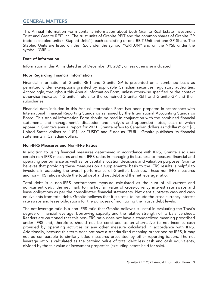# <span id="page-2-0"></span>GENERAL MATTERS

This Annual Information Form contains information about both Granite Real Estate Investment Trust and Granite REIT Inc. The trust units of Granite REIT and the common shares of Granite GP trade as stapled units (''Stapled Units''), each consisting of one REIT Unit and one GP Share. The Stapled Units are listed on the TSX under the symbol ''GRT.UN'' and on the NYSE under the symbol ''GRP.U''.

# Date of Information

Information in this AIF is dated as of December 31, 2021, unless otherwise indicated.

# Note Regarding Financial Information

Financial information of Granite REIT and Granite GP is presented on a combined basis as permitted under exemptions granted by applicable Canadian securities regulatory authorities. Accordingly, throughout this Annual Information Form, unless otherwise specified or the context otherwise indicates, ''Granite'' refers to the combined Granite REIT and Granite GP and their subsidiaries.

Financial data included in this Annual Information Form has been prepared in accordance with International Financial Reporting Standards as issued by the International Accounting Standards Board. This Annual Information Form should be read in conjunction with the combined financial statements and management's discussion and analysis and appended notes, each of which appear in Granite's annual report for 2021. Granite refers to Canadian dollars as "dollars" or "\$", United States dollars as "US\$" or ''USD'' and Euros as ''EUR''. Granite publishes its financial statements in Canadian dollars.

# Non-IFRS Measures and Non-IFRS Ratios

In addition to using financial measures determined in accordance with IFRS, Granite also uses certain non-IFRS measures and non-IFRS ratios in managing its business to measure financial and operating performance as well as for capital allocation decisions and valuation purposes. Granite believes that providing these measures on a supplemental basis to the IFRS results is helpful to investors in assessing the overall performance of Granite's business. These non-IFRS measures and non-IFRS ratios include the total debt and net debt and the net leverage ratio.

Total debt is a non-IFRS performance measure calculated as the sum of all current and non-current debt, the net mark to market fair value of cross-currency interest rate swaps and lease obligations as per the consolidated financial statements. Net debt subtracts cash and cash equivalents from total debt. Granite believes that it is useful to include the cross-currency interest rate swaps and lease obligations for the purposes of monitoring the Trust's debt levels.

The net leverage ratio is a non-IFRS ratio that Granite believes is useful in evaluating the Trust's degree of financial leverage, borrowing capacity and the relative strength of its balance sheet. Readers are cautioned that this non-IFRS ratio does not have a standardized meaning prescribed under IFRS and, therefore, should not be construed as an alternative to net income, cash provided by operating activities or any other measure calculated in accordance with IFRS. Additionally, because this term does not have a standardized meaning prescribed by IFRS, it may not be comparable to similarly titled measures presented by other reporting issuers. The net leverage ratio is calculated as the carrying value of total debt less cash and cash equivalents, divided by the fair value of investment properties (excluding assets held for sale).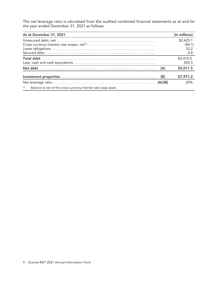The net leverage ratio is calculated from the audited combined financial statements as at and for the year ended December 31, 2021 as follows:

| As at December 31, 2021                                               |     | (in millions) |
|-----------------------------------------------------------------------|-----|---------------|
|                                                                       |     | \$2,425.1     |
|                                                                       |     | (44.1)        |
|                                                                       |     | 32.2          |
|                                                                       |     | 0.8           |
|                                                                       |     | \$2,414.0     |
|                                                                       |     | 402.5         |
|                                                                       | [A] | \$2,011.5     |
|                                                                       | [B] | \$7,971.2     |
|                                                                       |     | 25%           |
| (1)<br>Balance is net of the cross currency interest rate swap asset. |     |               |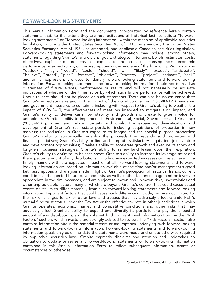# <span id="page-4-0"></span>FORWARD-LOOKING STATEMENTS

This Annual Information Form and the documents incorporated by reference herein contain statements that, to the extent they are not recitations of historical fact, constitute ''forwardlooking statements'' or ''forward looking information'' within the meaning of applicable securities legislation, including the United States Securities Act of 1933, as amended, the United States Securities Exchange Act of 1934, as amended, and applicable Canadian securities legislation. Forward-looking statements and forward-looking information may include, among others, statements regarding Granite's future plans, goals, strategies, intentions, beliefs, estimates, costs, objectives, capital structure, cost of capital, tenant base, tax consequences, economic performance or expectations, or the assumptions underlying any of the foregoing. Words such as ''outlook'', ''may'', ''would'', ''could'', ''should'', ''will'', ''likely'', ''expect'', ''anticipate'', ''believe'', ''intend'', ''plan'', ''forecast'', ''objective'', ''strategy'', ''project'', ''estimate'', ''seek'' and similar expressions are used to identify forward-looking statements and forward-looking information. Forward-looking statements and forward-looking information should not be read as guarantees of future events, performance or results and will not necessarily be accurate indications of whether or the times at or by which such future performance will be achieved. Undue reliance should not be placed on such statements. There can also be no assurance that: Granite's expectations regarding the impact of the novel coronavirus ("COVID-19") pandemic and government measures to contain it, including with respect to Granite's ability to weather the impact of COVID-19, the effectiveness of measures intended to mitigate such impact, and Granite's ability to deliver cash flow stability and growth and create long-term value for unitholders; Granite's ability to implement its Environmental, Social, Governance and Resilience ("ESG+R") program and related targets and goals, the expansion, diversification and development of Granite's real estate portfolio, including acquisitions of properties in new markets; the reduction in Granite's exposure to Magna and the special purpose properties; Granite's ability to strategically redeploy the proceeds from recently sold properties and financing initiatives; Granite's ability to find and integrate satisfactory acquisition, joint venture and development opportunities; Granite's ability to accelerate growth and execute its short- and long-term business strategies; Granite's ability to renew land leases upon their expiration; Granite's ability to optimize its balance sheet; Granite's ability to increase its leverage ratio; and the expected amount of any distributions, including any expected increases can be achieved in a timely manner, with the expected impact or at all. Forward-looking statements and forwardlooking information are based on information available at the time and/or management's good faith assumptions and analyses made in light of Granite's perception of historical trends, current conditions and expected future developments, as well as other factors management believes are appropriate in the circumstances, and are subject to known and unknown risks, uncertainties and other unpredictable factors, many of which are beyond Granite's control, that could cause actual events or results to differ materially from such forward-looking statements and forward-looking information. Important factors that could cause such differences include, but are not limited to: the risk of changes to tax or other laws and treaties that may adversely affect Granite REIT's mutual fund trust status under the Tax Act or the effective tax rate in other jurisdictions in which Granite operates; economic, market and competitive conditions and other risks that may adversely affect Granite's ability to expand and diversify its portfolio and pay the expected amount of any distributions; and the risks set forth in this Annual Information Form in the ''Risk Factors'' section, which investors are strongly advised to review. The ''Risk Factors'' section also contains information about the material factors or assumptions underlying such forward-looking statements and forward-looking information. Forward-looking statements and forward-looking information speak only as of the date the statements were made and unless otherwise required by applicable securities laws, Granite expressly disclaims any intention and undertakes no obligation to update or revise any forward-looking statements or forward-looking information contained in this Annual Information Form to reflect subsequent information, events or circumstances or otherwise.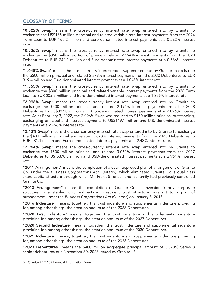# <span id="page-5-0"></span>GLOSSARY OF TERMS

"0.522% Swap" means the cross-currency interest rate swap entered into by Granite to exchange the US\$185 million principal and related variable rate interest payments from the 2024 Term Loan to EUR 168.2 million and Euro-denominated interest payments at a 0.522% interest rate.

"0.536% Swap" means the cross-currency interest rate swap entered into by Granite to exchange the \$350 million portion of principal related 2.194% interest payments from the 2028 Debentures to EUR 242.1 million and Euro-denominated interest payments at a 0.536% interest rate.

"1.045% Swap" means the cross-currency interest rate swap entered into by Granite to exchange the \$500 million principal and related 2.378% interest payments from the 2030 Debentures to EUR 319.4 million and Euro-denominated interest payments at a 1.045% interest rate.

"1.355% Swap" means the cross-currency interest rate swap entered into by Granite to exchange the \$300 million principal and related variable interest payments from the 2026 Term Loan to EUR 205.5 million and Euro-denominated interest payments at a 1.355% interest rate.

"2.096% Swap" means the cross-currency interest rate swap entered into by Granite to exchange the \$500 million principal and related 2.194% interest payments from the 2028 Debentures to US\$397.0 million and U.S.-denominated interest payments at a 2.096% interest rate. As at February 3, 2022, the 2.096% Swap was reduced to \$150 million principal outstanding, exchanging principal and interest payments to US\$119.1 million and U.S. denominated interest payments at a 2.096% interest rate.

"2.43% Swap" means the cross-currency interest rate swap entered into by Granite to exchange the \$400 million principal and related 3.873% interest payments from the 2023 Debentures to EUR 281.1 million and Euro-denominated interest payments at a 2.43% interest rate.

"2.964% Swap" means the cross-currency interest rate swap entered into by Granite to exchange the \$500 million principal and related 3.062% interest payments from the 2027 Debentures to US \$370.3 million and USD-denominated interest payments at a 2.964% interest rate.

"2011 Arrangement" means the completion of a court-approved plan of arrangement of Granite Co. under the *Business Corporations Act* (Ontario), which eliminated Granite Co.'s dual class share capital structure through which Mr. Frank Stronach and his family had previously controlled Granite Co.

"2013 Arrangement" means the completion of Granite Co.'s conversion from a corporate structure to a stapled unit real estate investment trust structure pursuant to a plan of arrangement under the *Business Corporations Act* (Québec) on January 3, 2013.

"2016 Indenture" means, together, the trust indenture and supplemental indenture providing for, among other things, the creation and issue of the 2023 Debentures.

"2020 First Indenture" means, together, the trust indenture and supplemental indenture providing for, among other things, the creation and issue of the 2027 Debentures.

"2020 Second Indenture" means, together, the trust indenture and supplemental indenture providing for, among other things, the creation and issue of the 2030 Debentures.

"2021 Indenture" means, together, the trust indenture and supplemental indenture providing for, among other things, the creation and issue of the 2028 Debentures.

"2023 Debentures" means the \$400 million aggregate principal amount of 3.873% Series 3 senior debentures due November 30, 2023 issued by Granite LP.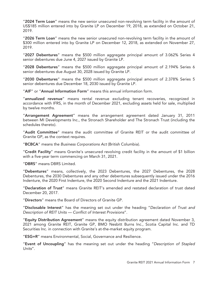"2024 Term Loan" means the new senior unsecured non-revolving term facility in the amount of US\$185 million entered into by Granite LP on December 19, 2018, as extended on October 21, 2019.

"2026 Term Loan" means the new senior unsecured non-revolving term facility in the amount of \$300 million entered into by Granite LP on December 12, 2018, as extended on November 27, 2019.

"2027 Debentures" means the \$500 million aggregate principal amount of 3.062% Series 4 senior debentures due June 4, 2027 issued by Granite LP.

"2028 Debentures" means the \$500 million aggregate principal amount of 2.194% Series 6 senior debentures due August 30, 2028 issued by Granite LP.

"2030 Debentures" means the \$500 million aggregate principal amount of 2.378% Series 5 senior debentures due December 18, 2030 issued by Granite LP.

"AIF" or "Annual Information Form" means this annual information form.

"annualized revenue" means rental revenue excluding tenant recoveries, recognized in accordance with IFRS, in the month of December 2021, excluding assets held for sale, multiplied by twelve months.

"Arrangement Agreement" means the arrangement agreement dated January 31, 2011 between MI Developments Inc., the Stronach Shareholder and The Stronach Trust (including the schedules thereto).

"Audit Committee" means the audit committee of Granite REIT or the audit committee of Granite GP, as the context requires.

"BCBCA" means the *Business Corporations Act* (British Columbia).

"Credit Facility" means Granite's unsecured revolving credit facility in the amount of \$1 billion with a five-year term commencing on March 31, 2021.

"DBRS" means DBRS Limited.

"Debentures" means, collectively, the 2023 Debentures, the 2027 Debentures, the 2028 Debentures, the 2030 Debentures and any other debentures subsequently issued under the 2016 Indenture, the 2020 First Indenture, the 2020 Second Indenture and the 2021 Indenture.

"Declaration of Trust" means Granite REIT's amended and restated declaration of trust dated December 20, 2017.

"Directors" means the Board of Directors of Granite GP.

"Disclosable Interest" has the meaning set out under the heading "*Declaration of Trust and Description of REIT Units — Conflict of Interest Provisions*".

"Equity Distribution Agreement" means the equity distribution agreement dated November 3, 2021 among Granite REIT, Granite GP, BMO Nesbitt Burns Inc., Scotia Capital Inc. and TD Securities Inc. in connection with Granite's at-the-market equity program.

"ESG+R" means Environmental, Social, Governance and Resilience.

"Event of Uncoupling" has the meaning set out under the heading "*Description of Stapled Units*".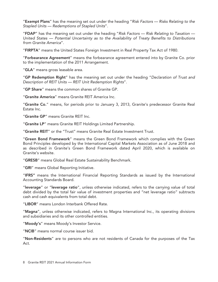"Exempt Plans" has the meaning set out under the heading "*Risk Factors — Risks Relating to the Stapled Units — Redemptions of Stapled Units*".

"FDAP" has the meaning set out under the heading "*Risk Factors — Risk Relating to Taxation — United States — Potential Uncertainty as to the Availability of Treaty Benefits to Distributions from Granite America*".

"FIRPTA" means the United States Foreign Investment in Real Property Tax Act of 1980.

"Forbearance Agreement" means the forbearance agreement entered into by Granite Co. prior to the implementation of the 2011 Arrangement.

"GLA" means gross leasable area.

"GP Redemption Right" has the meaning set out under the heading "*Declaration of Trust and Description of REIT Units — REIT Unit Redemption Rights*".

"GP Share" means the common shares of Granite GP.

"Granite America" means Granite REIT America Inc.

"Granite Co." means, for periods prior to January 3, 2013, Granite's predecessor Granite Real Estate Inc.

"Granite GP" means Granite REIT Inc.

"Granite LP" means Granite REIT Holdings Limited Partnership.

"Granite REIT" or the "Trust" means Granite Real Estate Investment Trust.

"Green Bond Framework" means the Green Bond Framework which complies with the Green Bond Principles developed by the International Capital Markets Association as of June 2018 and as described in Granite's Green Bond Framework dated April 2020, which is available on Granite's website.

"GRESB" means Global Real Estate Sustainability Benchmark.

"GRI" means Global Reporting Initiative.

"IFRS" means the International Financial Reporting Standards as issued by the International Accounting Standards Board.

"leverage" or "leverage ratio", unless otherwise indicated, refers to the carrying value of total debt divided by the total fair value of investment properties and "net leverage ratio" subtracts cash and cash equivalents from total debt.

"LIBOR" means London Interbank Offered Rate.

"Magna", unless otherwise indicated, refers to Magna International Inc., its operating divisions and subsidiaries and its other controlled entities.

"Moody's" means Moody's Investor Service.

"NCIB" means normal course issuer bid.

"Non-Residents" are to persons who are not residents of Canada for the purposes of the Tax Act.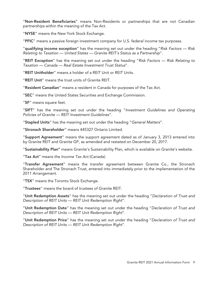"Non-Resident Beneficiaries" means Non-Residents or partnerships that are not Canadian partnerships within the meaning of the Tax Act.

"NYSE" means the New York Stock Exchange.

"PFIC" means a passive foreign investment company for U.S. federal income tax purposes.

"qualifying income exception" has the meaning set out under the heading "*Risk Factors — Risk Relating to Taxation — United States — Granite REIT's Status as a Partnership*".

"REIT Exception" has the meaning set out under the heading "*Risk Factors — Risk Relating to Taxation — Canada — Real Estate Investment Trust Status*".

"REIT Unitholder" means a holder of a REIT Unit or REIT Units.

"REIT Unit" means the trust units of Granite REIT.

"Resident Canadian" means a resident in Canada for purposes of the Tax Act.

"SEC" means the United States Securities and Exchange Commission.

"SF" means square feet.

"SIFT" has the meaning set out under the heading "*Investment Guidelines and Operating Policies of Granite — REIT Investment Guidelines*".

"Stapled Units" has the meaning set out under the heading "*General Matters*".

"Stronach Shareholder" means 445327 Ontario Limited.

"Support Agreement" means the support agreement dated as of January 3, 2013 entered into by Granite REIT and Granite GP, as amended and restated on December 20, 2017.

"Sustainability Plan" means Granite's Sustainability Plan, which is available on Granite's website.

"Tax Act" means the *Income Tax Act* (Canada).

"Transfer Agreement" means the transfer agreement between Granite Co., the Stronach Shareholder and The Stronach Trust, entered into immediately prior to the implementation of the 2011 Arrangement.

"TSX" means the Toronto Stock Exchange.

"Trustees" means the board of trustees of Granite REIT.

"Unit Redemption Assets" has the meaning set out under the heading "*Declaration of Trust and Description of REIT Units — REIT Unit Redemption Right*".

"Unit Redemption Date" has the meaning set out under the heading "*Declaration of Trust and Description of REIT Units — REIT Unit Redemption Right*".

"Unit Redemption Price" has the meaning set out under the heading "*Declaration of Trust and Description of REIT Units — REIT Unit Redemption Right*".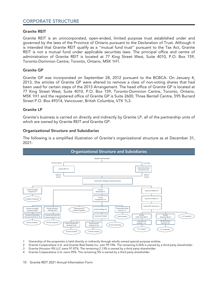# <span id="page-9-0"></span>CORPORATE STRUCTURE

# Granite REIT

Granite REIT is an unincorporated, open-ended, limited purpose trust established under and governed by the laws of the Province of Ontario pursuant to the Declaration of Trust. Although it is intended that Granite REIT qualify as a ''mutual fund trust'' pursuant to the Tax Act, Granite REIT is not a mutual fund under applicable securities laws. The principal office and centre of administration of Granite REIT is located at 77 King Street West, Suite 4010, P.O. Box 159, Toronto-Dominion Centre, Toronto, Ontario, M5K 1H1.

# Granite GP

Granite GP was incorporated on September 28, 2012 pursuant to the BCBCA. On January 4, 2013, the articles of Granite GP were altered to remove a class of non-voting shares that had been used for certain steps of the 2013 Arrangement. The head office of Granite GP is located at 77 King Street West, Suite 4010, P.O. Box 159, Toronto-Dominion Centre, Toronto, Ontario, M5K 1H1 and the registered office of Granite GP is Suite 2600, Three Bentall Centre, 595 Burrard Street P.O. Box 49314, Vancouver, British Columbia, V7X 1L3.

# Granite LP

Granite's business is carried on directly and indirectly by Granite LP, all of the partnership units of which are owned by Granite REIT and Granite GP.

# Organizational Structure and Subsidiaries

The following is a simplified illustration of Granite's organizational structure as at December 31, 2021:



- 1 Ownership of the properties is held directly or indirectly through wholly owned special purpose entities.
- 2 Granite Coöperatieve U.A. and Granite Real Estate Inc. own 99.74%. The remaining 0.26% is owned by a third party shareholder.
- 3 Granite (Houston 90) LLC owns 97.87%. The remaining 2.13% is owned by a third party shareholder.
- 4 Granite Coöperatieve U.A. owns 95%. The remaining 5% is owned by a third party shareholder.
- 10 Granite REIT 2021 Annual Information Form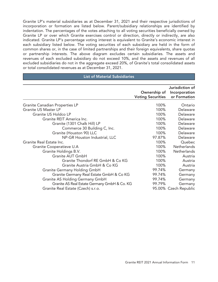Granite LP's material subsidiaries as at December 31, 2021 and their respective jurisdictions of incorporation or formation are listed below. Parent/subsidiary relationships are identified by indentation. The percentages of the votes attaching to all voting securities beneficially owned by Granite LP or over which Granite exercises control or direction, directly or indirectly, are also indicated. Granite LP's percentage voting interest is equivalent to Granite's economic interest in each subsidiary listed below. The voting securities of each subsidiary are held in the form of common shares or, in the case of limited partnerships and their foreign equivalents, share quotas or partnership interests. The above diagram excludes certain subsidiaries. The assets and revenues of each excluded subsidiary do not exceed 10%, and the assets and revenues of all excluded subsidiaries do not in the aggregate exceed 20%, of Granite's total consolidated assets or total consolidated revenues as at December 31, 2021.

# List of Material Subsidiaries

|                                              | Ownership of<br><b>Voting Securities</b> | Jurisdiction of<br>Incorporation<br>or Formation |
|----------------------------------------------|------------------------------------------|--------------------------------------------------|
| Granite Canadian Properties LP               | 100%                                     | Ontario                                          |
| <b>Granite US Master LP</b>                  | 100%                                     | Delaware                                         |
| Granite US Holdco LP                         | 100%                                     | Delaware                                         |
| Granite REIT America Inc.                    | 100%                                     | Delaware                                         |
| Granite (1301 Chalk Hill) LP                 | 100%                                     | Delaware                                         |
| Commerce 30 Building C, Inc.                 | 100%                                     | Delaware                                         |
| Granite (Houston 90) LLC                     | 100%                                     | Delaware                                         |
| NP-GR Houston Industrial, LLC                | 97.87%                                   | Delaware                                         |
| Granite Real Estate Inc.                     | 100%                                     | Quebec                                           |
| Granite Cooperatieve U.A                     | 100%                                     | Netherlands                                      |
| Granite Holdings B.V.                        | 100%                                     | Netherlands                                      |
| <b>Granite AUT GmbH</b>                      | 100%                                     | Austria                                          |
| Granite Thondorf RE GmbH & Co KG             | 100%                                     | Austria                                          |
| Granite Austria GmbH & Co KG                 | 100%                                     | Austria                                          |
| <b>Granite Germany Holding GmbH</b>          | 99.74%                                   | Germany                                          |
| Granite Germany Real Estate GmbH & Co KG     | 99.74%                                   | Germany                                          |
| Granite AS Holding Germany GmbH              | 99.74%                                   | Germany                                          |
| Granite AS Real Estate Germany GmbH & Co. KG | 99.79%                                   | Germany                                          |
| Granite Real Estate (Czech) s.r.o.           |                                          | 95.00% Czech Republic                            |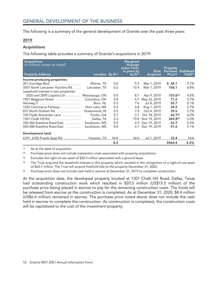<span id="page-11-0"></span>The following is a summary of the general development of Granite over the past three years:

# 2019

# Acquisitions

The following table provides a summary of Granite's acquisitions in 2019:

| <b>Acquisitions</b><br>(in millions, except as noted)        |                         |     | Weighted<br>Average                                |                         |                                                            |                                           |
|--------------------------------------------------------------|-------------------------|-----|----------------------------------------------------|-------------------------|------------------------------------------------------------|-------------------------------------------|
| <b>Property Address</b>                                      | Location $\$ g ft $(1)$ |     | Lease Term,<br>in years by<br>sq ft <sup>(ī)</sup> | Date<br><b>Acquired</b> | <b>Property</b><br><b>Purchase</b><br>Price <sup>(2)</sup> | <b>Stabilized</b><br>Yield <sup>(1)</sup> |
| Income-producing properties:                                 |                         |     |                                                    |                         |                                                            |                                           |
| 201 Sunridge Blvd.                                           | Wilmer, TX              | 0.8 | 9.5                                                | Mar 1, 2019             | \$58.1                                                     | 5.1%                                      |
| 3501 North Lancaster Hutchins Rd.                            | Lancaster, TX           | 0.2 | 10.4                                               | Mar 1, 2019             | 106.1                                                      | 6.8%                                      |
| Leasehold interest in two properties:                        |                         |     |                                                    |                         |                                                            |                                           |
| 2020 and 2095 Logistics Dr.                                  | Mississauga, ON         | 0.9 | 8.7                                                | Apr 9, 2019             | $153.6^{(3)}$                                              | 4.5%                                      |
| 1901 Beggrow Street                                          | Columbus, OH            | 0.8 | 4.7                                                | May 23, 2019            | 71.6                                                       | 5.7%                                      |
| Heirweg $3 \ldots \ldots \ldots \ldots \ldots \ldots \ldots$ | Born, NL                | 0.3 | 7.6                                                | Jul 8, 2019             | 25.7                                                       | 6.1%                                      |
| 1222 Commerce Parkway                                        | Horn Lake, MS           | 0.3 | 4.8                                                | Aug 1, 2019             | 24.5                                                       | 5.7%                                      |
| 831 North Graham Rd.                                         | Greenwood, IN           | 0.5 | 7.0                                                | Oct 4, 2019             | 39.6                                                       | 5.7%                                      |
| 100 Clyde Alexander Lane                                     | Pooler, GA              | 0.7 | 3.1                                                | Oct 18, 2019            | $62.7^{(4)}$                                               | 6.0%                                      |
| 1301 Chalk Hill Rd.                                          | Dallas, TX              | 2.3 | 19.8                                               | Nov 19, 2019            | $269.8^{(5)}$                                              | 5.5%                                      |
| 330-366 Stateline Road East                                  | Southaven, MS           | 0.9 | 4.9                                                | Dec 19, 2019            | 63.7                                                       | 5.5%                                      |
| 440-480 Stateline Road East                                  | Southaven, MS           | 0.8 | 4.1                                                | Dec 19, 2019            | 51.6                                                       | 5.1%                                      |
| Development land:                                            |                         |     |                                                    |                         |                                                            |                                           |
| 6701, 6702 Purple Sage Rd.                                   | Houston, TX             | N/A | N/A                                                | Jul 1, 2019             | 33.4                                                       | N/A                                       |
|                                                              |                         | 8.5 |                                                    |                         | \$960.4                                                    | 5.5%                                      |

(1) As at the date of acquisition.

<sup>(2)</sup> Purchase price does not include transaction costs associated with property acquisitions.

(3) Excludes the right-of-use asset of \$20.5 million associated with a ground lease.

(4) The Trust acquired the leasehold interest in this property which resulted in the recognition of a right-of-use asset of \$62.7 million. The Trust will acquire freehold title to the property December 31, 2022.

(5) Purchase price does not include cash held in escrow at December 31, 2019 to complete construction.

At the acquisition date, the developed property located at 1301 Chalk Hill Road, Dallas, Texas had outstanding construction work which resulted in \$20.5 million (US\$15.5 million) of the purchase price being placed in escrow to pay for the remaining construction costs. The funds will be released from escrow as the construction is completed. As at December 31, 2020, \$8.4 million (US\$6.6 million) remained in escrow. The purchase price noted above does not include the cash held in escrow to complete the construction. As construction is completed, the construction costs will be capitalized to the cost of the investment property.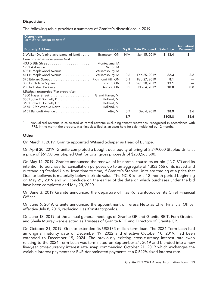# **Dispositions**

The following table provides a summary of Granite's dispositions in 2019:

| <b>Dispositions</b>                       |                   |       |               |                   |                                      |
|-------------------------------------------|-------------------|-------|---------------|-------------------|--------------------------------------|
| (in millions, except as noted)            |                   |       |               |                   |                                      |
| <b>Property Address</b>                   | Location          | Sq ft | Date Disposed | <b>Sale Price</b> | Annualized<br>Revenue <sup>(1)</sup> |
| 3 Walker Dr. (a nine-acre parcel of land) | Brampton, ON      | N/A   | Jan 15, 2019  | \$13.4            | $s -$                                |
| lowa properties (four properties):        |                   |       |               |                   |                                      |
| 403 S 8th Street                          | Montezuma, IA     |       |               |                   |                                      |
|                                           | Victor, IA        |       |               |                   |                                      |
| 408 N Maplewood Avenue                    | Williamsburg, IA  |       |               |                   |                                      |
| 411 N Maplewood Avenue                    | Williamsburg, IA  | 0.6   | Feb 25, 2019  | 22.3              | $2.2^{\circ}$                        |
| 375 Edward Street                         | Richmond Hill, ON | 0.1   | Feb 27, 2019  | 8.1               |                                      |
| 330 Finchdene Square                      | Toronto, ON       | 0.1   | Sept 20, 2019 | 13.1              |                                      |
| 200 Industrial Parkway                    | Aurora, ON        | 0.2   | Nov 4, 2019   | 10.0              | 0.8                                  |
| Michigan properties (five properties):    |                   |       |               |                   |                                      |
| 1800 Hayes Street                         | Grand Haven, MI   |       |               |                   |                                      |
| 3501 John F Donnelly Dr.                  | Holland, MI       |       |               |                   |                                      |
| 3601 John F Donnelly Dr.                  | Holland, MI       |       |               |                   |                                      |
| 3575 128th Avenue North                   | Holland, Ml       |       |               |                   |                                      |
| 6151 Bancroft Avenue                      | Alto, MI          | 0.7   | Dec 4, 2019   | 38.9              | 3.6                                  |
|                                           |                   | 1.7   |               | \$105.8           | \$6.6                                |

(1) Annualized revenue is calculated as rental revenue excluding tenant recoveries, recognized in accordance with IFRS, in the month the property was first classified as an asset held for sale multiplied by 12 months.

#### **Other**

On March 1, 2019, Granite appointed Witsard Schaper as Head of Europe.

On April 30, 2019, Granite completed a bought deal equity offering of 3,749,000 Stapled Units at a price of \$61.50 per Stapled Unit for total gross proceeds of \$230,563,500.

On May 14, 2019, Granite announced the renewal of its normal course issuer bid ("NCIB") and its intention to purchase for cancellation purposes up to an aggregate of 4,853,666 of its issued and outstanding Stapled Units, from time to time, if Granite's Stapled Units are trading at a price that Granite believes is materially below intrinsic value. The NCIB is for a 12 month period beginning on May 21, 2019 and will conclude on the earlier of the date on which purchases under the bid have been completed and May 20, 2020.

On June 3, 2019 Granite announced the departure of Ilias Konstantopoulos, its Chief Financial Officer.

On June 6, 2019, Granite announced the appointment of Teresa Neto as Chief Financial Officer effective July 8, 2019, replacing Ilias Konstantopoulos.

On June 13, 2019, at the annual general meetings of Granite GP and Granite REIT, Fern Grodner and Sheila Murray were elected as Trustees of Granite REIT and Directors of Granite GP.

On October 21, 2019, Granite extended its US\$185 million term loan. The 2024 Term Loan had an original maturity date of December 19, 2022 and effective October 10, 2019, had been extended to December 19, 2024. The previously existing cross-currency interest rate swap relating to the 2024 Term Loan was terminated on September 24, 2019 and blended into a new five-year cross-currency interest rate swap commencing October 21, 2019 which exchanges the variable interest payments for EUR denominated payments at a 0.522% fixed interest rate.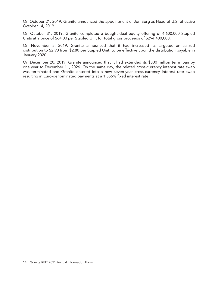On October 21, 2019, Granite announced the appointment of Jon Sorg as Head of U.S. effective October 14, 2019.

On October 31, 2019, Granite completed a bought deal equity offering of 4,600,000 Stapled Units at a price of \$64.00 per Stapled Unit for total gross proceeds of \$294,400,000.

On November 5, 2019, Granite announced that it had increased its targeted annualized distribution to \$2.90 from \$2.80 per Stapled Unit, to be effective upon the distribution payable in January 2020.

On December 20, 2019, Granite announced that it had extended its \$300 million term loan by one year to December 11, 2026. On the same day, the related cross-currency interest rate swap was terminated and Granite entered into a new seven-year cross-currency interest rate swap resulting in Euro-denominated payments at a 1.355% fixed interest rate.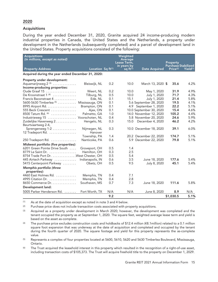# 2020

#### Acquisitions

During the year ended December 31, 2020, Granite acquired 24 income-producing modern industrial properties in Canada, the United States and the Netherlands, a property under development in the Netherlands (subsequently completed) and a parcel of development land in the United States. Property acquisitions consisted of the following:

| <b>Acquisitions</b><br>(in millions, except as noted) |                   |     | Weighted<br>Average        |                         |                      |                            |
|-------------------------------------------------------|-------------------|-----|----------------------------|-------------------------|----------------------|----------------------------|
|                                                       |                   |     | Lease Term,<br>in years by |                         | <b>Property</b>      | <b>Purchase Stabilized</b> |
| <b>Property Address</b>                               | Location Sq ft(1) |     | sa $ft^{(1)}$              | <b>Date Acquired</b>    | Price <sup>(2)</sup> | Yield(1)                   |
| Acquired during the year ended December 31, 2020:     |                   |     |                            |                         |                      |                            |
| Property under development:                           |                   |     |                            |                         |                      |                            |
| Aquamarijnweg 2 <sup>(3)</sup>                        | Bleiswijk, NL     | 0.2 | 10.0                       | March 13, 2020 \$       | 35.6                 | 4.2%                       |
| Income-producing properties:                          |                   |     |                            |                         |                      |                            |
| Oude Graaf 15                                         | Weert, NL         | 0.2 | 10.0                       | May 1, 2020             | 31.9                 | 4.9%                       |
| De Kroonstraat 1 (4)                                  | Tilburg, NL       | 0.5 | 10.0                       | July 1, 2020            | 71.7                 | 4.3%                       |
| Francis Baconstraat 4                                 | Ede, NL           | 0.1 | 15.1                       | July 1, 2020            | 21.4                 | 5.8%                       |
| 5600-5630 Timberlea (5)                               | Mississauga, ON   | 0.1 |                            | 5.6 September 28, 2020  | 19.5                 | 4.1%                       |
| 8995 Airport Rd.                                      | Brampton, ON      | 0.1 |                            | 4.9 September 1, 2020   | 22.2                 | 5.1%                       |
| 555 Beck Crescent                                     | Ajax, ON          | 0.1 |                            | 10.0 September 30, 2020 | 15.4                 | 4.6%                       |
| 8500 Tatum Rd. (6)                                    | Palmetto, GA      | 1.0 |                            | 14.0 November 12, 2020  | 105.2                | 4.4%                       |
| Industrieweg 15  Voorschoten, NL                      |                   | 0.4 |                            | 5.8 November 20, 2020   | 24.6                 | 5.9%                       |
| Zuidelijke Havenweg 2                                 | Hengelo, NL       | 0.3 | 15.0                       | December 4, 2020        | 46.2                 | 4.2%                       |
| Beurtvaartweg 2-4,                                    |                   |     |                            |                         |                      |                            |
| Sprengenweg 1-2                                       | Nijmegen, NL      | 0.3 |                            | 10.0 December 18, 2020  | 39.1                 | 6.0%                       |
| 12 Tradeport Rd.                                      | Hanover           |     |                            |                         |                      |                            |
|                                                       | Township, PA      | 1.4 |                            | 20.2 December 22, 2020  | 174.7                | 5.1%                       |
| 250 Tradeport Rd.                                     | Nanticoke, PA     | 0.6 |                            | 5.9 December 22, 2020   | 79.8                 | 5.1%                       |
| Midwest portfolio (five properties):                  |                   |     |                            |                         |                      |                            |
| 6201 Green Pointe Drive South                         | Groveport, OH     | 0.5 | 1.4                        |                         |                      |                            |
| 8779 Le Saint Dr.                                     | Hamilton, OH      | 0.3 | 2.5                        |                         |                      |                            |
| 8754 Trade Port Dr. West Chester, OH                  |                   | 0.5 | 5.4                        |                         |                      |                            |
| 445 Airtech Parkway                                   | Indianapolis, IN  | 0.6 | 3.5                        | June 18, 2020           | 177.6                | 5.4%                       |
| 5415 Centerpoint Parkway                              | Obetz, OH         | 0.5 | 9.5                        | July 8, 2020            | 45.1                 | 5.4%                       |
| Memphis portfolio (three                              |                   |     |                            |                         |                      |                            |
| properties):                                          |                   |     |                            |                         |                      |                            |
| 4460 East Holmes Rd.                                  | Memphis, TN       | 0.4 | 7.1                        |                         |                      |                            |
| 4995 Citation Dr.                                     | Memphis, TN       | 0.4 | 2.8                        |                         |                      |                            |
| 8650 Commerce Dr.                                     | Southaven, MS     | 0.7 | 7.3                        | June 18, 2020           | 111.6                | 5.8%                       |
|                                                       |                   |     |                            |                         |                      |                            |
| Development land:                                     |                   |     |                            |                         |                      |                            |
| 5005 Parker Henderson Rd.                             | Fort Worth, TX    | N/A | N/A                        | June 8, 2020            | 8.9                  | N/A                        |
|                                                       |                   | 9.2 |                            |                         | \$1,030.5            | 5.1%                       |

(1) As at the date of acquisition except as noted in note 3 and 4 below.

 $(2)$  Purchase price does not include transaction costs associated with property acquisitions.

(3) Acquired as a property under development in March 2020; however, the development was completed and the tenant occupied the property as at September 1, 2020. The square feet, weighted average lease term and yield is based on the asset as-complete.

(4) The purchase price excludes construction costs and holdbacks of \$12.4 million ( $68.1$ million) related to a 0.1 million square foot expansion that was underway at the date of acquisition and completed and occupied by the tenant during the fourth quarter of 2020. The square footage and yield for this property represents the as-complete value.

(5) Represents a complex of four properties located at 5600, 5610, 5620 and 5630 Timberlea Boulevard, Mississauga, Ontario.

(6) The Trust acquired the leasehold interest in this property which resulted in the recognition of a right-of-use asset, including transaction costs of \$105,373. The Trust will acquire freehold title to the property on December 1, 2029.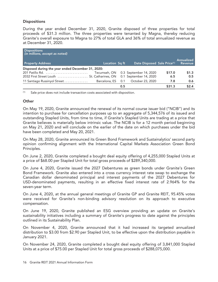# **Dispositions**

During the year ended December 31, 2020, Granite disposed of three properties for total proceeds of \$31.3 million. The three properties were tenanted by Magna, thereby reducing Granite's overall exposure to Magna to 27% of total GLA and 36% of total annualized revenue as at December 31, 2020.

| <b>Dispositions</b><br>(in millions, except as noted) |                |     |                             |        |                       |
|-------------------------------------------------------|----------------|-----|-----------------------------|--------|-----------------------|
| <b>Property Address</b>                               | Location Sq ft |     | Date Disposed Sale Price(1) |        | Annualized<br>Revenue |
| Disposed during the year ended December 31, 2020:     |                |     |                             |        |                       |
|                                                       |                |     |                             | \$17.0 | \$1.3                 |
|                                                       |                |     |                             | 6.5    | 0.5                   |
| 11 Santiago Russinyol Street                          | Barcelona, ES  |     | 0.1 October 23, 2020        | 7.8    | 0.6                   |
|                                                       |                | 0.5 |                             | \$31.3 | \$2.4                 |

(1) Sale price does not include transaction costs associated with disposition.

#### **Other**

On May 19, 2020, Granite announced the renewal of its normal course issuer bid ("NCIB") and its intention to purchase for cancellation purposes up to an aggregate of 5,344,576 of its issued and outstanding Stapled Units, from time to time, if Granite's Stapled Units are trading at a price that Granite believes is materially below intrinsic value. The NCIB is for a 12 month period beginning on May 21, 2020 and will conclude on the earlier of the date on which purchases under the bid have been completed and May 20, 2021.

On May 28, 2020, Granite announced its Green Bond Framework and Sustainalytics' second party opinion confirming alignment with the International Capital Markets Association Green Bond Principles.

On June 2, 2020, Granite completed a bought deal equity offering of 4,255,000 Stapled Units at a price of \$68.00 per Stapled Unit for total gross proceeds of \$289,340,000.

On June 4, 2020, Granite issued the 2027 Debentures as green bonds under Granite's Green Bond Framework. Granite also entered into a cross currency interest rate swap to exchange the Canadian dollar denominated principal and interest payments of the 2027 Debentures for USD-denominated payments, resulting in an effective fixed interest rate of 2.964% for the seven-year term.

On June 4, 2020, at the annual general meetings of Granite GP and Granite REIT, 95.45% votes were received for Granite's non-binding advisory resolution on its approach to executive compensation.

On June 19, 2020, Granite published an ESG overview providing an update on Granite's sustainability initiatives including a summary of Granite's progress to date against the principles outlined in its Sustainability Plan.

On November 4, 2020, Granite announced that it had increased its targeted annualized distribution to \$3.00 from \$2.90 per Stapled Unit, to be effective upon the distribution payable in January 2021.

On November 24, 2020, Granite completed a bought deal equity offering of 3,841,000 Stapled Units at a price of \$75.00 per Stapled Unit for total gross proceeds of \$288,075,000.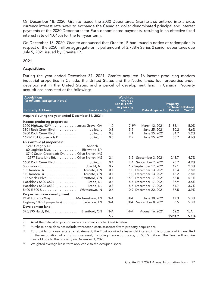On December 18, 2020, Granite issued the 2030 Debentures. Granite also entered into a cross currency interest rate swap to exchange the Canadian dollar denominated principal and interest payments of the 2030 Debentures for Euro-denominated payments, resulting in an effective fixed interest rate of 1.045% for the ten-year term.

On December 18, 2020, Granite announced that Granite LP had issued a notice of redemption in respect of the \$250 million aggregate principal amount of 3.788% Series 2 senior debentures due July 5, 2021 issued by Granite LP.

# 2021

## Acquisitions

During the year ended December 31, 2021, Granite acquired 16 income-producing modern industrial properties in Canada, the United States and the Netherlands, four properties under development in the United States, and a parcel of development land in Canada. Property acquisitions consisted of the following:

| <b>Acquisitions</b><br>(in millions, except as noted) |                   |     | Weighted<br>Average<br>Lease Term. |                        |                                                                       |                      |
|-------------------------------------------------------|-------------------|-----|------------------------------------|------------------------|-----------------------------------------------------------------------|----------------------|
|                                                       | Location Sq ft(1) |     | in years by<br>sa $ft^{(1)}$       | <b>Date Acquired</b>   | <b>Property</b><br><b>Purchase Stabilized</b><br>Price <sup>(2)</sup> | Yield <sup>(1)</sup> |
| <b>Property Address</b>                               |                   |     |                                    |                        |                                                                       |                      |
| Acquired during the year ended December 31, 2021:     |                   |     |                                    |                        |                                                                       |                      |
| Income-producing properties:                          |                   |     |                                    |                        |                                                                       |                      |
| 3090 Highway 42(3) Locust Grove, GA                   |                   | 1.0 | 7.6(4)                             | March 12, 2021         | 85.1<br>\$                                                            | 5.0%                 |
| 3801 Rock Creek Blvd.                                 | Joliet, IL        | 0.3 | 5.9                                | June 25, 2021          | 30.2                                                                  | 4.6%                 |
| 3900 Rock Creek Blvd.                                 | Joliet, IL        | 0.3 | 4.1                                | June 25, 2021          | 34.7                                                                  | 5.2%                 |
| 1695-1701 Crossroads Dr.                              | Joliet, IL        | 0.5 | 2.9                                | June 25, 2021          | 50.7                                                                  | 4.6%                 |
| US Portfolio (4 properties):                          |                   |     |                                    |                        |                                                                       |                      |
| 1243 Gregory Dr. $\dots\dots\dots\dots\dots$          | Antioch, IL       |     |                                    |                        |                                                                       |                      |
| 60 Logistics Blvd.                                    | Richwood, KY      |     |                                    |                        |                                                                       |                      |
| 8740 South Crossroads Dr. Olive Branch, MS            |                   |     |                                    |                        |                                                                       |                      |
| 12577 State Line Rd. Olive Branch, MS                 |                   | 2.4 |                                    | 3.2 September 3, 2021  | 243.7                                                                 | 4.7%                 |
| 1600 Rock Creek Blvd.                                 | Joliet, IL        | 0.1 |                                    | 4.4 September 7, 2021  | 20.7                                                                  | 4.9%                 |
| Sophialaan 5                                          | Utrecht, NL       | 0.2 |                                    | 1.2 September 17, 2021 | 42.1                                                                  | 2.3%                 |
| 100 Ronson Dr. $\ldots \ldots \ldots \ldots \ldots$   | Toronto, ON       | 0.1 |                                    | 1.0 December 13, 2021  | 18.4                                                                  | 2.8%                 |
|                                                       | Toronto, ON       | 0.1 |                                    | 1.0 December 13, 2021  | 16.2                                                                  | 2.8%                 |
| 115 Sinclair Blvd.                                    | Brantford, ON     | 0.4 |                                    | 15.0 December 17, 2021 | 66.0                                                                  | 5.1%                 |
| Hazeldonk 6520-6524                                   | Breda, NL         | 0.6 |                                    | 5.7 December 17, 2021  | 87.9                                                                  | 3.6%                 |
| Hazeldonk 6526-6530                                   | Breda, NL         | 0.3 |                                    | 5.7 December 17, 2021  | 54.7                                                                  | 3.7%                 |
|                                                       | Whitestown, IN    | 0.6 |                                    | 10.9 December 22, 2021 | 87.5                                                                  | 3.9%                 |
| Properties under development:                         |                   |     |                                    |                        |                                                                       |                      |
| 2120 Logistics Way Murfreesboro, TN                   |                   | N/A | N/A                                | June 30, 2021          | 17.3                                                                  | 5.3%                 |
| Highway 109 (3 properties)                            | Lebanon, TN       | N/A | N/A                                | September 8, 2021      | 6.5                                                                   | 5.3%                 |
| Development land:                                     |                   |     |                                    |                        |                                                                       |                      |
| 375/395 Hardy Rd.                                     | Brantford, ON     | N/A | N/A                                | August 16, 2021        | 62.2                                                                  | N/A                  |
|                                                       |                   | 6.9 |                                    |                        | \$923.9                                                               | 5.1%                 |

(1) As at the date of acquisition except as noted in note 3 and 4 below.

 $(2)$  Purchase price does not include transaction costs associated with property acquisitions.

(3) To provide for a real estate tax abatement, the Trust acquired a leasehold interest in this property which resulted in the recognition of a right-of-use asset, including transaction costs, of \$85.5 million. The Trust will acquire freehold title to the property on December 1, 2028.

(4) Weighted average lease term applicable to the occupied space.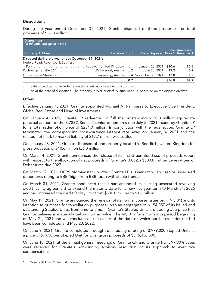# **Dispositions**

During the year ended December 31, 2021, Granite disposed of three properties for total proceeds of \$36.8 million.

| <b>Dispositions</b><br>(in millions, except as noted) |                                            |     |                                    |        |                 |
|-------------------------------------------------------|--------------------------------------------|-----|------------------------------------|--------|-----------------|
| <b>Property Address</b>                               | Location Sq ft                             |     | Date Disposed Price(1) Revenue (2) |        | Sale Annualized |
| Disposed during the year ended December 31, 2021:     |                                            |     |                                    |        |                 |
| Hedera Road, Ravensbank Business                      |                                            |     |                                    |        |                 |
|                                                       |                                            |     | January 28, 2021                   | \$10.6 | \$0.8           |
| Puchberger Straße 267                                 | Weikersdorf, Austria 0.2                   |     | June 30, 2021                      | 13.2   | 0.7             |
| Götzendorfer Straße 3-5                               | Ebergassing, Austria 0.4 November 30, 2021 |     |                                    | 13.0   | 1.2             |
|                                                       |                                            | 0.7 |                                    | \$36.8 | \$2.7           |

(1) Sale price does not include transaction costs associated with disposition.

(2) As at the date of disposition. The property in Weikersdorf, Austria was 53% occupied on the disposition date.

# **Other**

Effective January 1, 2021, Granite appointed Michael A. Ramparas to Executive Vice President, Global Real Estate and Head of Investments.

On January 4, 2021, Granite LP redeemed in full the outstanding \$250.0 million aggregate principal amount of the 3.788% Series 2 senior debentures due July 5, 2021 issued by Granite LP for a total redemption price of \$254.0 million. In conjunction with the redemption, Granite LP terminated the corresponding cross-currency interest rate swap on January 4, 2021 and the related net mark to market liability of \$17.7 million was settled.

On January 28, 2021, Granite disposed of one property located in Redditch, United Kingdom for gross proceeds of \$10.6 million (£6.0 million).

On March 4, 2021, Granite announced the release of its first Green Bond use of proceeds report with respect to the allocation of net proceeds of Granite's 3.062% \$500.0 million Series 4 Senior Debentures due 2027.

On March 22, 2021, DBRS Morningstar updated Granite LP's issuer rating and senior unsecured debentures rating to BBB (high) from BBB, both with stable trends.

On March 31, 2021, Granite announced that it had amended its existing unsecured revolving credit facility agreement to extend the maturity date for a new five-year term to March 31, 2026 and had increased the credit facility limit from \$500.0 million to \$1.0 billion.

On May 19, 2021, Granite announced the renewal of its normal course issuer bid ("NCIB") and its intention to purchase for cancellation purposes up to an aggregate of 6,154,057 of its issued and outstanding Stapled Units, from time to time, if Granite's Stapled Units are trading at a price that Granite believes is materially below intrinsic value. The NCIB is for a 12-month period beginning on May 21, 2021 and will conclude on the earlier of the date on which purchases under the bid have been completed and May 20, 2022.

On June 9, 2021, Granite completed a bought deal equity offering of 3,979,000 Stapled Units at a price of \$79.50 per Stapled Unit for total gross proceeds of \$316,330,500.

On June 10, 2021, at the annual general meetings of Granite GP and Granite REIT, 97.80% votes were received for Granite's non-binding advisory resolution on its approach to executive compensation.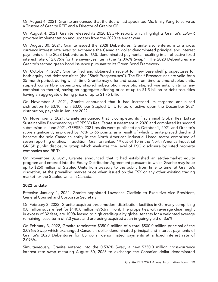On August 4, 2021, Granite announced that the Board had appointed Ms. Emily Pang to serve as a Trustee of Granite REIT and a Director of Granite GP.

On August 4, 2021, Granite released its 2020 ESG+R report, which highlights Granite's ESG+R program implementation and updates from the 2020 calendar year.

On August 30, 2021, Granite issued the 2028 Debentures. Granite also entered into a cross currency interest rate swap to exchange the Canadian dollar denominated principal and interest payments of the 2028 Debentures for U.S. denominated payments, resulting in an effective fixed interest rate of 2.096% for the seven-year term (the "2.096% Swap"). The 2028 Debentures are Granite's second green bond issuance pursuant to its Green Bond Framework.

On October 4, 2021, Granite filed and obtained a receipt for new base shelf prospectuses for both equity and debt securities (the "Shelf Prospectuses"). The Shelf Prospectuses are valid for a 25-month period, during which time Granite may offer and issue, from time to time, stapled units, stapled convertible debentures, stapled subscription receipts, stapled warrants, units or any combination thereof, having an aggregate offering price of up to \$1.5 billion or debt securities having an aggregate offering price of up to \$1.75 billion.

On November 3, 2021, Granite announced that it had increased its targeted annualized distribution to \$3.10 from \$3.00 per Stapled Unit, to be effective upon the December 2021 distribution, payable in January 2022.

On November 3, 2021, Granite announced that it completed its first annual Global Real Estate Sustainability Benchmarking ("GRESB") Real Estate Assessment in 2020 and completed its second submission in June 2021. GRESB's 2021 results were published on October 1, 2021 and Granite's score significantly improved by 76% to 65 points, as a result of which Granite placed third and became the sole Canadian entity in the North American Industrial Listed sector comprised of seven reporting entities. In addition, Granite ranked 1<sup>st</sup> out of 10 in the North America Industrial GRESB public disclosure group which evaluates the level of ESG disclosure by listed property companies and REITs.

On November 3, 2021, Granite announced that it had established an at-the-market equity program and entered into the Equity Distribution Agreement pursuant to which Granite may issue up to \$250 million of Stapled Units from treasury to the public from time to time, at Granite's discretion, at the prevailing market price when issued on the TSX or any other existing trading market for the Stapled Units in Canada.

# 2022 to date

Effective January 1, 2022, Granite appointed Lawrence Clarfield to Executive Vice President, General Counsel and Corporate Secretary.

On February 3, 2022, Granite acquired three modern distribution facilities in Germany comprising 0.8 million square feet for \$140.0 million (€96.6 million). The properties, with average clear height in excess of 32 feet, are 100% leased to high credit-quality global tenants for a weighted average remaining lease term of 7.3 years and are being acquired at an in-going yield of 3.6%.

On February 3, 2022, Granite terminated \$350.0 million of a total \$500.0 million principal of the 2.096% Swap which exchanged Canadian dollar denominated principal and interest payments of Granite's 2028 Debentures for US dollar denominated payments at a fixed interest rate of 2.096%.

Simultaneously, Granite entered into the 0.536% Swap, a new \$350.0 million cross-currency interest rate swap maturing August 30, 2028 to exchange the Canadian dollar denominated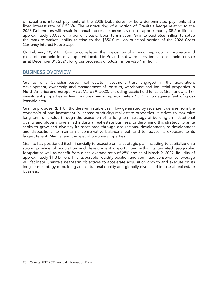<span id="page-19-0"></span>principal and interest payments of the 2028 Debentures for Euro denominated payments at a fixed interest rate of 0.536%. The restructuring of a portion of Granite's hedge relating to the 2028 Debentures will result in annual interest expense savings of approximately \$5.5 million or approximately \$0.083 on a per unit basis. Upon termination, Granite paid \$6.6 million to settle the mark-to-market liability relating to the \$350.0 million principal portion of the 2028 Cross Currency Interest Rate Swap.

On February 18, 2022, Granite completed the disposition of an income-producing property and piece of land held for development located in Poland that were classified as assets held for sale as at December 31, 2021, for gross proceeds of \$36.2 million (€25.1 million).

# BUSINESS OVERVIEW

Granite is a Canadian-based real estate investment trust engaged in the acquisition, development, ownership and management of logistics, warehouse and industrial properties in North America and Europe. As at March 9, 2022, excluding assets held for sale, Granite owns 134 investment properties in five countries having approximately 55.9 million square feet of gross leasable area.

Granite provides REIT Unitholders with stable cash flow generated by revenue it derives from the ownership of and investment in income-producing real estate properties. It strives to maximize long term unit value through the execution of its long-term strategy of building an institutional quality and globally diversified industrial real estate business. Underpinning this strategy, Granite seeks to grow and diversify its asset base through acquisitions, development, re-development and dispositions; to maintain a conservative balance sheet; and to reduce its exposure to its largest tenant, Magna, and the special purpose properties.

Granite has positioned itself financially to execute on its strategic plan including to capitalize on a strong pipeline of acquisition and development opportunities within its targeted geographic footprint as well as benefit from a net leverage ratio of 25% and as of March 9, 2022, liquidity of approximately \$1.3 billion. This favourable liquidity position and continued conservative leverage will facilitate Granite's near-term objectives to accelerate acquisition growth and execute on its long-term strategy of building an institutional quality and globally diversified industrial real estate business.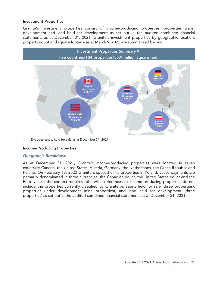#### <span id="page-20-0"></span>Investment Properties

Granite's investment properties consist of income-producing properties, properties under development and land held for development as set out in the audited combined financial statements as at December 31, 2021. Granite's investment properties by geographic location, property count and square footage as at March 9, 2022 are summarized below:



(1) Excludes assets held for sale as at December 31, 2021.

#### Income-Producing Properties

#### *Geographic Breakdown*

As at December 31, 2021, Granite's income-producing properties were located in seven countries: Canada, the United States, Austria, Germany, the Netherlands, the Czech Republic and Poland. On February 18, 2022 Granite disposed of its properties in Poland. Lease payments are primarily denominated in three currencies: the Canadian dollar, the United States dollar and the Euro. Unless the context requires otherwise, references to income-producing properties do not include the properties currently classified by Granite as assets held for sale (three properties), properties under development (nine properties), and land held for development (three properties) as set out in the audited combined financial statements as at December 31, 2021.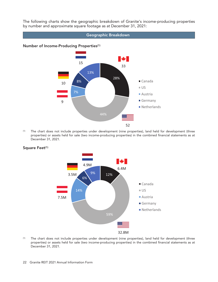The following charts show the geographic breakdown of Granite's income-producing properties by number and approximate square footage as at December 31, 2021:

#### Geographic Breakdown

Number of Income-Producing Properties(1)



(1) The chart does not include properties under development (nine properties), land held for development (three properties) or assets held for sale (two income-producing properties) in the combined financial statements as at December 31, 2021.



#### Square Feet<sup>(1)</sup>

(1) The chart does not include properties under development (nine properties), land held for development (three properties) or assets held for sale (two income-producing properties) in the combined financial statements as at December 31, 2021.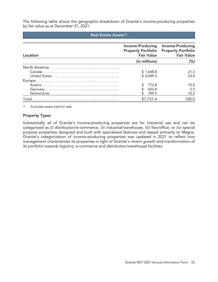<span id="page-22-0"></span>The following table shows the geographic breakdown of Granite's income-producing properties by fair value as at December 31, 2021:

| Real Estate Assets <sup>(1)</sup> |                                                                           |                                                                           |  |  |
|-----------------------------------|---------------------------------------------------------------------------|---------------------------------------------------------------------------|--|--|
| Location                          | <b>Income-Producing</b><br><b>Property Portfolio</b><br><b>Fair Value</b> | <b>Income-Producing</b><br><b>Property Portfolio</b><br><b>Fair Value</b> |  |  |
|                                   | (in millions)                                                             | $(\% )$                                                                   |  |  |
| North America                     |                                                                           |                                                                           |  |  |
|                                   | \$1,648.8                                                                 | 21.3                                                                      |  |  |
|                                   | \$4,089.5                                                                 | 53.0                                                                      |  |  |
|                                   |                                                                           |                                                                           |  |  |
|                                   | 773.8                                                                     | 10.0                                                                      |  |  |
|                                   | 425.8                                                                     | 5.5                                                                       |  |  |
|                                   | 789.5                                                                     | 10.2                                                                      |  |  |
|                                   | \$7,727.4                                                                 | 100.0                                                                     |  |  |

(1) Excludes assets held for sale.

# Property Types

Substantially all of Granite's income-producing properties are for industrial use and can be categorized as (i) distribution/e-commerce, (ii) industrial/warehouse, (iii) flex/office, or (iv) special purpose properties designed and built with specialized features and leased primarily to Magna. Granite's categorization of income-producing properties was updated in 2021 to reflect how management characterizes its properties in light of Granite's recent growth and transformation of its portfolio towards logistics, e-commerce and distribution/warehouse facilities.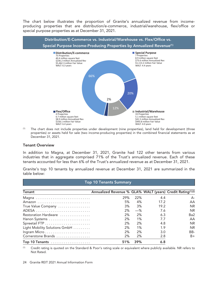<span id="page-23-0"></span>The chart below illustrates the proportion of Granite's annualized revenue from incomeproducing properties that are distribution/e-commerce, industrial/warehouse, flex/office or special purpose properties as at December 31, 2021.



(1) The chart does not include properties under development (nine properties), land held for development (three properties) or assets held for sale (two income-producing properties) in the combined financial statements as at December 31, 2021.

#### Tenant Overview

In addition to Magna, at December 31, 2021, Granite had 122 other tenants from various industries that in aggregate comprised 71% of the Trust's annualized revenue. Each of these tenants accounted for less than 6% of the Trust's annualized revenue as at December 31, 2021.

Granite's top 10 tenants by annualized revenue at December 31, 2021 are summarized in the table below:

| <b>Top 10 Tenants Summary</b> |                                                            |       |      |                 |  |
|-------------------------------|------------------------------------------------------------|-------|------|-----------------|--|
| <b>Tenant</b>                 | Annualized Revenue % GLA% WALT (years) Credit Rating(1)(2) |       |      |                 |  |
| Magna                         | 29%                                                        | 22%   | 4.4  | $A -$           |  |
| Amazon                        | 5%                                                         | 4%    | 17.2 | AA.             |  |
| True Value Company            | 3%                                                         | 3%    | 19.2 | NR.             |  |
|                               | 2%                                                         | $-\%$ | 7.6  | N <sub>R</sub>  |  |
| Restoration Hardware          | 2%                                                         | 2%    | 6.3  | Ba <sub>2</sub> |  |
| Hanon Systems                 | 2%                                                         | 1%    | 7.7  | AA              |  |
|                               | 2%                                                         | 2%    | 4.8  | NR.             |  |
| Light Mobility Solutions GmbH | 2%                                                         | 1%    | 1.9  | NR.             |  |
|                               | 2%                                                         | 2%    | 3.0  | BB-             |  |
| Cornerstone Brands            | 2%                                                         | 2%    | 2.8  | $B+$            |  |
| Top 10 Tenants                | 51%                                                        | 39%   | 6.8  |                 |  |

(1) Credit rating is quoted on the Standard & Poor's rating scale or equivalent where publicly available. NR refers to Not Rated.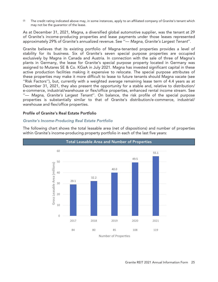<span id="page-24-0"></span> $(2)$  The credit rating indicated above may, in some instances, apply to an affiliated company of Granite's tenant which may not be the guarantor of the lease.

As at December 31, 2021, Magna, a diversified global automotive supplier, was the tenant at 29 of Granite's income-producing properties and lease payments under those leases represented approximately 29% of Granite's annualized revenue. See ''— *Magna, Granite's Largest Tenant*''.

Granite believes that its existing portfolio of Magna-tenanted properties provides a level of stability for its business. Six of Granite's seven special purpose properties are occupied exclusively by Magna in Canada and Austria. In connection with the sale of three of Magna's plants in Germany, the lease for Granite's special purpose property located in Germany was assigned to Mutares SE & Co. KGaA in July 2021. Magna has invested significant capital in these active production facilities making it expensive to relocate. The special purpose attributes of these properties may make it more difficult to lease to future tenants should Magna vacate (see ''Risk Factors''), but, currently with a weighted average remaining lease term of 4.4 years as at December 31, 2021, they also present the opportunity for a stable and, relative to distribution/ e-commerce, industrial/warehouse or flex/office properties, enhanced rental income stream. See ''— *Magna, Granite's Largest Tenant*''. On balance, the risk profile of the special purpose properties is substantially similar to that of Granite's distribution/e-commerce, industrial/ warehouse and flex/office properties.

# Profile of Granite's Real Estate Portfolio

#### *Granite's Income-Producing Real Estate Portfolio*

The following chart shows the total leasable area (net of dispositions) and number of properties within Granite's income-producing property portfolio in each of the last five years:

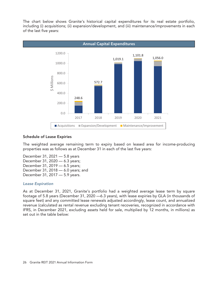<span id="page-25-0"></span>The chart below shows Granite's historical capital expenditures for its real estate portfolio, including (i) acquisitions; (ii) expansion/development, and (iii) maintenance/improvements in each of the last five years:



#### Schedule of Lease Expiries

The weighted average remaining term to expiry based on leased area for income-producing properties was as follows as at December 31 in each of the last five years:

December 31, 2021 — 5.8 years December 31, 2020 — 6.3 years; December 31, 2019 — 6.5 years; December 31, 2018 — 6.0 years; and December 31, 2017 — 5.9 years.

#### *Lease Expiration*

As at December 31, 2021, Granite's portfolio had a weighted average lease term by square footage of 5.8 years (December 31, 2020 —6.3 years), with lease expiries by GLA (in thousands of square feet) and any committed lease renewals adjusted accordingly, lease count, and annualized revenue (calculated as rental revenue excluding tenant recoveries, recognized in accordance with IFRS, in December 2021, excluding assets held for sale, multiplied by 12 months, in millions) as set out in the table below: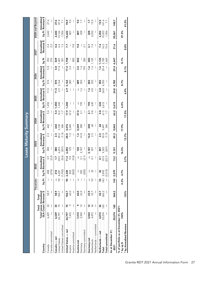**Lease Maturity Summary** Lease Maturity Summary

| Total<br>6,429<br>Country<br>Canada                              |                                                         | Vacancies                | 2022                              | 2023                           | 2024                           | 2025                              | 2026                           |       | 2027                     | 2028 and Beyond          |                                |
|------------------------------------------------------------------|---------------------------------------------------------|--------------------------|-----------------------------------|--------------------------------|--------------------------------|-----------------------------------|--------------------------------|-------|--------------------------|--------------------------|--------------------------------|
|                                                                  | Total Lease Annualized<br>GLA Count Revenue \$<br>Total | Sq Ft                    | Annualized<br>Ft Revenue \$<br>Sq | Annualized<br>Sq Ft Revenue \$ | Annualized<br>Sq Ft Revenue \$ | Revenue \$<br>Annualized<br>Sq Ft | Sq Ft Revenue \$<br>Annualized | Sq Ft | Annualized<br>Revenue \$ |                          | Annualized<br>Sq Ft Revenue \$ |
|                                                                  | 58.9<br>33                                              |                          | 3.9<br>488                        | 2.3<br>380                     | 5.4<br>642                     | 11.5<br>1,450                     | 5.8<br>574                     | 253   | 2.4                      | 2,642                    | 27.6                           |
| I<br>Canada-committed                                            | I<br>I                                                  |                          | (2.2)<br>(276)                    | I                              | I                              |                                   |                                | 276   | 2.2                      | I                        |                                |
| 6,429<br>Canada — net.                                           | 58.9<br>జ                                               | T                        | 212                               | 2.3<br>380                     | 54<br>642                      | 11.5<br>,450                      | 5.8<br>574                     | 529   | $\frac{6}{4}$            | 2,642                    | 27.6                           |
| .32,797<br>United States                                         | 184.7<br>75                                             | 90                       | 20.0<br>4,287                     | 30.0<br>6,253                  | 16.2<br>3,130                  | 6.9<br>1,340                      | 17.4<br>3,164                  | 1,407 | 6.4                      | 13,126                   | 87.8                           |
| $\overline{\phantom{a}}$<br>United States-committed              | I<br>$\overline{\phantom{a}}$                           | $\overline{\phantom{a}}$ | (8.6)<br>(1,952)                  | (1.5)<br>(201)                 | $\overline{1}$ :7<br>346       |                                   |                                | 301   | 1.3                      | 1,506                    | 7.1                            |
| United States — net 32,797                                       | 184.7<br>75                                             | 8                        | 11.4<br>2,335                     | 28.5<br>6,052                  | 17.9<br>3,476                  | \$.9<br>1,340                     | 17.4<br>3,164                  | 1,708 | 7.7                      | 14,632                   | 94.9                           |
| 7,472<br>Austria                                                 | 60.0<br>ᡐ                                               |                          | 9.8<br>802                        | 125                            | 37.0<br>5,349                  |                                   | 3.0<br>389                     |       |                          | 807                      | 9.0                            |
| I<br>Austria-committed                                           | I<br>I                                                  |                          | (9.8)<br>(802)                    | $\overline{\phantom{a}}$       | I<br>$\overline{\phantom{a}}$  | I<br>$\overline{\phantom{a}}$     | I                              | 802   | 9.8                      | $\overline{\phantom{a}}$ |                                |
| 7,472<br>Austria-net                                             | 60.0<br>ᡐ                                               |                          |                                   | <u>بہ</u><br>125               | 37.0<br>5,349                  |                                   | ი<br>ო<br>389                  | 802   | o.c                      | 202                      | <b>o</b> .6                    |
| $\therefore 3,504$<br>Germany                                    | 23.9<br>$\overline{c}$                                  |                          | 2.1<br>283                        | 14.8<br>2,187                  | $\overline{2.1}$<br>308        | $\ddot{ }$ .<br>195               | $\ddot{0}$<br>303              |       |                          | 228                      | $\overline{1}$ .               |
| I<br>Germany-committed                                           | I<br>$\overline{\phantom{a}}$                           |                          | (2.1)<br>(283)                    |                                | I                              |                                   | 195                            | 283   | 2.1                      | I                        |                                |
| 3,504<br>Germany-net                                             | 23.9<br>2                                               | I                        |                                   | 14.8<br>2,187                  | ្តរ<br>308                     | $\ddot{\text{}}$<br>195           | $\ddot{\cdot}$<br>នី           | 283   | 2.1                      | 228                      | 1.7                            |
| 4,872<br>Netherlands                                             | 32.7<br>36                                              | 53                       | $\overline{0}$ .<br>32            | 2.5<br>357                     | $0.\overline{8}$<br>89         | 4.8<br>630                        | 1.6<br>355                     | 1,125 | 7.4                      | 2,252                    | 5.5                            |
| $\overline{\phantom{a}}$<br>Netherlands - committed              | I<br>I                                                  |                          |                                   |                                |                                |                                   |                                |       |                          |                          |                                |
| 4,872<br>Netherlands — net                                       | 32.7<br>న                                               | 53                       | ្ត<br>32                          | 2.5<br>357                     | °°<br>39                       | $\frac{8}{4}$<br>630              | $\ddot{ }$<br>355              | 1,125 | 7.4                      | 2,252                    | 15.5                           |
| 165<br>. 55,074<br>Total $\ldots$                                | 360.2                                                   | 143                      | 35.9<br>892<br>Lo,                | 50.8<br>9,302                  | 61.5<br>,497<br>∝              | 24.8<br>3,615                     | 29.4<br>4,785                  | 2,785 | 16.2                     | 19,055                   | 141.6                          |
| I<br>Total-committed                                             | I<br>I                                                  |                          | (22.7)<br>(3,313)                 | (1.5)<br>(201)                 | $\overline{1}$ :<br>346        |                                   |                                | 1,662 | 5.4                      | 1,506                    | 7.1                            |
| As at December 31,                                               |                                                         |                          |                                   |                                |                                |                                   |                                |       |                          |                          |                                |
| 165<br>55,074<br>2021                                            | 360.2                                                   | 143                      | 13.2<br>2,579                     | 49.3<br>9,101                  | 63.2<br>9,843                  | 24.8<br>3,615                     | 29.4<br>4,785                  | 4,447 | 31.6                     | 20,561                   | 148.7                          |
| % of portfolio as at December 31, 2021:<br>100%<br>$*$ by sq ft. |                                                         | 0.3%                     | 7%<br>4                           | 16.5%                          | 17.9%                          | 6.5%                              | 8.7%                           | 8.1%  |                          | 37.3%                    |                                |
| * by Annualized Revenue                                          | 100%                                                    |                          | 3.7%                              | 13.7%                          | 17.5%                          | 6.9%                              | 8.1%                           |       | 8.8%                     |                          | 41.3%                          |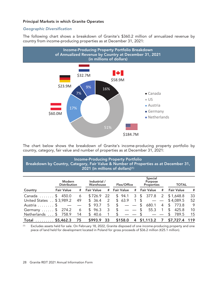# <span id="page-27-0"></span>Principal Markets in which Granite Operates

# *Geographic Diversification*

The following chart shows a breakdown of Granite's \$360.2 million of annualized revenue by country from income-producing properties as at December 31, 2021:



The chart below shows the breakdown of Granite's income-producing property portfolio by country, category, fair value and number of properties as at December 31, 2021:

# Income-Producing Property Portfolio Breakdown by Country, Category, Fair Value & Number of Properties as at December 31, 2021 (in millions of dollars)(1)

| Modern<br><b>Distribution</b>             |    | Industrial /<br>Warehouse |    |    | Flex/Office       |                           |    | <b>Special</b><br><b>Purpose</b><br><b>Properties</b> |                |    | <b>TOTAL</b>      |   |     |                   |     |
|-------------------------------------------|----|---------------------------|----|----|-------------------|---------------------------|----|-------------------------------------------------------|----------------|----|-------------------|---|-----|-------------------|-----|
| Country                                   |    | <b>Fair Value</b>         | #  |    | <b>Fair Value</b> | #                         |    | <b>Fair Value</b>                                     | #              |    | <b>Fair Value</b> | # |     | <b>Fair Value</b> | #   |
| $Canada$                                  | S. | 450.0                     | 6  |    | \$726.9           | 22                        | S. | 94.1                                                  | 3 <sup>1</sup> | S. | 377.8             | 2 |     | \$1,648.8         | 33  |
| United States \$ 3,989.2                  |    |                           | 49 |    | \$36.4            | $\mathbf{2}^{\mathsf{I}}$ | S. | 63.9                                                  |                | S  |                   |   |     | \$4,089.5         | 52  |
| Austria                                   |    |                           |    | S. | 93.7              | 5                         |    |                                                       |                |    | 680.1             | 4 | \$. | 773.8             | 9   |
| Germany $\dots \dots$ \$                  |    | 274.2                     | 6  | S. | 96.3              | 3                         | S  |                                                       |                |    | 55.3              |   | \$. | 425.8             | 10  |
| Netherlands  \$                           |    | 758.9                     | 14 | S. | 40.6              |                           |    |                                                       |                |    |                   |   |     | 789.5             | 15  |
| $\ldots \ldots \ldots$ \$5,462.3<br>Total |    |                           | 75 |    | \$993.9           | 33                        |    | \$158.0                                               | 4              |    | \$1,113.2         |   |     | \$7,727.4         | 119 |

(1) Excludes assets held for sale. On February 18, 2022, Granite disposed of one income-producing property and one piece of land held for development located in Poland for gross proceeds of \$36.2 million (€25.1 million).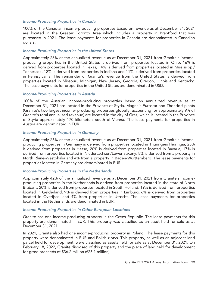# *Income-Producing Properties in Canada*

100% of the Canadian income-producing properties based on revenue as at December 31, 2021 are located in the Greater Toronto Area which includes a property in Brantford that was purchased in 2021. The lease payments for properties in Canada are denominated in Canadian dollars.

#### *Income-Producing Properties in the United States*

Approximately 23% of the annualized revenue as at December 31, 2021 from Granite's incomeproducing properties in the United States is derived from properties located in Ohio, 16% is derived from properties located in Texas, 14% is derived from properties located in Mississippi/ Tennessee, 12% is derived from properties in Indiana and 11% is derived from properties located in Pennsylvania. The remainder of Granite's revenue from the United States is derived from properties located in Missouri, Michigan, New Jersey, Georgia, Oregon, Illinois and Kentucky. The lease payments for properties in the United States are denominated in USD.

#### *Income-Producing Properties in Austria*

100% of the Austrian income-producing properties based on annualized revenue as at December 31, 2021 are located in the Province of Styria. Magna's Eurostar and Thondorf plants (Granite's two largest income- producing properties globally, accounting for approximately 9% of Granite's total annualized revenue) are located in the city of Graz, which is located in the Province of Styria approximately 170 kilometers south of Vienna. The lease payments for properties in Austria are denominated in EUR.

#### *Income-Producing Properties in Germany*

Approximately 26% of the annualized revenue as at December 31, 2021 from Granite's incomeproducing properties in Germany is derived from properties located in Thüringen/Thuringia, 25% is derived from properties in Hesse, 20% is derived from properties located in Bavaria, 17% is derived from properties located in Niedersachsen/Lower Saxony, 8% is derived from a property in North Rhine-Westphalia and 4% from a property in Baden-Württemberg. The lease payments for properties located in Germany are denominated in EUR.

#### *Income-Producing Properties in the Netherlands*

Approximately 42% of the annualized revenue as at December 31, 2021 from Granite's incomeproducing properties in the Netherlands is derived from properties located in the state of North Brabant, 20% is derived from properties located in South Holland, 19% is derived from properties located in Gelderland, 9% is derived from properties in Limburg, 6% is derived from properties located in Overijssel and 4% from properties in Utrecht. The lease payments for properties located in the Netherlands are denominated in EUR.

#### *Income-Producing Properties in Other European Locations*

Granite has one income-producing property in the Czech Republic. The lease payments for this property are denominated in EUR. This property was classified as an asset held for sale as at December 31, 2021.

In 2021, Granite also had one income-producing property in Poland. The lease payments for this property were denominated in EUR and Polish zlotys. This property, as well as an adjacent land parcel held for development, were classified as assets held for sale as at December 31, 2021. On February 18, 2022, Granite disposed of this property and the piece of land held for development for gross proceeds of \$36.2 million (€25.1 million).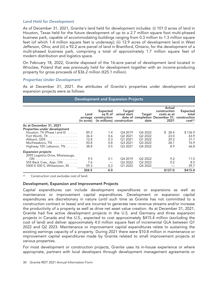# <span id="page-29-0"></span>*Land Held for Development*

As of December 31, 2021, Granite's land held for development includes: (i) 101.0 acres of land in Houston, Texas held for the future development of up to a 2.7 million square foot multi-phased business park, capable of accommodating buildings ranging from 0.3 million to 1.3 million square feet (of which 1.4 million square feet is underway); (ii) 12.9 acres of development land in West Jefferson, Ohio; and (iii) a 92.2 acre parcel of land in Brantford, Ontario, for the development of a multi-phased business park, comprising a total of approximately 1.7 million square feet of modern distribution and logistics space.

On February 18, 2022, Granite disposed of the 16-acre parcel of development land located in Wroclaw, Poland that was previously held for development together with an income-producing property for gross proceeds of \$36.2 million (€25.1 million).

# *Properties Under Development*

As at December 31, 2021. the attributes of Granite's properties under development and expansion projects were as follows:

|                                                                 |                    |                                  | <b>Development and Expansion Projects</b>                      |                     |                                                                                               |                                   |
|-----------------------------------------------------------------|--------------------|----------------------------------|----------------------------------------------------------------|---------------------|-----------------------------------------------------------------------------------------------|-----------------------------------|
|                                                                 | Land<br>(in acres) | Expected<br>acreage construction | Target/<br>sq ft of actual start<br>(in millions) construction | Target<br>date      | Actual<br>construction<br>costs as at<br>date of completion December 31, construction<br>2021 | Expected<br>total<br>$cost^{(1)}$ |
| As at December 31, 2021                                         |                    |                                  |                                                                |                     |                                                                                               |                                   |
| Properties under development                                    |                    |                                  |                                                                |                     |                                                                                               |                                   |
| Houston, TX (Phase I and II)                                    | 89.3               | 1.4                              | Q4 2019                                                        | Q4 2022             | 28.4<br>\$.                                                                                   | \$136.9                           |
| Fort Worth, TX                                                  | 36.4               | 0.6                              | Q <sub>2</sub> 2021                                            | Q <sub>2</sub> 2022 | 23.0                                                                                          | 43.9                              |
| Altbach, GER                                                    | 12.8               | 0.3                              | Q1 2021                                                        | Q1 2022             | 29.2                                                                                          | 31.7                              |
| Murfreesboro, TN                                                | 50.8               | 0.8                              | Q3 2021                                                        | Q3 2022             | 28.1                                                                                          | 76.9                              |
| Highway 109, Lebanon, TN                                        | 38.8               | 0.5                              | Q3 2021                                                        | Q4 2022             | 8.9                                                                                           | 66.8                              |
| <b>Expansion projects</b><br>2095 Logistics Drive, Mississauga, |                    |                                  |                                                                |                     |                                                                                               |                                   |
|                                                                 | 9.5                | 0.1                              | Q4 2019                                                        | Q <sub>2</sub> 2022 | 9.2                                                                                           | 11.0                              |
| 555 Beck Cres., Ajax, ON                                        | 7.6                |                                  | Q <sub>2</sub> 2022                                            | Q <sub>2</sub> 2023 | 0.2                                                                                           | 8.5                               |
| 5400 E 500 S, Whitestown, IN                                    | 59.3               | 0.3                              | Q1 2022                                                        | Q4 2022             |                                                                                               | 39.7                              |
|                                                                 | 304.5              | 4.0                              |                                                                |                     | \$127.0                                                                                       | \$415.4                           |

(1) Construction cost excludes cost of land.

#### Development, Expansion and Improvement Projects

Capital expenditures can include development expenditures or expansions as well as maintenance or improvement capital expenditures. Development or expansion capital expenditures are discretionary in nature (until such time as Granite has not committed to a construction contract or lease) and are incurred to generate new revenue streams and/or increase the productivity of a property as well as drive net asset value creation. As at December 31, 2021, Granite had five active development projects in the U.S. and Germany and three expansion projects in Canada and the U.S., expected to cost approximately \$415.4 million (excluding the cost of land) and deliver approximately 4.0 million square feet of incremental GLA between Q1 2022 and Q2 2023. Maintenance or improvement capital expenditures relate to sustaining the existing earnings capacity of a property. During 2021 there were \$10.8 million in maintenance or improvement capital expenditures made by Granite related to small improvement projects at various properties.

For most development or construction projects, Granite uses its in-house experience or where appropriate, partners with local developers through development management agreements or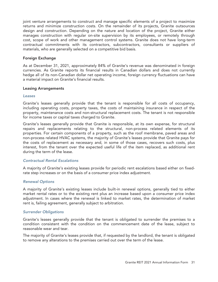<span id="page-30-0"></span>joint venture arrangements to construct and manage specific elements of a project to maximize returns and minimize construction costs. On the remainder of its projects, Granite outsources design and construction. Depending on the nature and location of the project, Granite either manages construction with regular on-site supervision by its employees, or remotely through cost, scope of work and other management control systems. Granite does not have long-term contractual commitments with its contractors, subcontractors, consultants or suppliers of materials, who are generally selected on a competitive bid basis.

## Foreign Exchange

As at December 31, 2021, approximately 84% of Granite's revenue was denominated in foreign currencies. As Granite reports its financial results in Canadian dollars and does not currently hedge all of its non-Canadian dollar net operating income, foreign currency fluctuations can have a material impact on Granite's financial results.

#### Leasing Arrangements

#### *Leases*

Granite's leases generally provide that the tenant is responsible for all costs of occupancy, including operating costs, property taxes, the costs of maintaining insurance in respect of the property, maintenance costs and non-structural replacement costs. The tenant is not responsible for income taxes or capital taxes charged to Granite.

Granite's leases generally provide that Granite is responsible, at its own expense, for structural repairs and replacements relating to the structural, non-process related elements of its properties. For certain components of a property, such as the roof membrane, paved areas and non-process related HVAC systems, the majority of Granite's leases provide that Granite pays for the costs of replacement as necessary and, in some of those cases, recovers such costs, plus interest, from the tenant over the expected useful life of the item replaced, as additional rent during the term of the lease.

#### *Contractual Rental Escalations*

A majority of Granite's existing leases provide for periodic rent escalations based either on fixedrate step increases or on the basis of a consumer price index adjustment.

#### *Renewal Options*

A majority of Granite's existing leases include built-in renewal options, generally tied to either market rental rates or to the existing rent plus an increase based upon a consumer price index adjustment. In cases where the renewal is linked to market rates, the determination of market rent is, failing agreement, generally subject to arbitration.

#### *Surrender Obligations*

Granite's leases generally provide that the tenant is obligated to surrender the premises to a condition consistent with the condition on the commencement date of the lease, subject to reasonable wear and tear.

The majority of Granite's leases provide that, if requested by the landlord, the tenant is obligated to remove any alterations to the premises carried out over the term of the lease.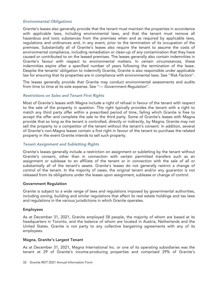# <span id="page-31-0"></span>*Environmental Obligations*

Granite's leases also generally provide that the tenant must maintain the properties in accordance with applicable laws, including environmental laws, and that the tenant must remove all hazardous and toxic substances from the premises when and as required by applicable laws, regulations and ordinances and, in any event, prior to the termination of its occupation of the premises. Substantially all of Granite's leases also require the tenant to assume the costs of environmental compliance, including remediation or clean-up of any contamination that they have caused or contributed to on the leased premises. The leases generally also contain indemnities in Granite's favour with respect to environmental matters. In certain circumstances, these indemnities expire after a specified number of years following the termination of the lease. Despite the tenants' obligation to indemnify Granite, Granite is also responsible under applicable law for ensuring that its properties are in compliance with environmental laws. See ''*Risk Factors*''.

The leases generally provide that Granite may conduct environmental assessments and audits from time to time at its sole expense. See ''— *Government Regulation*''.

#### *Restrictions on Sales and Tenant First Rights*

Most of Granite's leases with Magna include a right of refusal in favour of the tenant with respect to the sale of the property in question. This right typically provides the tenant with a right to match any third party offer within a prescribed period of time, failing which Granite is free to accept the offer and complete the sale to the third party. Some of Granite's leases with Magna provide that so long as the tenant is controlled, directly or indirectly, by Magna, Granite may not sell the property to a competitor of the tenant without the tenant's consent. In addition, several of Granite's non-Magna leases contain a first right in favour of the tenant to purchase the related property in the event Granite intends to sell such property.

# *Tenant Assignment and Subletting Rights*

Granite's leases generally include a restriction on assignment or subletting by the tenant without Granite's consent, other than in connection with certain permitted transfers such as an assignment or sublease to an affiliate of the tenant or in connection with the sale of all or substantially all of the tenant's assets. Granite's leases do not generally restrict a change of control of the tenant. In the majority of cases, the original tenant and/or any guarantor is not released from its obligations under the leases upon assignment, sublease or change of control.

#### Government Regulation

Granite is subject to a wide range of laws and regulations imposed by governmental authorities, including zoning, building and similar regulations that affect its real estate holdings and tax laws and regulations in the various jurisdictions in which Granite operates.

# Employees

As at December 31, 2021, Granite employed 58 people, the majority of whom are based at its headquarters in Toronto, and the balance of whom are located in Austria, Netherlands and the United States. Granite is not party to any collective bargaining agreements with any of its employees.

#### Magna, Granite's Largest Tenant

As at December 31, 2021, Magna International Inc. or one of its operating subsidiaries was the tenant at 29 of Granite's income-producing properties and comprised 29% of Granite's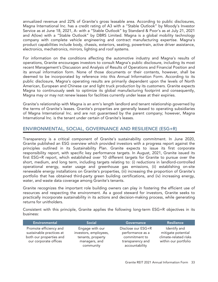<span id="page-32-0"></span>annualized revenue and 22% of Granite's gross leasable area. According to public disclosures, Magna International Inc. has a credit rating of A3 with a "Stable Outlook" by Moody's Investor Service as at June 18, 2021, A- with a "Stable Outlook" by Standard & Poor's as at July 21, 2021 and A(low) with a "Stable Outlook" by DBRS Limited. Magna is a global mobility technology company with complete vehicle engineering and contract manufacturing expertise. Magna's product capabilities include body, chassis, exteriors, seating, powertrain, active driver assistance, electronics, mechatronics, mirrors, lighting and roof systems.

For information on the conditions affecting the automotive industry and Magna's results of operations, Granite encourages investors to consult Magna's public disclosure, including its most recent Management's Discussion and Analysis of Results of Operations and Financial Position and its annual information form. None of those documents or their contents, however, shall be deemed to be incorporated by reference into this Annual Information Form. According to its public disclosure, Magna's operating results are primarily dependent upon the levels of North American, European and Chinese car and light truck production by its customers. Granite expects Magna to continuously seek to optimize its global manufacturing footprint and consequently, Magna may or may not renew leases for facilities currently under lease at their expiries.

Granite's relationship with Magna is an arm's length landlord and tenant relationship governed by the terms of Granite's leases. Granite's properties are generally leased to operating subsidiaries of Magna International Inc. and are not guaranteed by the parent company; however, Magna International Inc. is the tenant under certain of Granite's leases.

# ENVIRONMENTAL, SOCIAL, GOVERNANCE AND RESILIENCE (ESG+R)

Transparency is a critical component of Granite's sustainability commitment. In June 2020, Granite published an ESG overview which provided investors with a progress report against the principles outlined in its Sustainability Plan. Granite expects to issue its first corporate responsibility report, with specific key performance targets. In August, 2021, Granite issued its first ESG+R report, which established over 10 different targets for Granite to pursue over the short, medium, and long term, including targets relating to: (i) reductions in landlord-controlled operational energy, water usage and greenhouse gas emissions, (ii) establishing on-site renewable energy installations on Granite's properties, (iii) increasing the proportion of Granite's portfolio that has obtained third-party green building certifications, and (iv) increasing energy, water, and waste data coverage among Granite's tenants.

Granite recognizes the important role building owners can play in fostering the efficient use of resources and respecting the environment. As a good steward for investors, Granite seeks to practically incorporate sustainability in its actions and decision-making process, while generating returns for unitholders.

Consistent with this principle, Granite applies the following long-term ESG+R objectives in its business:

| Environmental                                                                                          | <b>Social</b>                                                                               | Governance                                                                                    | <b>Resilience</b>                                                                   |
|--------------------------------------------------------------------------------------------------------|---------------------------------------------------------------------------------------------|-----------------------------------------------------------------------------------------------|-------------------------------------------------------------------------------------|
| Promote efficiency and<br>sustainable practices at<br>both our properties and<br>our corporate offices | Engage with our<br>investors, employees,<br>tenants, property<br>managers, and<br>community | Disclose our ESG+R<br>performance as a<br>commitment to<br>transparency and<br>accountability | Identify and<br>mitigate potential<br>climate-related risks<br>within our portfolio |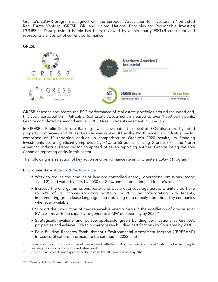Granite's ESG+R program is aligned with the European Association for Investors in Non-Listed Real Estate Vehicles, GRESB, GRI and United Nations' Principles for Responsible Investing ("UNPRI"). Data provided herein has been reviewed by a third party ESG+R consultant and represents a snapshot of current performance.

GRESB



GRESB assesses and scores the ESG performance of real estate portfolios around the world and, this year, participation in GRESB's Real Estate Assessment increased to over 1,500 participants. Granite completed its second annual GRESB Real Estate Assessment in June 2021.

In GRESB's Public Disclosure Rankings, which evaluates the level of ESG disclosure by listed property companies and REITs, Granite was ranked #1 in the North American Industrial sector comprised of 10 reporting entities. In comparison to Granite's 2020 results, its Standing Investments score significantly improved by 76% to 65 points, placing Granite  $3^{rd}$  in the North American Industrial Listed sector comprised of seven reporting entities, Granite being the sole Canadian reporting entity in this sector.

The following is a selection of key action and performance items of Granite's ESG+R Program:

# Environmental – *Actions & Performance*

- Work to reduce the amount of landlord-controlled energy, operational emissions (scope 1 and 2), and water by 25% by 2030 (or 2.5% annual reduction) at Granite's assets(1);
- Increase the energy, emissions, water and waste data coverage across Granite's portfolio to 50% of its income-producing portfolio by 2030 by collaborating with tenants, implementing green lease language, and obtaining data directly from the utility companies whenever available;
- Support the production of new renewable energy through the installation of on-site solar PV systems with the capacity to generate 5 MW of electricity by 2025<sup>(2)</sup>;
- Strategically evaluate and pursue applicable green building certifications at Granite's properties and achieve 30% third-party green building certifications by floor area by 2030;
- Four Building Research Establishment's Environmental Assessment Method ("BREEAM") In-Use certifications in process to be certified in 2022; and

<sup>(1)</sup> Granite's emissions reduction targets are aligned with the goal of the Paris Accords of limiting global warming to two degrees Celsius above pre-industrial levels.

<sup>(2)</sup> Onsite solar projects are expected to be installed at 10 Granite assets by 2023.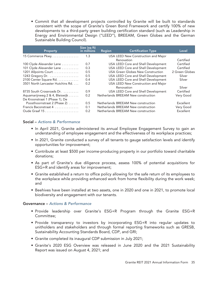• Commit that all development projects controlled by Granite will be built to standards consistent with the scope of Granite's Green Bond Framework and certify 100% of new developments to a third-party green building certification standard (such as Leadership in Energy and Environmental Design ("LEED"), BREEAM, Green Globes and the German Sustainable Building Council).

| Property                          | Size (sq ft)<br>in millions | Region | <b>Certification Type</b>                | Level          |
|-----------------------------------|-----------------------------|--------|------------------------------------------|----------------|
| 15 Commerce Pkwy.                 | 1.3                         |        | USA LEED New Construction and Major      |                |
|                                   |                             |        | Renovation                               | Certified      |
| 100 Clyde Alexander Lane          | 0.7                         |        | USA LEED Core and Shell Development      | Certified      |
| 101 Clyde Alexander Lane          | 0.3                         |        | USA LEED Core and Shell Development      | Certified      |
| 1201 Allpoints Court              | 0.5                         |        | <b>USA Green Globes New Construction</b> | 2 Green Globes |
| 1243 Gregory Dr.                  | 0.5                         |        | USA LEED Core and Shell Development      | Silver         |
| 2100 Center Square Rd.            | 0.4                         |        | USA LEED Core and Shell Development      | Silver         |
| 3501 North Lancaster Hutchins Rd. | 0.2                         |        | USA LEED New Construction and Major      |                |
|                                   |                             |        | Renovation                               | Silver         |
| 8735 South Crossroads Dr.         | 0.9                         |        | USA LEED Core and Shell Development      | Certified      |
| Aquamarijnweg 2 & 4, Bleiswijk    | 0.2                         |        | Netherlands BREEAM New construction      | Very Good      |
| De Kroonstraat 1 (Phase 1), De    |                             |        |                                          |                |
| Poosthoornstraat 2 (Phase 2)      | 0.5                         |        | Netherlands BREEAM New construction      | Excellent      |
| Francis Baconstraat 4             | 0.1                         |        | Netherlands BREEAM New construction      | Very Good      |
| Oude Graaf 15                     | 0.2                         |        | Netherlands BREEAM New construction      | Excellent      |

#### Social – *Actions & Performance*

- In April 2021, Granite administered its annual Employee Engagement Survey to gain an understanding of employee engagement and the effectiveness of its workplace practices;
- In 2021, Granite conducted a survey of all tenants to gauge satisfaction levels and identify opportunities for improvement;
- Contribute at least \$500 per income-producing property in our portfolio toward charitable donations;
- As part of Granite's due diligence process, assess 100% of potential acquisitions for ESG+R and identify areas for improvement;
- Granite established a return to office policy allowing for the safe return of its employees to the workplace while providing enhanced work from home flexibility during the work week; and
- Beehives have been installed at two assets, one in 2020 and one in 2021, to promote local biodiversity and engagement with our tenants.

# Governance – *Actions & Performance*

- Provide leadership over Granite's ESG+R Program through the Granite ESG+R Committee;
- Provide transparency to investors by incorporating ESG+R into regular updates to unitholders and stakeholders and through formal reporting frameworks such as GRESB, Sustainability Accounting Standards Board, CDP, and GRI;
- Granite completed its inaugural CDP submission in July 2021;
- Granite's 2020 ESG Overview was released in June 2020 and the 2021 Sustainability Report was issued on August 4, 2021; and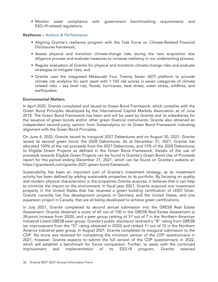Monitor asset compliance with government benchmarking requirements and ESG+R-related regulations.

## Resilience – *Actions & Performance*

- Aligning Granite's resilience program with the Task Force on Climate-Related Financial Disclosures framework;
- Assess physical and transition climate-change risks during the new acquisition due diligence process and evaluate measures to increase resiliency in our underwriting process;
- Regular evaluation of Granite for physical and transition climate-change risks and evaluate strategies to mitigate risks; and
- Granite uses the integrated Measurabl Four Twenty Seven (427) platform to provide climate risk analytics for each asset with 1-100 risk scores in seven categories of climate related risks – sea level rise, floods, hurricanes, heat stress, water stress, wildfires, and earthquakes.

#### Environmental Matters

In April 2020, Granite completed and issued its Green Bond Framework, which complies with the Green Bond Principles developed by the International Capital Markets Association as of June 2018. The Green Bond Framework has been and will be used by Granite and its subsidiaries for the issuance of green bonds and/or other green financial instruments. Granite also obtained an independent second party opinion from Sustainalytics on its Green Bond Framework indicating alignment with the Green Bond Principles.

On June 4, 2020, Granite issued its inaugural 2027 Debentures and on August 30, 2021, Granite issued its second green bond, the 2028 Debentures. As at December 31, 2021, Granite has allocated 100% of the net proceeds from the 2027 Debentures, and 15% of the 2028 Debentures to Eligible Green Projects as defined in the Green Bond Framework. Details of the use of proceeds towards Eligible Green Projects can be found in Granite's Green Bond Use of Proceeds report for the period ending December 31, 2021, which can be found on Granite's website at: [https://granitereit.com/granite-2021-green-bond-framework.](https://granitereit.com/granite-2021-green-bond-framework)

Sustainability has been an important part of Granite's investment strategy, as its investment activity has been defined by adding sustainable properties to its portfolio. By focusing on quality and modern physical characteristics in the properties Granite acquires, it believes that it can help to minimize the impact on the environment. In fiscal year 2021, Granite acquired one investment property in the United States that has received a green building certification of LEED Silver. Granite currently has five development projects in Germany and the United States, and one expansion project in Canada, that are all being developed to achieve green certifications.

In July 2021, Granite completed its second annual submission into the GRESB Real Estate Assessment. Granite obtained a score of 65 out of 100 in the GRESB Real Estate Assessment (a 28-point increase from 2020), and a peer group ranking of  $3<sup>rd</sup>$  out of 7 in the Northern American Industrial Listed GRESB peer group. Granite's public disclosure received a "B" rating from GRESB (an improvement from the "D" rating obtained in 2020) and ranked 1st out of 10 in the Northern America Industrial peer group. In August 2021, Granite completed its inaugural submission to the CDP. No score was received for completing the minimum version of the CDP questionnaire in 2021; however, Granite expects to submit the full version of the CDP questionnaire in 2022, which will establish a benchmark for future comparison. Further, to assist with the continued improvement and implementation of its ESG+R program, Granite retained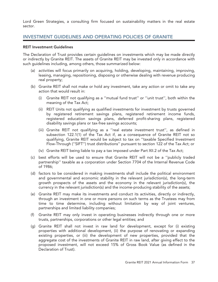Lord Green Strategies, a consulting firm focused on sustainability matters in the real estate sector.

# INVESTMENT GUIDELINES AND OPERATING POLICIES OF GRANITE

#### REIT Investment Guidelines

The Declaration of Trust provides certain guidelines on investments which may be made directly or indirectly by Granite REIT. The assets of Granite REIT may be invested only in accordance with such guidelines including, among others, those summarized below:

- (a) activities will focus primarily on acquiring, holding, developing, maintaining, improving, leasing, managing, repositioning, disposing or otherwise dealing with revenue producing real property;
- (b) Granite REIT shall not make or hold any investment, take any action or omit to take any action that would result in:
	- (i) Granite REIT not qualifying as a ''mutual fund trust'' or ''unit trust'', both within the meaning of the Tax Act;
	- (ii) REIT Units not qualifying as qualified investments for investment by trusts governed by registered retirement savings plans, registered retirement income funds, registered education savings plans, deferred profit-sharing plans, registered disability savings plans or tax-free savings accounts;
	- (iii) Granite REIT not qualifying as a ''real estate investment trust'', as defined in subsection 122.1(1) of the Tax Act if, as a consequence of Granite REIT not so qualifying, Granite REIT would be subject to tax on ''taxable Specified Investment Flow-Through (''SIFT'') trust distributions'' pursuant to section 122 of the Tax Act; or
	- (iv) Granite REIT being liable to pay a tax imposed under Part XII.2 of the Tax Act;
- (c) best efforts will be used to ensure that Granite REIT will not be a ''publicly traded partnership'' taxable as a corporation under Section 7704 of the Internal Revenue Code of 1986;
- (d) factors to be considered in making investments shall include the political environment and governmental and economic stability in the relevant jurisdiction(s), the long-term growth prospects of the assets and the economy in the relevant jurisdiction(s), the currency in the relevant jurisdiction(s) and the income-producing stability of the assets;
- (e) Granite REIT may make its investments and conduct its activities, directly or indirectly, through an investment in one or more persons on such terms as the Trustees may from time to time determine, including without limitation by way of joint ventures, partnerships and limited liability companies;
- (f) Granite REIT may only invest in operating businesses indirectly through one or more trusts, partnerships, corporations or other legal entities; and
- (g) Granite REIT shall not invest in raw land for development, except for (i) existing properties with additional development, (ii) the purpose of renovating or expanding existing properties, or (iii) the development of new properties, provided that the aggregate cost of the investments of Granite REIT in raw land, after giving effect to the proposed investment, will not exceed 15% of Gross Book Value (as defined in the Declaration of Trust).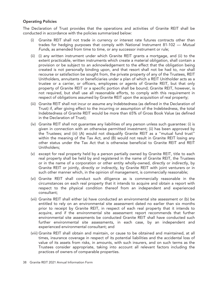## Operating Policies

The Declaration of Trust provides that the operations and activities of Granite REIT shall be conducted in accordance with the policies summarized below:

- (i) Granite REIT shall not trade in currency or interest rate futures contracts other than trades for hedging purposes that comply with National Instrument 81-102 — *Mutual Funds*, as amended from time to time, or any successor instrument or rule;
- (ii) (i) any written instrument under which Granite REIT grants a mortgage, and (ii) to the extent practicable, written instruments which create a material obligation, shall contain a provision or be subject to an acknowledgement to the effect that the obligation being created is not personally binding upon, and that resort shall not be had to, nor shall recourse or satisfaction be sought from, the private property of any of the Trustees, REIT Unitholders, annuitants or beneficiaries under a plan of which a REIT Unitholder acts as a trustee or a carrier, or officers, employees or agents of Granite REIT, but that only property of Granite REIT or a specific portion shall be bound; Granite REIT, however, is not required, but shall use all reasonable efforts, to comply with this requirement in respect of obligations assumed by Granite REIT upon the acquisition of real property;
- (iii) Granite REIT shall not incur or assume any Indebtedness (as defined in the Declaration of Trust) if, after giving effect to the incurring or assumption of the Indebtedness, the total Indebtedness of Granite REIT would be more than 65% of Gross Book Value (as defined in the Declaration of Trust);
- (iv) Granite REIT shall not guarantee any liabilities of any person unless such guarantee: (i) is given in connection with an otherwise permitted investment; (ii) has been approved by the Trustees; and (iii) (A) would not disqualify Granite REIT as a ''mutual fund trust'' within the meaning of the Tax Act, and (B) would not result in Granite REIT losing any other status under the Tax Act that is otherwise beneficial to Granite REIT and REIT Unitholders;
- (v) except for real property held by a person partially owned by Granite REIT, title to each real property shall be held by and registered in the name of Granite REIT, the Trustees or in the name of a corporation or other entity wholly-owned, directly or indirectly, by Granite REIT or jointly, directly or indirectly, by Granite REIT with joint venturers or in such other manner which, in the opinion of management, is commercially reasonable;
- (vi) Granite REIT shall conduct such diligence as is commercially reasonable in the circumstances on each real property that it intends to acquire and obtain a report with respect to the physical condition thereof from an independent and experienced consultant;
- (vii) Granite REIT shall either (a) have conducted an environmental site assessment or (b) be entitled to rely on an environmental site assessment dated no earlier than six months prior to receipt by Granite REIT, in respect of each real property that it intends to acquire, and if the environmental site assessment report recommends that further environmental site assessments be conducted Granite REIT shall have conducted such further environmental site assessments, in each case, by an independent and experienced environmental consultant; and
- (viii) Granite REIT shall obtain and maintain, or cause to be obtained and maintained, at all times, insurance coverage in respect of its potential liabilities and the accidental loss of value of its assets from risks, in amounts, with such insurers, and on such terms as the Trustees consider appropriate, taking into account all relevant factors including the practices of owners of comparable properties.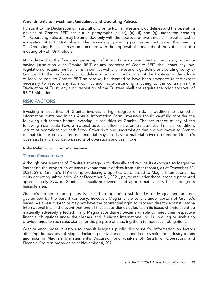## Amendments to Investment Guidelines and Operating Policies

Pursuant to the Declaration of Trust, all of Granite REIT's investment guidelines and the operating policies of Granite REIT set out in paragraphs (a), (c), (d), (f) and (g) under the heading ''— Operating Policies'' may be amended only with the approval of two-thirds of the votes cast at a meeting of REIT Unitholders. The remaining operating policies set out under the heading ''— Operating Policies'' may be amended with the approval of a majority of the votes cast at a meeting of REIT Unitholders.

Notwithstanding the foregoing paragraph, if at any time a government or regulatory authority having jurisdiction over Granite REIT or any property of Granite REIT shall enact any law, regulation or requirement which is in conflict with any investment guideline or operating policy of Granite REIT then in force, such guideline or policy in conflict shall, if the Trustees on the advice of legal counsel to Granite REIT so resolve, be deemed to have been amended to the extent necessary to resolve any such conflict and, notwithstanding anything to the contrary in the Declaration of Trust, any such resolution of the Trustees shall not require the prior approval of REIT Unitholders.

# RISK FACTORS

Investing in securities of Granite involves a high degree of risk. In addition to the other information contained in this Annual Information Form, investors should carefully consider the following risk factors before investing in securities of Granite. The occurrence of any of the following risks could have a material adverse effect on Granite's business, financial condition, results of operations and cash flows. Other risks and uncertainties that are not known to Granite or that Granite believes are not material may also have a material adverse effect on Granite's business, financial condition, results of operations and cash flows.

#### Risks Relating to Granite's Business

#### *Tenant Concentration*

Although one element of Granite's strategy is to diversify and reduce its exposure to Magna by increasing the proportion of lease revenue that it derives from other tenants, as at December 31, 2021, 29 of Granite's 119 income-producing properties were leased to Magna International Inc. or its operating subsidiaries. As at December 31, 2021, payments under those leases represented approximately 29% of Granite's annualized revenue and approximately 22% based on gross leasable area.

Granite's properties are generally leased to operating subsidiaries of Magna and are not guaranteed by the parent company, however, Magna is the tenant under certain of Granite's leases. As a result, Granite may not have the contractual right to proceed directly against Magna International Inc. in the event that one of these subsidiaries defaults on its lease. Granite could be materially adversely affected if any Magna subsidiaries became unable to meet their respective financial obligations under their leases, and if Magna International Inc. is unwilling or unable to provide funds to such subsidiaries for the purpose of enabling them to meet such obligations.

Granite encourages investors to consult Magna's public disclosure for information on factors affecting the business of Magna, including the factors described in the section on industry trends and risks in Magna's Management's Discussion and Analysis of Results of Operations and Financial Position prepared as at November 4, 2021.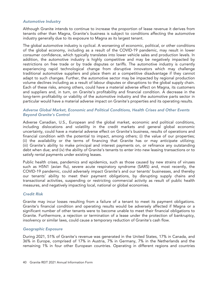## *Automotive Industry*

Although Granite intends to continue to increase the proportion of lease revenue it derives from tenants other than Magna, Granite's business is subject to conditions affecting the automotive industry generally due to its exposure to Magna as its largest tenant.

The global automotive industry is cyclical. A worsening of economic, political, or other conditions of the global economy, including as a result of the COVID-19 pandemic, may result in lower consumer confidence, which typically translates into lower vehicle sales and production levels. In addition, the automotive industry is highly competitive and may be negatively impacted by restrictions on free trade or by trade disputes or tariffs. The automotive industry is currently experiencing rapid technological change from disruptive innovators which may challenge traditional automotive suppliers and place them at a competitive disadvantage if they cannot adapt to such changes. Further, the automotive sector may be impacted by regional production volume declines including as a result of labour disputes or disruptions to the global supply chain. Each of these risks, among others, could have a material adverse effect on Magna, its customers and suppliers and, in turn, on Granite's profitability and financial condition. A decrease in the long-term profitability or viability of the automotive industry and the automotive parts sector in particular would have a material adverse impact on Granite's properties and its operating results.

#### *Adverse Global Market, Economic and Political Conditions, Health Crises and Other Events Beyond Granite's Control*

Adverse Canadian, U.S., European and the global market, economic and political conditions, including dislocations and volatility in the credit markets and general global economic uncertainty, could have a material adverse effect on Granite's business, results of operations and financial condition with the potential to impact, among others; (i) the value of our properties; (ii) the availability or the terms of financing that Granite has or may anticipate utilizing; (iii) Granite's ability to make principal and interest payments on, or refinance any outstanding debt when due; and (iv) the ability of Granite's tenants to enter into new leasing transactions or to satisfy rental payments under existing leases.

Public health crises, pandemics and epidemics, such as those caused by new strains of viruses such as H5N1 (avian flu), severe acute respiratory syndrome (SARS) and, most recently, the COVID-19 pandemic, could adversely impact Granite's and our tenants' businesses, and thereby our tenants' ability to meet their payment obligations, by disrupting supply chains and transactional activities, suspending or restricting commercial activity as result of public health measures, and negatively impacting local, national or global economies.

#### *Credit Risk*

Granite may incur losses resulting from a failure of a tenant to meet its payment obligations. Granite's financial condition and operating results would be adversely affected if Magna or a significant number of other tenants were to become unable to meet their financial obligations to Granite. Furthermore, a rejection or termination of a lease under the protection of bankruptcy, insolvency or similar laws, could cause a temporary reduction of Granite's cash flow.

#### *Geographic Exposure*

During 2021, 51% of Granite's revenue was generated in the United States, 17% in Canada, and 36% in Europe, comprised of 17% in Austria, 7% in Germany, 7% in the Netherlands and the remaining 1% in four other European countries. Operating in different regions and countries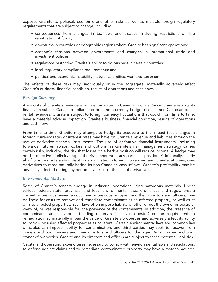exposes Granite to political, economic and other risks as well as multiple foreign regulatory requirements that are subject to change, including:

- consequences from changes in tax laws and treaties, including restrictions on the repatriation of funds;
- downturns in countries or geographic regions where Granite has significant operations;
- economic tensions between governments and changes in international trade and investment policies;
- regulations restricting Granite's ability to do business in certain countries;
- local regulatory compliance requirements; and
- political and economic instability, natural calamities, war, and terrorism.

The effects of these risks may, individually or in the aggregate, materially adversely affect Granite's business, financial condition, results of operations and cash flows.

#### *Foreign Currency*

A majority of Granite's revenue is not denominated in Canadian dollars. Since Granite reports its financial results in Canadian dollars and does not currently hedge all of its non-Canadian dollar rental revenues, Granite is subject to foreign currency fluctuations that could, from time to time, have a material adverse impact on Granite's business, financial condition, results of operations and cash flows.

From time to time, Granite may attempt to hedge its exposure to the impact that changes in foreign currency rates or interest rates may have on Granite's revenue and liabilities through the use of derivative financial instruments. The use of derivative financial instruments, including forwards, futures, swaps, collars and options, in Granite's risk management strategy carries certain risks, including the risk that losses on a hedge position will reduce income. A hedge may not be effective in eliminating all the risks inherent in any particular position. Additionally, nearly all of Granite's outstanding debt is denominated in foreign currencies, and Granite, at times, uses derivatives to more naturally hedge its non-Canadian cash-inflows. Granite's profitability may be adversely affected during any period as a result of the use of derivatives.

#### *Environmental Matters*

Some of Granite's tenants engage in industrial operations using hazardous materials. Under various federal, state, provincial and local environmental laws, ordinances and regulations, a current or previous owner, an occupier or previous occupier, and their directors and officers, may be liable for costs to remove and remediate contaminants at an affected property, as well as at off-site affected properties. Such laws often impose liability whether or not the owner or occupier knew of, or was responsible for, the presence of the contaminants. In addition, the presence of contaminants and hazardous building materials (such as asbestos) or the requirement to remediate, may materially impair the value of Granite's properties and adversely affect its ability to borrow by using affected properties as collateral. Certain environmental laws and common law principles can impose liability for contamination, and third parties may seek to recover from owners and prior owners and their directors and officers for damages. As an owner and prior owner of properties, Granite and its directors and officers are subject to these potential liabilities.

Capital and operating expenditures necessary to comply with environmental laws and regulations, to defend against claims and to remediate contaminated property may have a material adverse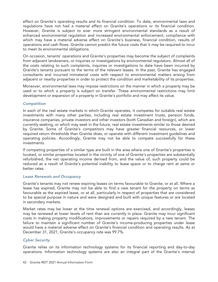effect on Granite's operating results and its financial condition. To date, environmental laws and regulations have not had a material effect on Granite's operations or its financial condition. However, Granite is subject to ever more stringent environmental standards as a result of enhanced environmental regulation and increased environmental enforcement, compliance with which may have a material adverse effect on Granite's business, financial condition, results of operations and cash flows. Granite cannot predict the future costs that it may be required to incur to meet its environmental obligations.

On occasion, tenants' operations and Granite's properties may become the subject of complaints from adjacent landowners, or inquiries or investigations by environmental regulators. Almost all of the costs relating to such complaints, inquiries or investigations to date have been incurred by Granite's tenants pursuant to the terms of the relevant leases. In the past, Granite has engaged consultants and incurred immaterial costs with respect to environmental matters arising from adjacent or nearby properties in order to protect the condition and marketability of its properties.

Moreover, environmental laws may impose restrictions on the manner in which a property may be used or to which a property is subject on transfer. These environmental restrictions may limit development or expansion of a property in Granite's portfolio and may affect its value.

## *Competition*

In each of the real estate markets in which Granite operates, it competes for suitable real estate investments with many other parties, including real estate investment trusts, pension funds, insurance companies, private investors and other investors (both Canadian and foreign), which are currently seeking, or which may seek in the future, real estate investments similar to those desired by Granite. Some of Granite's competitors may have greater financial resources, or lower required return thresholds than Granite does, or operate with different investment guidelines and operating policies. Accordingly, Granite may not be able to compete successfully for these investments.

If competing properties of a similar type are built in the area where one of Granite's properties is located, or similar properties located in the vicinity of one of Granite's properties are substantially refurbished, the net operating income derived from, and the value of, such property could be reduced as a result of Granite's potential inability to lease space or to charge rent at same or better rates.

#### *Lease Renewals and Occupancy*

Granite's tenants may not renew expiring leases on terms favourable to Granite, or at all. Where a lease has expired, Granite may not be able to find a new tenant for the property on terms as favourable as the expired lease, or at all, particularly in respect of properties that are considered to be special purpose in nature and were designed and built with unique features or are located in secondary markets.

Market rates may be lower at the time renewal options are exercised, and accordingly, leases may be renewed at lower levels of rent than are currently in place. Granite may incur significant costs in making property modifications, improvements or repairs required by a new tenant. The failure to maintain a significant number of Granite's income-producing properties under lease would have a material adverse effect on Granite's financial condition and operating results. As at December 31, 2021, Granite's occupancy rate was 99.7%.

# *Cyber Security*

Granite relies on its information technology systems for its financial reporting and day-to-day operations. Information technology systems are also an integral part of the Granite's internal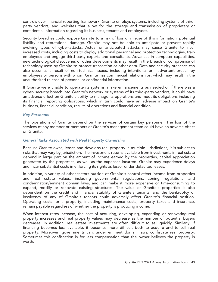controls over financial reporting framework. Granite employs systems, including systems of thirdparty vendors, and websites that allow for the storage and transmission of proprietary or confidential information regarding its business, tenants and employees.

Security breaches could expose Granite to a risk of loss or misuse of this information, potential liability and reputational damage. Granite may not be able to anticipate or prevent rapidly evolving types of cyber-attacks. Actual or anticipated attacks may cause Granite to incur increased costs, including costs to deploy additional personnel and protection technologies, train employees and engage third party experts and consultants. Advances in computer capabilities, new technological discoveries or other developments may result in the breach or compromise of technology used by Granite to protect transaction or other data. Data and security breaches can also occur as a result of non-technical issues, including intentional or inadvertent breach by employees or persons with whom Granite has commercial relationships, which may result in the unauthorized release of personal or confidential information.

If Granite were unable to operate its systems, make enhancements as needed or if there was a cyber- security breach into Granite's network or systems of its third-party vendors, it could have an adverse effect on Granite's ability to manage its operations and meet its obligations including its financial reporting obligations, which in turn could have an adverse impact on Granite's business, financial condition, results of operations and financial condition.

#### *Key Personnel*

The operations of Granite depend on the services of certain key personnel. The loss of the services of any member or members of Granite's management team could have an adverse effect on Granite.

#### *General Risks Associated with Real Property Ownership*

Because Granite owns, leases and develops real property in multiple jurisdictions, it is subject to risks that may vary by jurisdiction. The investment returns available from investments in real estate depend in large part on the amount of income earned by the properties, capital appreciation generated by the properties, as well as the expenses incurred. Granite may experience delays and incur substantial costs in enforcing its rights as lessor under defaulted leases.

In addition, a variety of other factors outside of Granite's control affect income from properties and real estate values, including governmental regulations, zoning regulations, and condemnation/eminent domain laws, and can make it more expensive or time-consuming to expand, modify or renovate existing structures. The value of Granite's properties is also dependent on the credit and financial stability of Granite's tenants, and the bankruptcy or insolvency of any of Granite's tenants could adversely affect Granite's financial position. Operating costs for a property, including maintenance costs, property taxes and insurance, remain payable regardless of whether the property is producing income.

When interest rates increase, the cost of acquiring, developing, expanding or renovating real property increases and real property values may decrease as the number of potential buyers decreases. In addition, real estate investments are often difficult to sell quickly. Similarly, if financing becomes less available, it becomes more difficult both to acquire and to sell real property. Moreover, governments can, under eminent domain laws, confiscate real property. Sometimes this confiscation is for less compensation than the owner believes the property is worth.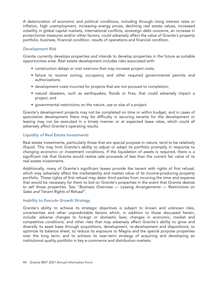A deterioration of economic and political conditions, including through rising interest rates or inflation, high unemployment, increasing energy prices, declining real estate values, increased volatility in global capital markets, international conflicts, sovereign debt concerns, an increase in protectionist measures and/or other factors, could adversely affect the value of Granite's property portfolio, business, financial condition, results of operations and financial condition.

## *Development Risk*

Granite currently develops properties and intends to develop properties in the future as suitable opportunities arise. Real estate development includes risks associated with:

- construction delays or cost overruns that may increase project costs;
- failure to receive zoning, occupancy and other required governmental permits and authorizations;
- development costs incurred for projects that are not pursued to completion;
- natural disasters, such as earthquakes, floods or fires, that could adversely impact a project; and
- governmental restrictions on the nature, use or size of a project.

Granite's development projects may not be completed on time or within budget, and in cases of speculative development there may be difficulty in securing tenants for the development or leasing may not be executed in a timely manner or at expected lease rates, which could all adversely affect Granite's operating results.

#### *Liquidity of Real Estate Investments*

Real estate investments, particularly those that are special purpose in nature, tend to be relatively illiquid. This may limit Granite's ability to adjust or adapt its portfolio promptly in response to changing economic or investment conditions. If the liquidation of assets is required, there is a significant risk that Granite would realize sale proceeds of less than the current fair value of its real estate investments.

Additionally, many of Granite's significant leases provide the tenant with rights of first refusal, which may adversely affect the marketability and market value of its income-producing property portfolio. These rights of first refusal may deter third parties from incurring the time and expense that would be necessary for them to bid on Granite's properties in the event that Granite desires to sell those properties. See ''*Business Overview — Leasing Arrangements — Restrictions on Sales and Tenant Rights of Refusal*''.

#### *Inability to Execute Growth Strategy*

Granite's ability to achieve its strategic objectives is subject to known and unknown risks, uncertainties and other unpredictable factors which, in addition to those discussed herein, include: adverse changes to foreign or domestic laws; changes in economic, market and competitive conditions; and other risks that may adversely affect Granite's ability to grow and diversify its asset base through acquisitions, development, re-development and dispositions; to optimize its balance sheet; to reduce its exposure to Magna and the special purpose properties over the long term; and to achieve its near-term strategy of acquiring and developing an institutional quality portfolio in key e-commerce and distribution markets.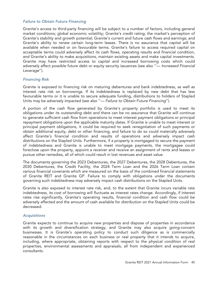## *Failure to Obtain Future Financing*

Granite's access to third-party financing will be subject to a number of factors, including general market conditions; global economic volatility; Granite's credit rating; the market's perception of Granite's stability and growth potential; Granite's current and future cash flows and earnings; and Granite's ability to renew certain long-term leases. There is no assurance that capital will be available when needed or on favourable terms. Granite's failure to access required capital on acceptable terms could adversely affect its cash flows, operating results and financial condition, and Granite's ability to make acquisitions, maintain existing assets and make capital investments. Granite may have restricted access to capital and increased borrowing costs which could adversely affect possible future debt or equity security issuances (see also ''*— Increased Financial Leverage*'').

#### *Financing Risk*

Granite is exposed to financing risk on maturing debentures and bank indebtedness, as well as interest rate risk on borrowings. If its indebtedness is replaced by new debt that has less favourable terms or it is unable to secure adequate funding, distributions to holders of Stapled Units may be adversely impacted (see also ''*— Failure to Obtain Future Financing*'').

A portion of the cash flow generated by Granite's property portfolio is used to meet its obligations under its outstanding debt and there can be no assurance that Granite will continue to generate sufficient cash flow from operations to meet interest payment obligations or principal repayment obligations upon the applicable maturity dates. If Granite is unable to meet interest or principal payment obligations, it could be required to seek renegotiation of such payments or obtain additional equity, debt or other financing, and failure to do so could materially adversely affect Granite's financial condition and results of operations and adversely impact cash distributions on the Stapled Units. Furthermore, if a property is mortgaged to secure the payment of indebtedness and Granite is unable to meet mortgage payments, the mortgagee could foreclose upon the property, appoint a receiver and receive an assignment of rents and leases or pursue other remedies, all of which could result in lost revenues and asset value.

The documents governing the 2023 Debentures, the 2027 Debentures, the 2028 Debentures, the 2030 Debentures, the Credit Facility, the 2024 Term Loan and the 2026 Term Loan contain various financial covenants which are measured on the basis of the combined financial statements of Granite REIT and Granite GP. Failure to comply with obligations under the documents governing such indebtedness may adversely impact cash distributions on the Stapled Units.

Granite is also exposed to interest rate risk, and, to the extent that Granite incurs variable rate indebtedness, its cost of borrowing will fluctuate as interest rates change. Accordingly, if interest rates rise significantly, Granite's operating results, financial condition and cash flow could be adversely affected and the amount of cash available for distribution on the Stapled Units could be decreased.

#### *Acquisitions*

Granite expects to continue to acquire new properties and dispose of properties in accordance with its growth and diversification strategy, and Granite may also acquire going-concern businesses. It is Granite's operating policy to conduct such diligence as is commercially reasonable in the circumstances on each business or real property that it intends to acquire, including, where appropriate, obtaining reports with respect to the physical condition of real properties, environmental assessments and appraisals, all from independent and experienced consultants.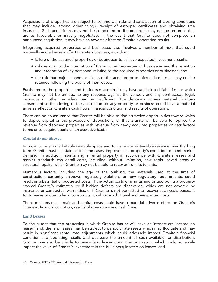Acquisitions of properties are subject to commercial risks and satisfaction of closing conditions that may include, among other things, receipt of estoppel certificates and obtaining title insurance. Such acquisitions may not be completed or, if completed, may not be on terms that are as favourable as initially negotiated. In the event that Granite does not complete an announced acquisition, it may have an adverse effect on Granite's operating results.

Integrating acquired properties and businesses also involves a number of risks that could materially and adversely affect Granite's business, including:

- failure of the acquired properties or businesses to achieve expected investment results;
- risks relating to the integration of the acquired properties or businesses and the retention and integration of key personnel relating to the acquired properties or businesses; and
- the risk that major tenants or clients of the acquired properties or businesses may not be retained following the expiry of their leases.

Furthermore, the properties and businesses acquired may have undisclosed liabilities for which Granite may not be entitled to any recourse against the vendor, and any contractual, legal, insurance or other remedies may be insufficient. The discovery of any material liabilities subsequent to the closing of the acquisition for any property or business could have a material adverse effect on Granite's cash flows, financial condition and results of operations.

There can be no assurance that Granite will be able to find attractive opportunities toward which to deploy capital or the proceeds of dispositions, or that Granite will be able to replace the revenue from disposed properties with revenue from newly acquired properties on satisfactory terms or to acquire assets on an accretive basis.

#### *Capital Expenditures*

In order to retain marketable rentable space and to generate sustainable revenue over the long term, Granite must maintain or, in some cases, improve each property's condition to meet market demand. In addition, maintaining a rental property in accordance with Granite's leases and market standards can entail costs, including, without limitation, new roofs, paved areas or structural repairs, which Granite may not be able to recover from its tenants.

Numerous factors, including the age of the building, the materials used at the time of construction, currently unknown regulatory violations or new regulatory requirements, could result in substantial unbudgeted costs. If the actual costs of maintaining or upgrading a property exceed Granite's estimates, or if hidden defects are discovered, which are not covered by insurance or contractual warranties, or if Granite is not permitted to recover such costs pursuant to its leases or due to legal constraints, it will incur additional and unexpected costs.

These maintenance, repair and capital costs could have a material adverse effect on Granite's business, financial condition, results of operations and cash flows.

#### *Land Leases*

To the extent that the properties in which Granite has or will have an interest are located on leased land, the land leases may be subject to periodic rate resets which may fluctuate and may result in significant rental rate adjustments which could adversely impact Granite's financial condition and operating results and decrease the amount of cash available for distribution. Granite may also be unable to renew land leases upon their expiration, which could adversely impact the value of Granite's investment in the building(s) located on leased land.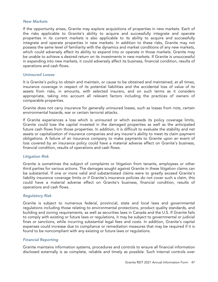#### *New Markets*

If the opportunity arises, Granite may explore acquisitions of properties in new markets. Each of the risks applicable to Granite's ability to acquire and successfully integrate and operate properties in its current markets is also applicable to its ability to acquire and successfully integrate and operate properties in new markets. In addition to these risks, Granite may not possess the same level of familiarity with the dynamics and market conditions of any new markets, which could adversely affect its ability to expand into or operate in those markets. Granite may be unable to achieve a desired return on its investments in new markets. If Granite is unsuccessful in expanding into new markets, it could adversely affect its business, financial condition, results of operations and cash flows.

#### *Uninsured Losses*

It is Granite's policy to obtain and maintain, or cause to be obtained and maintained, at all times, insurance coverage in respect of its potential liabilities and the accidental loss of value of its assets from risks, in amounts, with selected insurers, and on such terms as it considers appropriate, taking into account all relevant factors including the practices of owners of comparable properties.

Granite does not carry insurance for generally uninsured losses, such as losses from riots, certain environmental hazards, war or certain terrorist attacks.

If Granite experiences a loss which is uninsured or which exceeds its policy coverage limits, Granite could lose the capital invested in the damaged properties as well as the anticipated future cash flows from those properties. In addition, it is difficult to evaluate the stability and net assets or capitalization of insurance companies and any insurer's ability to meet its claim payment obligations. A failure of an insurance company to make payments to Granite upon an event of loss covered by an insurance policy could have a material adverse effect on Granite's business, financial condition, results of operations and cash flows.

#### *Litigation Risk*

Granite is sometimes the subject of complaints or litigation from tenants, employees or other third parties for various actions. The damages sought against Granite in these litigation claims can be substantial. If one or more valid and substantiated claims were to greatly exceed Granite's liability insurance coverage limits or if Granite's insurance policies do not cover such a claim, this could have a material adverse effect on Granite's business, financial condition, results of operations and cash flows.

#### *Regulatory Risk*

Granite is subject to numerous federal, provincial, state and local laws and governmental regulations including those relating to environmental protections, product quality standards, and building and zoning requirements, as well as securities laws in Canada and the U.S. If Granite fails to comply with existing or future laws or regulations, it may be subject to governmental or judicial fines or sanctions, while incurring substantial legal fees and costs. In addition, Granite's capital expenses could increase due to compliance or remediation measures that may be required if it is found to be noncompliant with any existing or future laws or regulations.

#### *Financial Reporting*

Granite maintains information systems, procedures and controls to ensure all financial information disclosed externally is as complete, reliable and timely as possible. Such internal controls over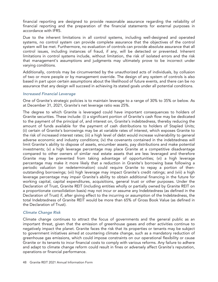financial reporting are designed to provide reasonable assurance regarding the reliability of financial reporting and the preparation of the financial statements for external purposes in accordance with IFRS.

Due to the inherent limitations in all control systems, including well-designed and operated systems, no control system can provide complete assurance that the objectives of the control system will be met. Furthermore, no evaluation of controls can provide absolute assurance that all control issues, including instances of fraud, if any, will be detected or prevented. Inherent limitations in control systems include, without limitation, the risk of isolated errors and the risk that management's assumptions and judgments may ultimately prove to be incorrect under varying conditions.

Additionally, controls may be circumvented by the unauthorized acts of individuals, by collusion of two or more people or by management override. The design of any system of controls is also based in part upon certain assumptions about the likelihood of future events, and there can be no assurance that any design will succeed in achieving its stated goals under all potential conditions.

#### *Increased Financial Leverage*

One of Granite's strategic policies is to maintain leverage to a range of 30% to 35% or below. As at December 31, 2021, Granite's net leverage ratio was 25%.

The degree to which Granite is leveraged could have important consequences to holders of Granite securities. These include: (i) a significant portion of Granite's cash flow may be dedicated to the payment of the principal of, and interest on, Granite's indebtedness, thereby reducing the amount of funds available for the payment of cash distributions to holders of Stapled Units; (ii) certain of Granite's borrowings may be at variable rates of interest, which exposes Granite to the risk of increased interest rates; (iii) a high level of debt would increase vulnerability to general adverse economic and industry conditions; (iv) the covenants contained in the indebtedness will limit Granite's ability to dispose of assets, encumber assets, pay distributions and make potential investments; (v) a high leverage percentage may place Granite at a competitive disadvantage compared to other owners of similar real estate assets that are less leveraged and therefore Granite may be prevented from taking advantage of opportunities; (vi) a high leverage percentage may make it more likely that a reduction in Granite's borrowing base following a periodic valuation (or redetermination) could require Granite to repay a portion of thenoutstanding borrowings; (vii) high leverage may impact Granite's credit ratings; and (viii) a high leverage percentage may impair Granite's ability to obtain additional financing in the future for working capital, capital expenditures, acquisitions, general trust or other purposes. Under the Declaration of Trust, Granite REIT (including entities wholly or partially owned by Granite REIT on a proportionate consolidation basis) may not incur or assume any Indebtedness (as defined in the Declaration of Trust) if, after giving effect to the incurring or assumption of the Indebtedness, the total Indebtedness of Granite REIT would be more than 65% of Gross Book Value (as defined in the Declaration of Trust).

#### *Climate Change Risk*

Climate change continues to attract the focus of governments and the general public as an important threat, given that the emission of greenhouse gases and other activities continue to negatively impact the planet. Granite faces the risk that its properties or tenants may be subject to government initiatives aimed at countering climate change, such as a mandatory reduction of greenhouse gas emissions, which could impose constraints on our operational flexibility or cause Granite or its tenants to incur financial costs to comply with various reforms. Any failure to adhere and adapt to climate change reform could result in fines or adversely affect Granite's reputation, operations or financial performance.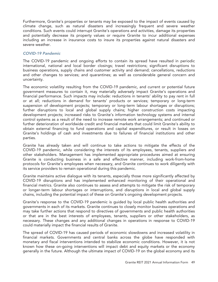Furthermore, Granite's properties or tenants may be exposed to the impact of events caused by climate change, such as natural disasters and increasingly frequent and severe weather conditions. Such events could interrupt Granite's operations and activities, damage its properties and potentially decrease its property values or require Granite to incur additional expenses including an increase in insurance costs to insure its properties against natural disasters and severe weather.

## *COVID-19 Pandemic*

The COVID-19 pandemic and ongoing efforts to contain its spread have resulted in periodic international, national and local border closings; travel restrictions; significant disruptions to business operations, supply chains and customer activity and demand; cancellations, reductions and other changes to services; and quarantines; as well as considerable general concern and uncertainty.

The economic volatility resulting from the COVID-19 pandemic, and current or potential future government measures to contain it, may materially adversely impact Granite's operations and financial performance. Such impacts may include: reductions in tenants' ability to pay rent in full or at all; reductions in demand for tenants' products or services; temporary or long-term suspension of development projects; temporary or long-term labour shortages or disruptions; further disruptions to local and global supply chains; higher construction costs impacting development projects; increased risks to Granite's information technology systems and internal control systems as a result of the need to increase remote work arrangements; and continued or further deterioration of worldwide credit and financial markets that could limit Granite's ability to obtain external financing to fund operations and capital expenditures, or result in losses on Granite's holdings of cash and investments due to failures of financial institutions and other parties.

Granite has already taken and will continue to take actions to mitigate the effects of the COVID-19 pandemic, while considering the interests of its employees, tenants, suppliers and other stakeholders. Management has implemented appropriate procedures aimed at ensuring Granite is conducting business in a safe and effective manner, including work-from-home protocols for Granite's employees when necessary, and Granite continues to work diligently with its service providers to remain operational during this pandemic.

Granite maintains active dialogue with its tenants, especially those more significantly affected by COVID-19 disruptions and has implemented enhanced monitoring of their operational and financial metrics. Granite also continues to assess and attempts to mitigate the risk of temporary or longer-term labour shortages or interruptions, and disruptions in local and global supply chains, including the potential impact of these on Granite's ongoing development projects.

Granite's response to the COVID-19 pandemic is guided by local public health authorities and governments in each of its markets. Granite continues to closely monitor business operations and may take further actions that respond to directives of governments and public health authorities or that are in the best interests of employees, tenants, suppliers or other stakeholders, as necessary. These changes and any additional changes in operations in response to COVID-19 could materially impact the financial results of Granite.

The spread of COVID-19 has caused periods of economic slowdowns and increased volatility in financial markets. Governments and central banks across the globe have responded with monetary and fiscal interventions intended to stabilize economic conditions. However, it is not known how these on-going interventions will impact debt and equity markets or the economy generally in the future. Although the ultimate impact of COVID-19 on the global economy and its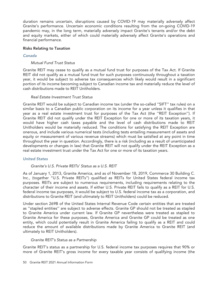duration remains uncertain, disruptions caused by COVID-19 may materially adversely affect Granite's performance. Uncertain economic conditions resulting from the on-going COVID-19 pandemic may, in the long term, materially adversely impact Granite's tenants and/or the debt and equity markets, either of which could materially adversely affect Granite's operations and financial performance.

## Risks Relating to Taxation

## *Canada*

## *Mutual Fund Trust Status*

Granite REIT may cease to qualify as a mutual fund trust for purposes of the Tax Act. If Granite REIT did not qualify as a mutual fund trust for such purposes continuously throughout a taxation year, it would be subject to adverse tax consequences which likely would result in a significant portion of its income becoming subject to Canadian income tax and materially reduce the level of cash distributions made to REIT Unitholders.

#### *Real Estate Investment Trust Status*

Granite REIT would be subject to Canadian income tax (under the so-called ''SIFT'' tax rules) on a similar basis to a Canadian public corporation on its income for a year unless it qualifies in that year as a real estate investment trust for purposes of the Tax Act (the ''REIT Exception''). If Granite REIT did not qualify under the REIT Exception for one or more of its taxation years, it would have higher cash taxes payable and the level of cash distributions made to REIT Unitholders would be materially reduced. The conditions for satisfying the REIT Exception are onerous, and include various numerical tests (including tests entailing measurement of assets and equity or measurement of various revenue streams) which must be satisfied at any point in time throughout the year in question. Accordingly, there is a risk (including as a result of unanticipated developments or changes in law) that Granite REIT will not qualify under the REIT Exception as a real estate investment trust under the Tax Act for one or more of its taxation years.

#### *United States*

# *Granite's U.S. Private REITs' Status as a U.S. REIT*

As of January 1, 2013, Granite America, and as of November 18, 2019, Commerce 30 Building C. Inc., (together "U.S. Private REITs") qualified as REITs for United States federal income tax purposes. REITs are subject to numerous requirements, including requirements relating to the character of their income and assets. If either U.S. Private REIT fails to qualify as a REIT for U.S. federal income tax purposes, it would be subject to U.S. federal income tax as a corporation, and distributions to Granite REIT (and ultimately to REIT Unitholders) could be reduced.

Under section 269B of the United States Internal Revenue Code certain entities that are treated as ''stapled entities'' are subject to adverse effects. Granite GP should not be treated as stapled to Granite America under current law. If Granite GP nevertheless were treated as stapled to Granite America for these purposes, Granite America and Granite GP could be treated as one entity, which could potentially result in Granite America failing to qualify as a REIT and could reduce the amount of available distributions made by Granite America to Granite REIT (and ultimately to REIT Unitholders).

#### *Granite REIT's Status as a Partnership*

Granite REIT's status as a partnership for U.S. federal income tax purposes requires that 90% or more of Granite REIT's gross income for every taxable year consists of qualifying income (the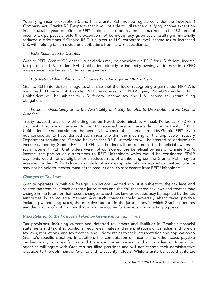''qualifying income exception''), and that Granite REIT not be registered under the *Investment Company Act*. Granite REIT expects that it will be able to utilize the qualifying income exception in each taxable year, but Granite REIT could cease to be treated as a partnership for U.S. federal income tax purposes should this exception not be met in any given year, resulting in materially reduced distributions if Granite REIT is subject to U.S. corporate level income tax or increased U.S. withholding tax on dividend distributions from its U.S. subsidiaries.

## *Risks Related to PFIC Status*

Granite REIT, Granite GP or their subsidiaries may be considered a PFIC for U.S. federal income tax purposes. U.S.-resident REIT Unitholders directly or indirectly owning an interest in a PFIC may experience adverse U.S. tax consequences.

## *U.S. Return Filing Obligation if Granite REIT Recognizes FIRPTA Gain*

Granite REIT intends to manage its affairs so that the risk of recognizing a gain under FIRPTA is minimized. However, if Granite REIT recognizes a FIRPTA gain, Non-U.S.-resident REIT Unitholders will be subject to U.S. federal income tax and U.S. income tax return filing obligations.

#### *Potential Uncertainty as to the Availability of Treaty Benefits to Distributions from Granite America*

Treaty-reduced rates of withholding tax on Fixed, Determinable, Annual, Periodical (''FDAP'') payments that are considered to be U.S. sourced, are not available under a treaty if REIT Unitholders are not considered the beneficial owners of the income earned by Granite REIT or are not considered to have derived such income within the meaning of the applicable Treasury Department regulations. Granite believes that REIT Unitholders will be treated as deriving the income earned by Granite REIT and REIT Unitholders will be treated as the beneficial owners of such income. If REIT Unitholders were not considered the beneficial owners of Granite REIT's income, the portion of distributions to REIT Unitholders which would be considered FDAP payments would not be eligible for a reduced rate of withholding tax and Granite REIT may be assessed by the IRS for failure to withhold at an appropriate rate. As a practical matter, Granite may not be able to recover most of the amount of such assessment from REIT Unitholders.

# *Changes to Tax Laws*

Granite operates in multiple foreign jurisdictions. Accordingly, it is subject to the tax laws and related tax treaties in each of those jurisdictions and the risk that those tax laws and treaties may change in the future or that recent changes to such tax laws or treaties may be applied by the tax authorities in an adverse manner. Any such changes could adversely affect taxes payable including withholding taxes, the effective tax rate in the jurisdictions in which Granite operates and the portion of distributions that would be income for Canadian income tax purposes.

#### *Risks Related to the Positions Taken by Granite in its Tax Filings*

Tax provisions, including current and deferred tax assets and liabilities in Granite's financial statements and tax filing positions, require estimates and interpretations of Canadian and foreign tax laws, regulations, and tax treaties, and judgments as to their interpretation and application to Granite's specific situation. In addition, the computation of income and other taxes payable involves many complex factors and there can be no assurance that Canadian or foreign tax agencies will agree with Granite's tax filing positions and will not change their administrative practices to the detriment of Granite and its security holders. While Granite believes that its tax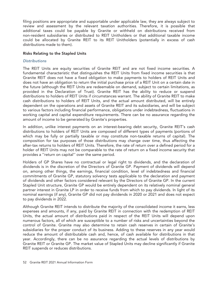filing positions are appropriate and supportable under applicable law, they are always subject to review and assessment by the relevant taxation authorities. Therefore, it is possible that additional taxes could be payable by Granite or withheld on distributions received from non-resident subsidiaries or distributed to REIT Unitholders or that additional taxable income could be allocated by Granite REIT to its REIT Unitholders (potentially in excess of cash distributions made to them).

## Risks Relating to the Stapled Units

## *Distributions*

The REIT Units are equity securities of Granite REIT and are not fixed income securities. A fundamental characteristic that distinguishes the REIT Units from fixed income securities is that Granite REIT does not have a fixed obligation to make payments to holders of REIT Units and does not have an obligation to return the initial purchase price of a REIT Unit on a certain date in the future (although the REIT Units are redeemable on demand, subject to certain limitations, as provided in the Declaration of Trust). Granite REIT has the ability to reduce or suspend distributions to holders of REIT Units if circumstances warrant. The ability of Granite REIT to make cash distributions to holders of REIT Units, and the actual amount distributed, will be entirely dependent on the operations and assets of Granite REIT and its subsidiaries, and will be subject to various factors including financial performance, obligations under indebtedness, fluctuations in working capital and capital expenditure requirements. There can be no assurance regarding the amount of income to be generated by Granite's properties.

In addition, unlike interest payments on an interest-bearing debt security, Granite REIT's cash distributions to holders of REIT Units are composed of different types of payments (portions of which may be fully or partially taxable or may constitute non-taxable returns of capital). The composition for tax purposes of those distributions may change over time, thus affecting the after-tax returns to holders of REIT Units. Therefore, the rate of return over a defined period for a holder of REIT Units may not be comparable to the rate of return on a fixed income security that provides a ''return on capital'' over the same period.

Holders of GP Shares have no contractual or legal right to dividends, and the declaration of dividends is in the discretion of the Directors of Granite GP. Payment of dividends will depend on, among other things, the earnings, financial condition, level of indebtedness and financial commitments of Granite GP, statutory solvency tests applicable to the declaration and payment of dividends and other factors considered relevant by the Directors of Granite GP. In the current Stapled Unit structure, Granite GP would be entirely dependent on its relatively nominal general partner interest in Granite LP in order to receive funds from which to pay dividends. In light of its nominal earnings (if any), Granite GP did not pay dividends in 2020 or 2021 and does not expect to pay dividends in 2022.

Although Granite REIT intends to distribute the majority of the consolidated income it earns, less expenses and amounts, if any, paid by Granite REIT in connection with the redemption of REIT Units, the actual amount of distributions paid in respect of the REIT Units will depend upon numerous factors, all of which are susceptible to a number of risks and uncertainties beyond the control of Granite. Granite may also determine to retain cash reserves in certain of Granite's subsidiaries for the proper conduct of its business. Adding to these reserves in any year would reduce the amount of distributable cash and, hence, of cash available for distributions in that year. Accordingly, there can be no assurance regarding the actual levels of distributions by Granite REIT or Granite GP. The market value of Stapled Units may decline significantly if Granite REIT suspends or reduces distributions.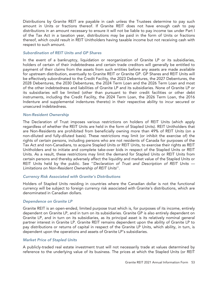Distributions by Granite REIT are payable in cash unless the Trustees determine to pay such amount in Units or fractions thereof. If Granite REIT does not have enough cash to pay distributions in an amount necessary to ensure it will not be liable to pay income tax under Part I of the Tax Act in a taxation year, distributions may be paid in the form of Units or fractions thereof, which could result in REIT Unitholders having taxable income but not receiving cash with respect to such amount.

## *Subordination of REIT Units and GP Shares*

In the event of a bankruptcy, liquidation or reorganization of Granite LP or its subsidiaries, holders of certain of their indebtedness and certain trade creditors will generally be entitled to payment of their claims from the assets from such entities before any assets are made available for upstream distribution, eventually to Granite REIT or Granite GP. GP Shares and REIT Units will be effectively subordinated to the Credit Facility, the 2023 Debentures, the 2027 Debentures, the 2028 Debentures, the 2030 Debentures, the 2024 Term Loan and the 2026 Term Loan and most of the other indebtedness and liabilities of Granite LP and its subsidiaries. None of Granite LP or its subsidiaries will be limited (other than pursuant to their credit facilities or other debt instruments, including the Credit Facility, the 2024 Term Loan, the 2026 Term Loan, the 2016 Indenture and supplemental indentures thereto) in their respective ability to incur secured or unsecured indebtedness.

#### *Non-Resident Ownership*

The Declaration of Trust imposes various restrictions on holders of REIT Units (which apply regardless of whether the REIT Units are held in the form of Stapled Units). REIT Unitholders that are Non-Residents are prohibited from beneficially owning more than 49% of REIT Units (on a non-diluted and fully-diluted basis). These restrictions may limit (or inhibit the exercise of) the rights of certain persons, including persons who are not residents of Canada for purposes of the Tax Act and non-Canadians, to acquire Stapled Units or REIT Units, to exercise their rights as REIT Unitholders and to initiate and complete take-over bids in respect of the Stapled Units or REIT Units. As a result, these restrictions may limit the demand for Stapled Units or REIT Units from certain persons and thereby adversely affect the liquidity and market value of the Stapled Units or REIT Units held by the public. See ''*Declaration of Trust and Description of REIT Units — Limitations on Non-Resident Ownership of REIT Units*''.

#### *Currency Risk Associated with Granite's Distributions*

Holders of Stapled Units residing in countries where the Canadian dollar is not the functional currency will be subject to foreign currency risk associated with Granite's distributions, which are denominated in Canadian dollars.

#### *Dependence on Granite LP*

Granite REIT is an open-ended, limited purpose trust which is, for purposes of its income, entirely dependent on Granite LP, and in turn on its subsidiaries. Granite GP is also entirely dependent on Granite LP, and in turn on its subsidiaries, as its principal asset is its relatively nominal general partner interest in Granite LP. Granite REIT remains dependent upon the ability of Granite LP to pay distributions or returns of capital in respect of the Granite LP Units, which ability, in turn, is dependent upon the operations and assets of Granite LP's subsidiaries.

#### *Market Price of Stapled Units*

A publicly-traded real estate investment trust will not necessarily trade at values determined by reference to the underlying value of its business. The prices at which the Stapled Units (or REIT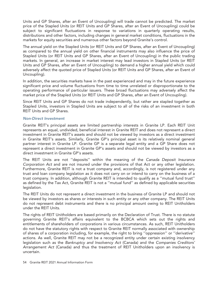Units and GP Shares, after an Event of Uncoupling) will trade cannot be predicted. The market price of the Stapled Units (or REIT Units and GP Shares, after an Event of Uncoupling) could be subject to significant fluctuations in response to variations in quarterly operating results, distributions and other factors, including changes in general market conditions, fluctuations in the markets for equity securities and numerous other factors beyond Granite's control.

The annual yield on the Stapled Units (or REIT Units and GP Shares, after an Event of Uncoupling) as compared to the annual yield on other financial instruments may also influence the price of Stapled Units (or REIT Units and GP Shares, after an Event of Uncoupling) in the public trading markets. In general, an increase in market interest may lead investors in Stapled Units (or REIT Units and GP Shares, after an Event of Uncoupling) to demand a higher annual yield which could adversely affect the quoted price of Stapled Units (or REIT Units and GP Shares, after an Event of Uncoupling).

In addition, the securities markets have in the past experienced and may in the future experience significant price and volume fluctuations from time to time unrelated or disproportionate to the operating performance of particular issuers. These broad fluctuations may adversely affect the market price of the Stapled Units (or REIT Units and GP Shares, after an Event of Uncoupling).

Since REIT Units and GP Shares do not trade independently, but rather are stapled together as Stapled Units, investors in Stapled Units are subject to all of the risks of an investment in both REIT Units and GP Shares.

## *Non-Direct Investment*

Granite REIT's principal assets are limited partnership interests in Granite LP. Each REIT Unit represents an equal, undivided, beneficial interest in Granite REIT and does not represent a direct investment in Granite REIT's assets and should not be viewed by investors as a direct investment in Granite REIT's assets. Similarly, Granite GP's principal asset is its relatively nominal general partner interest in Granite LP. Granite GP is a separate legal entity and a GP Share does not represent a direct investment in Granite GP's assets and should not be viewed by investors as a direct investment in Granite GP's assets.

The REIT Units are not ''deposits'' within the meaning of the *Canada Deposit Insurance Corporation Act* and are not insured under the provisions of that Act or any other legislation. Furthermore, Granite REIT is not a trust company and, accordingly, is not registered under any trust and loan company legislation as it does not carry on or intend to carry on the business of a trust company. In addition, although Granite REIT is intended to qualify as a ''mutual fund trust'' as defined by the Tax Act, Granite REIT is not a ''mutual fund'' as defined by applicable securities legislation.

The REIT Units do not represent a direct investment in the business of Granite LP and should not be viewed by investors as shares or interests in such entity or any other company. The REIT Units do not represent debt instruments and there is no principal amount owing to REIT Unitholders under the REIT Units.

The rights of REIT Unitholders are based primarily on the Declaration of Trust. There is no statute governing Granite REIT's affairs equivalent to the BCBCA which sets out the rights and entitlements of shareholders of corporations in various circumstances. As such, REIT Unitholders do not have the statutory rights with respect to Granite REIT normally associated with ownership of shares of a corporation including, for example, the right to bring ''oppression'' or ''derivative'' actions. As well, Granite REIT may not be a recognized entity under certain existing insolvency legislation such as the *Bankruptcy and Insolvency Act* (Canada) and the *Companies Creditors' Arrangement Act* (Canada) and thus the treatment of REIT Unitholders upon an insolvency is uncertain.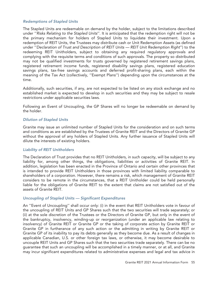## *Redemptions of Stapled Units*

The Stapled Units are redeemable on demand by the holder, subject to the limitations described under ''*Risks Relating to the Stapled Units*''. It is anticipated that the redemption right will not be the primary mechanism for holders of Stapled Units to liquidate their investment. Upon a redemption of REIT Units, the Trustees may distribute cash or Unit Redemption Assets (as defined under ''*Declaration of Trust and Description of REIT Units — REIT Unit Redemption Right*'') to the redeeming REIT Unitholders, subject to obtaining any required regulatory approvals and complying with the requisite terms and conditions of such approvals. The property so distributed may not be qualified investments for trusts governed by registered retirement savings plans, registered retirement income funds, registered disability savings plans, registered education savings plans, tax-free savings accounts and deferred profit-sharing plans, each within the meaning of the Tax Act (collectively, ''Exempt Plans'') depending upon the circumstances at the time.

Additionally, such securities, if any, are not expected to be listed on any stock exchange and no established market is expected to develop in such securities and they may be subject to resale restrictions under applicable securities laws.

Following an Event of Uncoupling, the GP Shares will no longer be redeemable on demand by the holder.

#### *Dilution of Stapled Units*

Granite may issue an unlimited number of Stapled Units for the consideration and on such terms and conditions as are established by the Trustees of Granite REIT and the Directors of Granite GP without the approval of any holders of Stapled Units. Any further issuance of Stapled Units will dilute the interests of existing holders.

#### *Liability of REIT Unitholders*

The Declaration of Trust provides that no REIT Unitholders, in such capacity, will be subject to any liability for, among other things, the obligations, liabilities or activities of Granite REIT. In addition, legislation has been enacted in the Province of Ontario and certain other provinces that is intended to provide REIT Unitholders in those provinces with limited liability comparable to shareholders of a corporation. However, there remains a risk, which management of Granite REIT considers to be remote in the circumstances, that a REIT Unitholder could be held personally liable for the obligations of Granite REIT to the extent that claims are not satisfied out of the assets of Granite REIT.

#### *Uncoupling of Stapled Units — Significant Expenditures*

An ''Event of Uncoupling'' shall occur only: (i) in the event that REIT Unitholders vote in favour of the uncoupling of REIT Units and GP Shares such that the two securities will trade separately; or (ii) at the sole discretion of the Trustees or the Directors of Granite GP, but only in the event of the bankruptcy, insolvency, winding-up or reorganization (under an applicable law relating to insolvency) of Granite REIT or Granite GP or the taking of corporate action by Granite REIT or Granite GP in furtherance of any such action or the admitting in writing by Granite REIT or Granite GP of its inability to pay its debts generally as they become due. As a result of changes in applicable Canadian, U.S. or other foreign tax laws, or otherwise, it may become desirable to uncouple REIT Units and GP Shares such that the two securities trade separately. There can be no guarantee that such an uncoupling will be accomplished in a timely manner, or at all, and Granite may incur significant expenditures related to administrative expenses and legal and tax advice in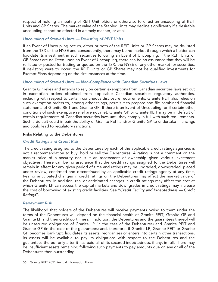respect of holding a meeting of REIT Unitholders or otherwise to effect an uncoupling of REIT Units and GP Shares. The market value of the Stapled Units may decline significantly if a desirable uncoupling cannot be effected in a timely manner, or at all.

## *Uncoupling of Stapled Units — De-listing of REIT Units*

If an Event of Uncoupling occurs, either or both of the REIT Units or GP Shares may be de-listed from the TSX or the NYSE and consequently, there may be no market through which a holder can liquidate its investment in such securities following an Event of Uncoupling. If the REIT Units or GP Shares are de-listed upon an Event of Uncoupling, there can be no assurance that they will be re-listed or posted for trading or quoted on the TSX, the NYSE or any other market for securities. If de-listing were to occur, the REIT Units or GP Shares may not be qualified investments for Exempt Plans depending on the circumstances at the time.

#### *Uncoupling of Stapled Units — Non-Compliance with Canadian Securities Laws.*

Granite GP relies and intends to rely on certain exemptions from Canadian securities laws set out in exemption orders obtained from applicable Canadian securities regulatory authorities, including with respect to certain continuous disclosure requirements. Granite REIT also relies on such exemption orders to, among other things, permit it to prepare and file combined financial statements of Granite REIT and Granite GP. If there is an Event of Uncoupling, or if certain other conditions of such exemptive relief are not met, Granite GP or Granite REIT may be in default of certain requirements of Canadian securities laws until they comply in full with such requirements. Such a default could impair the ability of Granite REIT and/or Granite GP to undertake financings and could lead to regulatory sanctions.

#### Risks Relating to the Debentures

#### *Credit Ratings and Credit Risk*

The credit rating assigned to the Debentures by each of the applicable credit ratings agencies is not a recommendation to buy, hold or sell the Debentures. A rating is not a comment on the market price of a security nor is it an assessment of ownership given various investment objectives. There can be no assurance that the credit ratings assigned to the Debentures will remain in effect for any given period of time and ratings may be upgraded, downgraded, placed under review, confirmed and discontinued by an applicable credit ratings agency at any time. Real or anticipated changes in credit ratings on the Debentures may affect the market value of the Debentures. In addition, real or anticipated changes in credit ratings may affect the cost at which Granite LP can access the capital markets and downgrades in credit ratings may increase the cost of borrowing of existing credit facilities. See ''*Credit Facility and Indebtedness — Credit Ratings*''.

#### *Repayment Risk*

The likelihood that holders of the Debentures will receive payments owing to them under the terms of the Debentures will depend on the financial health of Granite REIT, Granite GP and Granite LP and their creditworthiness. In addition, the Debentures and the guarantees thereof will be unsecured obligations of Granite LP (in the case of the Debentures) and Granite REIT and Granite GP (in the case of the guarantees) and, therefore, if Granite LP, Granite REIT or Granite GP becomes bankrupt, liquidates its assets, reorganizes or enters into certain other transactions, its assets will be available to pay its obligations with respect to the Debentures and the guarantees thereof only after it has paid all of its secured indebtedness, if any, in full. There may be insufficient assets remaining following such payments to pay amounts due on any or all of the Debentures then outstanding.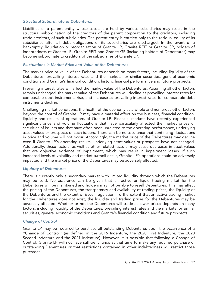#### *Structural Subordinate of Debentures*

Liabilities of a parent entity whose assets are held by various subsidiaries may result in the structural subordination of the creditors of the parent corporation to the creditors, including trade creditors, of such subsidiaries. The parent entity is entitled only to the residual equity of its subsidiaries after all debt obligations of its subsidiaries are discharged. In the event of a bankruptcy, liquidation or reorganization of Granite LP, Granite REIT or Granite GP, holders of indebtedness of Granite LP, Granite REIT and Granite GP (including holders of Debentures) may become subordinate to creditors of the subsidiaries of Granite LP.

#### *Fluctuations in Market Price and Value of the Debentures*

The market price or value of the Debentures depends on many factors, including liquidity of the Debentures, prevailing interest rates and the markets for similar securities, general economic conditions and Granite's financial condition, historic financial performance and future prospects.

Prevailing interest rates will affect the market value of the Debentures. Assuming all other factors remain unchanged, the market value of the Debentures will decline as prevailing interest rates for comparable debt instruments rise, and increase as prevailing interest rates for comparable debt instruments decline.

Challenging market conditions, the health of the economy as a whole and numerous other factors beyond the control of Granite LP may have a material effect on the business, financial condition, liquidity and results of operations of Granite LP. Financial markets have recently experienced significant price and volume fluctuations that have particularly affected the market prices of securities of issuers and that have often been unrelated to the operating performance, underlying asset values or prospects of such issuers. There can be no assurance that continuing fluctuations in price and volume will not occur. Accordingly, the market price of the Debentures may decline even if Granite LP's operating results, underlying asset values or prospects have not changed. Additionally, these factors, as well as other related factors, may cause decreases in asset values that are objective evidence of impairment, which may result in impairment losses. If such increased levels of volatility and market turmoil occur, Granite LP's operations could be adversely impacted and the market price of the Debentures may be adversely affected.

#### *Liquidity of Debentures*

There is currently only a secondary market with limited liquidity through which the Debentures may be sold. No assurance can be given that an active or liquid trading market for the Debentures will be maintained and holders may not be able to resell Debentures. This may affect the pricing of the Debentures, the transparency and availability of trading prices, the liquidity of the Debentures and the extent of issuer regulation. To the extent that an active trading market for the Debentures does not exist, the liquidity and trading prices for the Debentures may be adversely affected. Whether or not the Debentures will trade at lower prices depends on many factors, including liquidity of the Debentures, prevailing interest rates and the markets for similar securities, general economic conditions and Granite's financial condition and future prospects.

#### *Change of Control*

Granite LP may be required to purchase all outstanding Debentures upon the occurrence of a ''Change of Control'' (as defined in the 2016 Indenture, the 2020 First Indenture, the 2020 Second Indenture and the 2021 Indenture). However, it is possible that following a Change of Control, Granite LP will not have sufficient funds at that time to make any required purchase of outstanding Debentures or that restrictions contained in other indebtedness will restrict those purchases.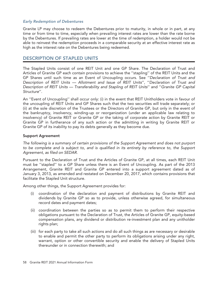### *Early Redemption of Debentures*

Granite LP may choose to redeem the Debentures prior to maturity, in whole or in part, at any time or from time to time, especially when prevailing interest rates are lower than the rate borne by the Debentures. If prevailing rates are lower at the time of redemption, a holder would not be able to reinvest the redemption proceeds in a comparable security at an effective interest rate as high as the interest rate on the Debentures being redeemed.

# DESCRIPTION OF STAPLED UNITS

The Stapled Units consist of one REIT Unit and one GP Share. The Declaration of Trust and Articles of Granite GP each contain provisions to achieve the ''stapling'' of the REIT Units and the GP Shares until such time as an Event of Uncoupling occurs. See ''*Declaration of Trust and Description of REIT Units — Allotment and Issue of REIT Units*'', ''*Declaration of Trust and Description of REIT Units — Transferability and Stapling of REIT Units*'' and ''*Granite GP Capital Structure*''.

An ''Event of Uncoupling'' shall occur only: (i) in the event that REIT Unitholders vote in favour of the uncoupling of REIT Units and GP Shares such that the two securities will trade separately; or (ii) at the sole discretion of the Trustees or the Directors of Granite GP, but only in the event of the bankruptcy, insolvency, winding-up or reorganization (under an applicable law relating to insolvency) of Granite REIT or Granite GP or the taking of corporate action by Granite REIT or Granite GP in furtherance of any such action or the admitting in writing by Granite REIT or Granite GP of its inability to pay its debts generally as they become due.

#### Support Agreement

*The following is a summary of certain provisions of the Support Agreement and does not purport to be complete and is subject to, and is qualified in its entirety by reference to, the Support Agreement, as filed on SEDAR.*

Pursuant to the Declaration of Trust and the Articles of Granite GP, at all times, each REIT Unit must be ''stapled'' to a GP Share unless there is an Event of Uncoupling. As part of the 2013 Arrangement, Granite REIT and Granite GP entered into a support agreement dated as of January 3, 2013, as amended and restated on December 20, 2017, which contains provisions that facilitate the Stapled Unit structure.

Among other things, the Support Agreement provides for:

- (i) coordination of the declaration and payment of distributions by Granite REIT and dividends by Granite GP so as to provide, unless otherwise agreed, for simultaneous record dates and payment dates;
- (ii) coordination between the parties so as to permit them to perform their respective obligations pursuant to the Declaration of Trust, the Articles of Granite GP, equity-based compensation plans, any dividend or distribution re-investment plan and any unitholder rights plan;
- (iii) for each party to take all such actions and do all such things as are necessary or desirable to enable and permit the other party to perform its obligations arising under any right, warrant, option or other convertible security and enable the delivery of Stapled Units thereunder or in connection therewith; and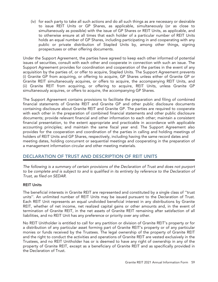(iv) for each party to take all such actions and do all such things as are necessary or desirable to issue REIT Units or GP Shares, as applicable, simultaneously (or as close to simultaneously as possible) with the issue of GP Shares or REIT Units, as applicable, and to otherwise ensure at all times that each holder of a particular number of REIT Units holds an equal number of GP Shares, including participating in and cooperating with any public or private distribution of Stapled Units by, among other things, signing prospectuses or other offering documents.

Under the Support Agreement, the parties have agreed to keep each other informed of potential issues of securities, consult with each other and cooperate in connection with such an issue. The Support Agreement provides for coordination and cooperation of the parties in the event of any acquisition by the parties of, or offer to acquire, Stapled Units. The Support Agreement prevents (i) Granite GP from acquiring, or offering to acquire, GP Shares unless either of Granite GP or Granite REIT simultaneously acquires, or offers to acquire, the accompanying REIT Units, and (ii) Granite REIT from acquiring, or offering to acquire, REIT Units, unless Granite GP simultaneously acquires, or offers to acquire, the accompanying GP Shares.

The Support Agreement contains provisions to facilitate the preparation and filing of combined financial statements of Granite REIT and Granite GP and other public disclosure documents containing disclosure about Granite REIT and Granite GP. The parties are required to cooperate with each other in the preparation of combined financial statements and other public disclosure documents; provide relevant financial and other information to each other; maintain a consistent financial presentation, to the extent appropriate and practicable in accordance with applicable accounting principles; and maintain the same fiscal year end. The Support Agreement also provides for the cooperation and coordination of the parties in calling and holding meetings of holders of REIT Units and GP Shares, respectively, including having the same record dates and meeting dates, holding concurrent or sequential meetings and cooperating in the preparation of a management information circular and other meeting materials.

# DECLARATION OF TRUST AND DESCRIPTION OF REIT UNITS

*The following is a summary of certain provisions of the Declaration of Trust and does not purport* to be complete and is subject to and is qualified in its entirety by reference to the Declaration of *Trust, as filed on SEDAR.*

#### REIT Units

The beneficial interests in Granite REIT are represented and constituted by a single class of ''trust units''. An unlimited number of REIT Units may be issued pursuant to the Declaration of Trust. Each REIT Unit represents an equal undivided beneficial interest in any distributions by Granite REIT, whether of net income, net realized capital gains or other amounts and, in the event of termination of Granite REIT, in the net assets of Granite REIT remaining after satisfaction of all liabilities, and no REIT Unit has any preference or priority over any other.

No REIT Unitholder is entitled to call for any partition or division of Granite REIT's property or for a distribution of any particular asset forming part of Granite REIT's property or of any particular monies or funds received by the Trustees. The legal ownership of the property of Granite REIT and the right to conduct the activities and operations of Granite REIT are vested exclusively in the Trustees, and no REIT Unitholder has or is deemed to have any right of ownership in any of the property of Granite REIT, except as a beneficiary of Granite REIT and as specifically provided in the Declaration of Trust.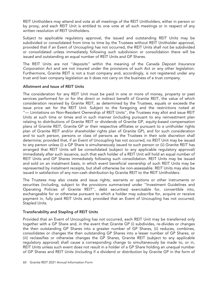REIT Unitholders may attend and vote at all meetings of the REIT Unitholders, either in person or by proxy, and each REIT Unit is entitled to one vote at all such meetings or in respect of any written resolution of REIT Unitholders.

Subject to applicable regulatory approval, the issued and outstanding REIT Units may be subdivided or consolidated from time to time by the Trustees without REIT Unitholder approval, provided that if an Event of Uncoupling has not occurred, the REIT Units shall not be subdivided or consolidated unless immediately following such subdivision or consolidation there will be issued and outstanding an equal number of REIT Units and GP Shares.

The REIT Units are not ''deposits'' within the meaning of the *Canada Deposit Insurance Corporation Act* and are not insured under the provisions of such Act or any other legislation. Furthermore, Granite REIT is not a trust company and, accordingly, is not registered under any trust and loan company legislation as it does not carry on the business of a trust company.

## Allotment and Issue of REIT Units

The consideration for any REIT Unit must be paid in one or more of money, property or past services performed for or for the direct or indirect benefit of Granite REIT, the value of which consideration received by Granite REIT, as determined by the Trustees, equals or exceeds the issue price set for the REIT Unit. Subject to the foregoing and the restrictions noted at ''— Limitations on Non-Resident Ownership of REIT Units'', the Trustees may allot and issue REIT Units at such time or times and in such manner (including pursuant to any reinvestment plan relating to distributions of Granite REIT or dividends of Granite GP, equity-based compensation plans of Granite REIT, Granite GP or their respective affiliates or pursuant to a unitholder rights plan of Granite REIT and/or shareholder rights plan of Granite GP), and for such consideration and to such person, persons or class of persons as the Trustees in their sole discretion shall determine, provided that, if an Event of Uncoupling has not occurred, no REIT Unit may be issued to any person unless (i) a GP Share is simultaneously issued to such person or (ii) Granite REIT has arranged that REIT Units will be consolidated (subject to any applicable regulatory approval) immediately after such issuance, such that each holder of a REIT Unit will hold an equal number of REIT Units and GP Shares immediately following such consolidation. REIT Units may be issued and sold on an instalment basis, in which event beneficial ownership of such REIT Units may be represented by instalment receipts, but shall otherwise be non-assessable. REIT Units may also be issued in satisfaction of any non-cash distribution by Granite REIT to the REIT Unitholders.

The Trustees may also create and issue rights, warrants or options or other instruments or securities (including, subject to the provisions summarized under ''Investment Guidelines and Operating Policies of Granite REIT'', debt securities) exercisable for, convertible into, exchangeable for or otherwise pursuant to which a holder may subscribe for, acquire or receive payment in, fully paid REIT Units and, provided that an Event of Uncoupling has not occurred, Stapled Units.

#### Transferability and Stapling of REIT Units

Provided that an Event of Uncoupling has not occurred, each REIT Unit may be transferred only together with a GP Share and, in the event that Granite GP (i) subdivides, re-divides or changes the then outstanding GP Shares into a greater number of GP Shares, (ii) reduces, combines, consolidates or changes the then outstanding GP Shares into a lesser number of GP Shares, or (iii) reclassifies or otherwise changes the GP Shares, Granite REIT (subject to any applicable regulatory approval) shall cause a corresponding change to simultaneously be made to, or in, REIT Units unless such event does not result in a holder of a GP Share holding an unequal number of GP Shares and REIT Units (including if a dividend or distribution by Granite GP in the form of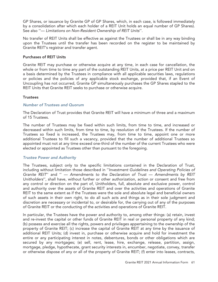GP Shares, or issuance by Granite GP of GP Shares, which, in each case, is followed immediately by a consolidation after which each holder of a REIT Unit holds an equal number of GP Shares). See also ''— *Limitations on Non-Resident Ownership of REIT Units*''.

No transfer of REIT Units shall be effective as against the Trustees or shall be in any way binding upon the Trustees until the transfer has been recorded on the register to be maintained by Granite REIT's registrar and transfer agent.

#### Purchases of REIT Units

Granite REIT may purchase or otherwise acquire at any time, in each case for cancellation, the whole or from time to time any part of the outstanding REIT Units, at a price per REIT Unit and on a basis determined by the Trustees in compliance with all applicable securities laws, regulations or policies and the policies of any applicable stock exchange, provided that, if an Event of Uncoupling has not occurred, Granite GP simultaneously purchases the GP Shares stapled to the REIT Units that Granite REIT seeks to purchase or otherwise acquire.

#### **Trustees**

#### *Number of Trustees and Quorum*

The Declaration of Trust provides that Granite REIT will have a minimum of three and a maximum of 15 Trustees.

The number of Trustees may be fixed within such limits, from time to time, and increased or decreased within such limits, from time to time, by resolution of the Trustees. If the number of Trustees so fixed is increased, the Trustees may, from time to time, appoint one or more additional Trustees to fill such a vacancy, provided that the number of additional Trustees so appointed must not at any time exceed one-third of the number of the current Trustees who were elected or appointed as Trustees other than pursuant to the foregoing.

#### *Trustee Power and Authority*

The Trustees, subject only to the specific limitations contained in the Declaration of Trust, including without limitation those described in ''*Investment Guidelines and Operating Policies of Granite REIT*'' and '' *— Amendments to the Declaration of Trust — Amendments by REIT Unitholders*'', shall have, without further or other authorization, action or consent and free from any control or direction on the part of, Unitholders, full, absolute and exclusive power, control and authority over the assets of Granite REIT and over the activities and operations of Granite REIT to the same extent as if the Trustees were the sole and absolute legal and beneficial owners of such assets in their own right, to do all such acts and things as in their sole judgment and discretion are necessary or incidental to, or desirable for, the carrying out of any of the purposes of Granite REIT or the conducting of the activities and operations of Granite REIT.

In particular, the Trustees have the power and authority to, among other things: (a) retain, invest and re-invest the capital or other funds of Granite REIT in real or personal property of any kind; (b) possess and exercise all the rights, powers and privileges appertaining to the ownership of the property of Granite REIT; (c) increase the capital of Granite REIT at any time by the issuance of additional REIT Units; (d) invest in, purchase or otherwise acquire and hold for investment the entire or any participating interest in notes, debentures, bonds or other obligations which are secured by any mortgages; (e) sell, rent, lease, hire, exchange, release, partition, assign, mortgage, pledge, hypothecate, grant security interests in, encumber, negotiate, convey, transfer or otherwise dispose of any or all of the property of Granite REIT; (f) enter into leases, contracts,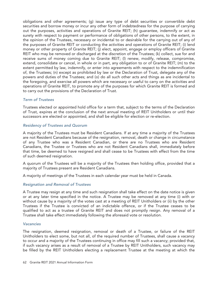obligations and other agreements; (g) issue any type of debt securities or convertible debt securities and borrow money or incur any other form of indebtedness for the purpose of carrying out the purposes, activities and operations of Granite REIT; (h) guarantee, indemnify or act as surety with respect to payment or performance of obligations of other persons, to the extent, in the opinion of the Trustees, necessary or incidental to or desirable for the carrying out of any of the purposes of Granite REIT or conducting the activities and operations of Granite REIT; (i) lend money or other property of Granite REIT; (j) elect, appoint, engage or employ officers of Granite REIT who may be removed or discharged at the discretion of the Trustees; (k) collect, sue for and receive sums of money coming due to Granite REIT; (l) renew, modify, release, compromise, extend, consolidate or cancel, in whole or in part, any obligation to or of Granite REIT; (m) to the extent permitted by law, indemnify, or enter into agreements with respect to the indemnification of, the Trustees; (n) except as prohibited by law or the Declaration of Trust, delegate any of the powers and duties of the Trustees; and (o) do all such other acts and things as are incidental to the foregoing, and exercise all powers which are necessary or useful to carry on the activities and operations of Granite REIT, to promote any of the purposes for which Granite REIT is formed and to carry out the provisions of the Declaration of Trust.

## *Term of Trustees*

Trustees elected or appointed hold office for a term that, subject to the terms of the Declaration of Trust, expires at the conclusion of the next annual meeting of REIT Unitholders or until their successors are elected or appointed, and shall be eligible for election or re-election.

## *Residency of Trustees and Quorum*

A majority of the Trustees must be Resident Canadians. If at any time a majority of the Trustees are not Resident Canadians because of the resignation, removal, death or change in circumstance of any Trustee who was a Resident Canadian, or there are no Trustees who are Resident Canadians, the Trustee or Trustees who are not Resident Canadians shall, immediately before that time, be deemed to have resigned and shall cease to be Trustees with effect from the time of such deemed resignation.

A quorum of the Trustees will be a majority of the Trustees then holding office, provided that a majority of Trustees present are Resident Canadians.

A majority of meetings of the Trustees in each calendar year must be held in Canada.

# *Resignation and Removal of Trustees*

A Trustee may resign at any time and such resignation shall take effect on the date notice is given or at any later time specified in the notice. A Trustee may be removed at any time (i) with or without cause by a majority of the votes cast at a meeting of REIT Unitholders or (ii) by the other Trustees if the Trustee is convicted of an indictable offence, or if the Trustee ceases to be qualified to act as a trustee of Granite REIT and does not promptly resign. Any removal of a Trustee shall take effect immediately following the aforesaid vote or resolution.

#### *Vacancies*

The resignation, deemed resignation, removal or death of a Trustee, or failure of the REIT Unitholders to elect some, but not all, of the required number of Trustees, shall cause a vacancy to occur and a majority of the Trustees continuing in office may fill such a vacancy; provided that, if such vacancy arises as a result of removal of a Trustee by REIT Unitholders, such vacancy may be filled by the REIT Unitholders electing a replacement Trustee at the meeting at which the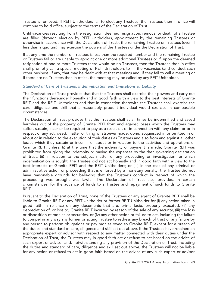Trustee is removed. If REIT Unitholders fail to elect any Trustees, the Trustees then in office will continue to hold office, subject to the terms of the Declaration of Trust.

Until vacancies resulting from the resignation, deemed resignation, removal or death of a Trustee are filled (through election by REIT Unitholders, appointment by the remaining Trustees or otherwise in accordance with the Declaration of Trust), the remaining Trustee or Trustees (even if less than a quorum) may exercise the powers of the Trustees under the Declaration of Trust.

If at any time the number of Trustees is less than the required number and the remaining Trustee or Trustees fail or are unable to appoint one or more additional Trustees or if, upon the deemed resignation of one or more Trustees there would be no Trustees, then the Trustees then in office shall promptly call a special meeting of REIT Unitholders to fill the vacancies (and conduct such other business, if any, that may be dealt with at that meeting) and, if they fail to call a meeting or if there are no Trustees then in office, the meeting may be called by any REIT Unitholder.

# *Standard of Care of Trustees, Indemnification and Limitations of Liability*

The Declaration of Trust provides that that the Trustees shall exercise their powers and carry out their functions thereunder honestly and in good faith with a view to the best interests of Granite REIT and the REIT Unitholders and that in connection therewith the Trustees shall exercise the care, diligence and skill that a reasonably prudent individual would exercise in comparable circumstances.

The Declaration of Trust provides that the Trustees shall at all times be indemnified and saved harmless out of the property of Granite REIT from and against losses which the Trustees may suffer, sustain, incur or be required to pay as a result of, or in connection with any claim for or in respect of any act, deed, matter or thing whatsoever made, done, acquiesced in or omitted in or about or in relation to the execution of their duties as Trustees and also from and against all other losses which they sustain or incur in or about or in relation to the activities and operations of Granite REIT, unless: (i) at the time that the indemnity or payment is made, Granite REIT was prohibited from giving the indemnity or paying the expenses by the then governing declaration of trust; (ii) in relation to the subject matter of any proceeding or investigation for which indemnification is sought, the Trustee did not act honestly and in good faith with a view to the best interests of Granite REIT and the REIT Unitholders; or (iii) in the case of any criminal or administrative action or proceeding that is enforced by a monetary penalty, the Trustee did not have reasonable grounds for believing that the Trustee's conduct in respect of which the proceeding was brought was lawful. The Declaration of Trust also provides, in certain circumstances, for the advance of funds to a Trustee and repayment of such funds to Granite REIT.

Pursuant to the Declaration of Trust, none of the Trustees or any agent of Granite REIT shall be liable to Granite REIT or any REIT Unitholder or former REIT Unitholder for (i) any action taken in good faith in reliance on any documents that are, prima facie, properly executed, (ii) any depreciation of, or loss to, Granite REIT incurred by reason of the sale of any security, (iii) the loss or disposition of monies or securities, or (iv) any other action or failure to act, including the failure to compel in any way any former or acting Trustee to redress any breach of trust or any failure by any person to perform obligations or pay monies owed to Granite REIT, except for a breach of the duties and standard of care, diligence and skill set out above. If the Trustees have retained an appropriate expert or advisor with respect to any matter connected with their duties under the Declaration of Trust, the Trustees may in good faith act or refuse to act based on the advice of such expert or advisor and, notwithstanding any provision of the Declaration of Trust, including the duties and standard of care, diligence and skill set out above, the Trustees will not be liable for any action or refusal to act in good faith based on the advice of any such expert or advisor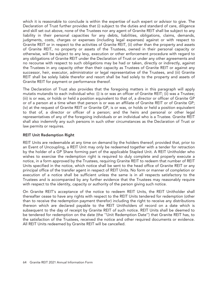which it is reasonable to conclude is within the expertise of such expert or advisor to give. The Declaration of Trust further provides that (i) subject to the duties and standard of care, diligence and skill set out above, none of the Trustees nor any agent of Granite REIT shall be subject to any liability in their personal capacities for any debts, liabilities, obligations, claims, demands, judgments, costs, charges or expenses (including legal expenses) against or with respect to Granite REIT or in respect to the activities of Granite REIT, (ii) other than the property and assets of Granite REIT, no property or assets of the Trustees, owned in their personal capacity or otherwise, will be subject to any levy, execution or other enforcement procedure with regard to any obligations of Granite REIT under the Declaration of Trust or under any other agreements and no recourse with respect to such obligations may be had or taken, directly or indirectly, against the Trustees in any capacity other than their capacity as Trustees of Granite REIT or against any successor, heir, executor, administrator or legal representative of the Trustees, and (iii) Granite REIT shall be solely liable therefor and resort shall be had solely to the property and assets of Granite REIT for payment or performance thereof.

The Declaration of Trust also provides that the foregoing matters in this paragraph will apply mutatis mutandis to each individual who: (i) is or was an officer of Granite REIT; (ii) was a Trustee; (iii) is or was, or holds or held a position equivalent to that of, a director or officer of Granite GP or of a person at a time when that person is or was an affiliate of Granite REIT or of Granite GP; (iv) at the request of Granite REIT or Granite GP, is or was, or holds or held a position equivalent to that of, a director or officer of a person; and the heirs and personal or other legal representatives of any of the foregoing individuals or an individual who is a Trustee. Granite REIT shall also indemnify any such persons in such other circumstances as the Declaration of Trust or law permits or requires.

## REIT Unit Redemption Right

REIT Units are redeemable at any time on demand by the holders thereof; provided that, prior to an Event of Uncoupling, a REIT Unit may only be redeemed together with a tender for retraction by the holder of a GP Share forming part of the applicable Stapled Unit. A REIT Unitholder who wishes to exercise the redemption right is required to duly complete and properly execute a notice, in a form approved by the Trustees, requiring Granite REIT to redeem that number of REIT Units specified in the notice, which notice shall be sent to the head office of Granite REIT or any principal office of the transfer agent in respect of REIT Units. No form or manner of completion or execution of a notice shall be sufficient unless the same is in all respects satisfactory to the Trustees and is accompanied by any further evidence that the Trustees may reasonably require with respect to the identity, capacity or authority of the person giving such notice.

On Granite REIT's acceptance of the notice to redeem REIT Units, the REIT Unitholder shall thereafter cease to have any rights with respect to the REIT Units tendered for redemption (other than to receive the redemption payment therefor) including the right to receive any distributions thereon which are declared payable to the REIT Unitholders of record on a date which is subsequent to the day of receipt by Granite REIT of such notice. REIT Units shall be deemed to be tendered for redemption on the date (the ''Unit Redemption Date'') that Granite REIT has, to the satisfaction of the Trustees, received the notice and other required documents or evidence. All REIT Units redeemed by Granite REIT will be cancelled.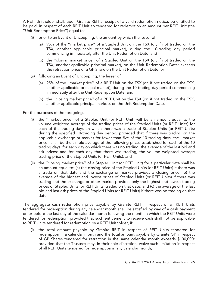A REIT Unitholder shall, upon Granite REIT's receipt of a valid redemption notice, be entitled to be paid, in respect of each REIT Unit so tendered for redemption an amount per REIT Unit (the ''Unit Redemption Price'') equal to:

- (i) prior to an Event of Uncoupling, the amount by which the lesser of:
	- (a) 95% of the ''market price'' of a Stapled Unit on the TSX (or, if not traded on the TSX, another applicable principal market), during the 10-trading day period commencing immediately after the Unit Redemption Date; and
	- (b) the ''closing market price'' of a Stapled Unit on the TSX (or, if not traded on the TSX, another applicable principal market), on the Unit Redemption Date; exceeds the retraction price of a GP Share on the Unit Redemption Date; or
- (ii) following an Event of Uncoupling, the lesser of:
	- (a) 95% of the ''market price'' of a REIT Unit on the TSX (or, if not traded on the TSX, another applicable principal market), during the 10-trading day period commencing immediately after the Unit Redemption Date; and
	- (b) the ''closing market price'' of a REIT Unit on the TSX (or, if not traded on the TSX, another applicable principal market), on the Unit Redemption Date.

For the purposes of the foregoing,

- (i) the ''market price'' of a Stapled Unit (or REIT Unit) will be an amount equal to the volume weighted average of the trading prices of the Stapled Units (or REIT Units) for each of the trading days on which there was a trade of Stapled Units (or REIT Units) during the specified 10-trading day period; provided that if there was trading on the applicable exchange or market for fewer than five of the 10 trading days, the ''market price'' shall be the simple average of the following prices established for each of the 10 trading days: for each day on which there was no trading, the average of the last bid and ask prices; and for each day that there was trading, the volume weighted average trading price of the Stapled Units (or REIT Units); and
- (ii) the ''closing market price'' of a Stapled Unit (or REIT Unit) for a particular date shall be an amount equal to: (a) the closing price of the Stapled Units (or REIT Units) if there was a trade on that date and the exchange or market provides a closing price; (b) the average of the highest and lowest prices of Stapled Units (or REIT Units) if there was trading and the exchange or other market provides only the highest and lowest trading prices of Stapled Units (or REIT Units) traded on that date; and (c) the average of the last bid and last ask prices of the Stapled Units (or REIT Units) if there was no trading on that date.

The aggregate cash redemption price payable by Granite REIT in respect of all REIT Units tendered for redemption during any calendar month shall be satisfied by way of a cash payment on or before the last day of the calendar month following the month in which the REIT Units were tendered for redemption, provided that such entitlement to receive cash shall not be applicable to REIT Units tendered for redemption by a REIT Unitholder, if:

(i) the total amount payable by Granite REIT in respect of REIT Units tendered for redemption in a calendar month and the total amount payable by Granite GP in respect of GP Shares tendered for retraction in the same calendar month exceeds \$100,000; provided that the Trustees may, in their sole discretion, waive such limitation in respect of all REIT Units tendered for redemption in any calendar month;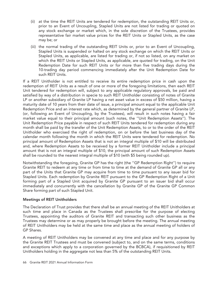- (ii) at the time the REIT Units are tendered for redemption, the outstanding REIT Units or, prior to an Event of Uncoupling, Stapled Units are not listed for trading or quoted on any stock exchange or market which, in the sole discretion of the Trustees, provides representative fair market value prices for the REIT Units or Stapled Units, as the case may be; or
- (iii) the normal trading of the outstanding REIT Units or, prior to an Event of Uncoupling, Stapled Units is suspended or halted on any stock exchange on which the REIT Units or Stapled Units, as applicable, are listed for trading or, if not so listed, on any market on which the REIT Units or Stapled Units, as applicable, are quoted for trading, on the Unit Redemption Date for such REIT Units or for more than five trading days during the 10-trading day period commencing immediately after the Unit Redemption Date for such REIT Units.

If a REIT Unitholder is not entitled to receive its entire redemption price in cash upon the redemption of REIT Units as a result of one or more of the foregoing limitations, then each REIT Unit tendered for redemption will, subject to any applicable regulatory approvals, be paid and satisfied by way of a distribution in specie to such REIT Unitholder consisting of notes of Granite LP or another subsidiary of Granite LP having a net asset value in excess of \$50 million, having a maturity date of 10 years from their date of issue, a principal amount equal to the applicable Unit Redemption Price and an interest rate which, as determined by the general partner of Granite LP, (or, following an Event of Uncoupling, by the Trustees), will result in such notes having a fair market value equal to their principal amount (such notes, the ''Unit Redemption Assets''). The Unit Redemption Price payable in respect of such REIT Units tendered for redemption during any month shall be paid by the transfer of the Unit Redemption Assets, to or to the order of the REIT Unitholder who exercised the right of redemption, on or before the last business day of the calendar month following the month in which the REIT Units were tendered for redemption. No principal amount of Redemption Assets that is not an integral multiple of \$10 will be distributed and, where Redemption Assets to be received by a former REIT Unitholder include a principal amount that is not an integral multiple of \$10, the principal amount of such Redemption Assets shall be rounded to the nearest integral multiple of \$10 (with \$5 being rounded up).

Notwithstanding the foregoing, Granite GP has the right (the ''GP Redemption Right'') to require Granite REIT to redeem at any time or from time to time at the demand of Granite GP all or any part of the Units that Granite GP may acquire from time to time pursuant to any issuer bid for Stapled Units. Each redemption by Granite REIT pursuant to the GP Redemption Right of a Unit forming part of a Stapled Unit acquired by Granite GP pursuant to an issuer bid shall occur immediately and concurrently with the cancellation by Granite GP of the Granite GP Common Share forming part of such Stapled Unit.

#### Meetings of REIT Unitholders

The Declaration of Trust provides that there shall be an annual meeting of the REIT Unitholders at such time and place in Canada as the Trustees shall prescribe for the purpose of electing Trustees, appointing the auditors of Granite REIT and transacting such other business as the Trustees may determine or as may properly be brought before the meeting. The annual meeting of REIT Unitholders may be held at the same time and place as the annual meeting of holders of GP Shares.

A meeting of REIT Unitholders may be convened at any time and place and for any purpose by the Granite REIT Trustees and must be convened (subject to, and on the same terms, conditions and exceptions which apply to a corporation governed by the BCBCA), if requisitioned by REIT Unitholders holding in the aggregate not less than 5% of the outstanding REIT Units.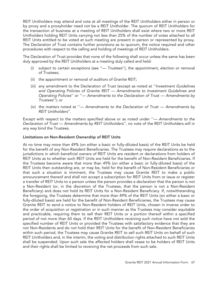REIT Unitholders may attend and vote at all meetings of the REIT Unitholders either in person or by proxy and a proxyholder need not be a REIT Unitholder. The quorum of REIT Unitholders for the transaction of business at a meeting of REIT Unitholders shall exist where two or more REIT Unitholders holding REIT Units carrying not less than 25% of the number of votes attached to all REIT Units entitled to be voted at such meeting are present in person or represented by proxy. The Declaration of Trust contains further provisions as to quorum, the notice required and other procedures with respect to the calling and holding of meetings of REIT Unitholders.

The Declaration of Trust provides that none of the following shall occur unless the same has been duly approved by the REIT Unitholders at a meeting duly called and held:

- (i) subject to certain exceptions (see ''*— Trustees*''), the appointment, election or removal of Trustees;
- (ii) the appointment or removal of auditors of Granite REIT;
- (iii) any amendment to the Declaration of Trust (except as noted at ''*Investment Guidelines and Operating Policies of Granite REIT — Amendments to Investment Guidelines and Operating Policies*'' or ''*— Amendments to the Declaration of Trust — Amendments by Trustees*''); or
- (iv) the matters noted at ''*— Amendments to the Declaration of Trust — Amendments by REIT Unitholders*''.

Except with respect to the matters specified above or as noted under ''*— Amendments to the Declaration of Trust — Amendments by REIT Unitholders*'', no vote of the REIT Unitholders will in any way bind the Trustees.

#### Limitations on Non-Resident Ownership of REIT Units

At no time may more than 49% (on either a basic or fully-diluted basis) of the REIT Units be held for the benefit of any Non-Resident Beneficiaries. The Trustees may require declarations as to the jurisdictions in which beneficial owners of REIT Units are resident or declarations from holders of REIT Units as to whether such REIT Units are held for the benefit of Non-Resident Beneficiaries. If the Trustees become aware that more than 49% (on either a basic or fully-diluted basis) of the REIT Units then outstanding are, or may be, held for the benefit of Non-Resident Beneficiaries or that such a situation is imminent, the Trustees may cause Granite REIT to make a public announcement thereof and shall not accept a subscription for REIT Units from or issue or register a transfer of REIT Units to a person unless the person provides a declaration that the person is not a Non-Resident (or, in the discretion of the Trustees, that the person is not a Non-Resident Beneficiary) and does not hold its REIT Units for a Non-Resident Beneficiary. If, notwithstanding the foregoing, the Trustees determine that more than 49% of the REIT Units (on either a basic or fully-diluted basis) are held for the benefit of Non-Resident Beneficiaries, the Trustees may cause Granite REIT to send a notice to Non-Resident holders of REIT Units, chosen in inverse order to the order of acquisition or registration or in such manner as the Trustees may consider equitable and practicable, requiring them to sell their REIT Units or a portion thereof within a specified period of not more than 60 days. If the REIT Unitholders receiving such notice have not sold the specified number of REIT Units or provided the Trustees with satisfactory evidence that they are not Non-Residents and do not hold their REIT Units for the benefit of Non-Resident Beneficiaries within such period, the Trustees may cause Granite REIT to sell such REIT Units on behalf of such REIT Unitholders and, in the interim, the voting and distribution rights attached to such REIT Units shall be suspended. Upon such sale the affected holders shall cease to be holders of REIT Units and their rights shall be limited to receiving the net proceeds from such sale.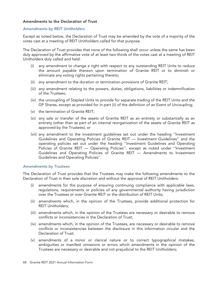#### Amendments to the Declaration of Trust

#### *Amendments by REIT Unitholders*

Except as noted below, the Declaration of Trust may be amended by the vote of a majority of the votes cast at a meeting of REIT Unitholders called for that purpose.

The Declaration of Trust provides that none of the following shall occur unless the same has been duly approved by the affirmative vote of at least two-thirds of the votes cast at a meeting of REIT Unitholders duly called and held:

- (i) any amendment to change a right with respect to any outstanding REIT Units to reduce the amount payable thereon upon termination of Granite REIT or to diminish or eliminate any voting rights pertaining thereto;
- (ii) any amendment to the duration or termination provisions of Granite REIT;
- (iii) any amendment relating to the powers, duties, obligations, liabilities or indemnification of the Trustees;
- (iv) the uncoupling of Stapled Units to provide for separate trading of the REIT Units and the GP Shares, except as provided for in part (ii) of the definition of an Event of Uncoupling;
- (v) the termination of Granite REIT;
- (vi) any sale or transfer of the assets of Granite REIT as an entirety or substantially as an entirety (other than as part of an internal reorganization of the assets of Granite REIT as approved by the Trustees); or
- (vii) any amendment to the investment guidelines set out under the heading ''Investment Guidelines and Operating Policies of Granite REIT — Investment Guidelines'' and the operating policies set out under the heading ''Investment Guidelines and Operating Policies of Granite REIT — Operating Policies'', except as noted under ''Investment Guidelines and Operating Policies of Granite REIT — Amendments to Investment Guidelines and Operating Policies''.

#### *Amendments by Trustees*

The Declaration of Trust provides that the Trustees may make the following amendments to the Declaration of Trust in their sole discretion and without the approval of REIT Unitholders:

- (i) amendments for the purpose of ensuring continuing compliance with applicable laws, regulations, requirements or policies of any governmental authority having jurisdiction over the Trustees or over Granite REIT or the distribution of REIT Units;
- (ii) amendments which, in the opinion of the Trustees, provide additional protection for REIT Unitholders;
- (iii) amendments which, in the opinion of the Trustees are necessary or desirable to remove conflicts or inconsistencies in the Declaration of Trust;
- (iv) amendments which, in the opinion of the Trustees, are necessary or desirable to remove conflicts or inconsistencies between the disclosure in this information circular and the Declaration of Trust;
- (v) amendments of a minor or clerical nature or to correct typographical mistakes, ambiguities or manifest omissions or errors which amendments in the opinion of the Trustees are necessary or desirable and not prejudicial to the REIT Unitholders;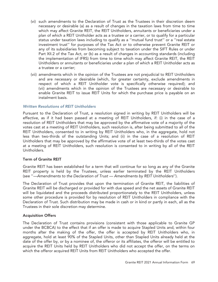- (vi) such amendments to the Declaration of Trust as the Trustees in their discretion deem necessary or desirable (a) as a result of changes in the taxation laws from time to time which may affect Granite REIT, the REIT Unitholders, annuitants or beneficiaries under a plan of which a REIT Unitholder acts as a trustee or a carrier, or to qualify for a particular status under taxation laws including to qualify as a ''mutual fund trust'' or a ''real estate investment trust'' for purposes of the Tax Act or to otherwise prevent Granite REIT or any of its subsidiaries from becoming subject to taxation under the SIFT Rules or under Part XII.2 of the Tax Act, or (b) as a result of changes in accounting standards (including the implementation of IFRS) from time to time which may affect Granite REIT, the REIT Unitholders or annuitants or beneficiaries under a plan of which a REIT Unitholder acts as a trustee or a carrier;
- (vii) amendments which in the opinion of the Trustees are not prejudicial to REIT Unitholders and are necessary or desirable (which, for greater certainty, exclude amendments in respect of which a REIT Unitholder vote is specifically otherwise required); and (vii) amendments which in the opinion of the Trustees are necessary or desirable to enable Granite REIT to issue REIT Units for which the purchase price is payable on an instalment basis.

#### *Written Resolutions of REIT Unitholders*

Pursuant to the Declaration of Trust, a resolution signed in writing by REIT Unitholders will be effective, as if it had been passed at a meeting of REIT Unitholders, if: (i) in the case of a resolution of REIT Unitholders that may be approved by the affirmative vote of a majority of the votes cast at a meeting of REIT Unitholders, such resolution is, after being submitted to all of the REIT Unitholders, consented to in writing by REIT Unitholders who, in the aggregate, hold not less than two-thirds of the outstanding Units; and (ii) in the case of a resolution of REIT Unitholders that may be approved by the affirmative vote of at least two-thirds of the votes cast at a meeting of REIT Unitholders, such resolution is consented to in writing by all of the REIT Unitholders.

#### Term of Granite REIT

Granite REIT has been established for a term that will continue for so long as any of the Granite REIT property is held by the Trustees, unless earlier terminated by the REIT Unitholders (see ''*—Amendments to the Declaration of Trust — Amendments by REIT Unitholders*'').

The Declaration of Trust provides that upon the termination of Granite REIT, the liabilities of Granite REIT will be discharged or provided for with due speed and the net assets of Granite REIT will be liquidated and the proceeds distributed proportionately to the REIT Unitholders, unless some other procedure is provided for by resolution of REIT Unitholders in compliance with the Declaration of Trust. Such distribution may be made in cash or in kind or partly in each, all as the Trustees in their sole discretion may determine.

#### Acquisition Offers

The Declaration of Trust contains provisions (consistent with those applicable to Granite GP under the BCBCA) to the effect that if an offer is made to acquire Stapled Units and, within four months after the making of the offer, the offer is accepted by REIT Unitholders who, in aggregate, hold at least 90% of the Stapled Units, other than Stapled Units already held at the date of the offer by, or by a nominee of, the offeror or its affiliates, the offeror will be entitled to acquire the REIT Units held by REIT Unitholders who did not accept the offer, on the terms on which the offeror acquired REIT Units from REIT Unitholders who accepted the offer.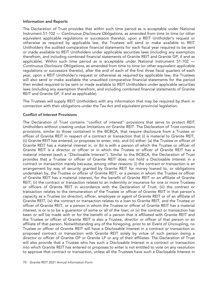#### Information and Reports

The Declaration of Trust provides that within such time period as is acceptable under National Instrument 51-102 — *Continuous Disclosure Obligations*, as amended from time to time (or other equivalent applicable regulations or successors thereto), upon a REIT Unitholder's request or otherwise as required by applicable law, the Trustees will send or make available to REIT Unitholders the audited comparative financial statements for each fiscal year required to be sent or made available to REIT Unitholders under applicable securities laws (including any exemption therefrom, and including combined financial statements of Granite REIT and Granite GP, if and as applicable). Within such time period as is acceptable under National Instrument 51-102 — *Continuous Disclosure Obligations*, as amended from time to time (or other equivalent applicable regulations or successors thereto), after the end of each of the first three fiscal quarters of each year, upon a REIT Unitholder's request or otherwise as required by applicable law, the Trustees will also send or make available the unaudited comparative financial statements for the period then ended required to be sent or made available to REIT Unitholders under applicable securities laws (including any exemption therefrom, and including combined financial statements of Granite REIT and Granite GP, if and as applicable).

The Trustees will supply REIT Unitholders with any information that may be required by them in connection with their obligations under the Tax Act and equivalent provincial legislation.

#### Conflict of Interest Provisions

The Declaration of Trust contains ''conflict of interest'' provisions that serve to protect REIT Unitholders without creating undue limitations on Granite REIT. The Declaration of Trust contains provisions, similar to those contained in the BCBCA, that require disclosure from a Trustee or officer of Granite REIT in respect of a contract or transaction that (i) is material to Granite REIT, (ii) Granite REIT has entered, or proposes to enter, into, and (iii) either: (a) the Trustee or officer of Granite REIT has a material interest in; or (b) is with a person of which the Trustee or officer of Granite REIT is a director or officer or in which the Trustee or officer of Granite REIT has a material interest (each a ''Disclosable Interest''). Similar to the BCBCA, the Declaration of Trust provides that a Trustee or officer of Granite REIT does not hold a Disclosable Interest in a contract or transaction merely because, among other reasons: (i) the contract or transaction is an arrangement by way of security granted by Granite REIT for money loaned to, or obligations undertaken by, the Trustee or officer of Granite REIT, or a person in whom the Trustee or officer of Granite REIT has a material interest, for the benefit of Granite REIT or an affiliate of Granite REIT; (ii) the contract or transaction relates to an indemnity or insurance for one or more Trustees or officers of Granite REIT in accordance with the Declaration of Trust; (iii) the contract or transaction relates to the remuneration of the Trustee or officer of Granite REIT in that person's capacity as a Trustee (or director), officer, employee or agent of Granite REIT or of an affiliate of Granite REIT; (iv) the contract or transaction relates to a loan to Granite REIT, and the Trustee or officer of Granite REIT, or a person in whom the Trustee or officer of Granite REIT has a material interest, is or is to be a guarantor of some or all of the loan; or (v) the contract or transaction has been or will be made with or for the benefit of a person that is affiliated with Granite REIT and the Trustee or officer of Granite REIT is also a Trustee, director or officer of that person or an affiliate of that person. Notwithstanding any of the foregoing, prior to an Event of Uncoupling, no Trustee or officer of Granite REIT will have a Disclosable Interest in a contract or transaction or proposed contract or transaction with Granite REIT solely by virtue of such person being a director or officer of Granite GP or Granite LP or any of their affiliates. The Declaration of Trust will also provide that a Trustee who has such a Disclosable Interest in a contract or transaction into which Granite REIT has entered or proposes to enter is not entitled to vote on any resolution to approve that contract or transaction, unless all the Trustees have such a Disclosable Interest in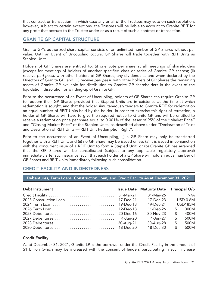that contract or transaction, in which case any or all of the Trustees may vote on such resolution, however, subject to certain exceptions, the Trustees will be liable to account to Granite REIT for any profit that accrues to the Trustee under or as a result of such a contract or transaction.

# GRANITE GP CAPITAL STRUCTURE

Granite GP's authorized share capital consists of an unlimited number of GP Shares without par value. Until an Event of Uncoupling occurs, GP Shares will trade together with REIT Units as Stapled Units.

Holders of GP Shares are entitled to: (i) one vote per share at all meetings of shareholders (except for meetings of holders of another specified class or series of Granite GP shares); (ii) receive *pari passu* with other holders of GP Shares, any dividends as and when declared by the Directors of Granite GP; and (iii) receive *pari passu* with other holders of GP Shares the remaining assets of Granite GP available for distribution to Granite GP shareholders in the event of the liquidation, dissolution or winding-up of Granite GP.

Prior to the occurrence of an Event of Uncoupling, holders of GP Shares can require Granite GP to redeem their GP Shares provided that Stapled Units are in existence at the time at which redemption is sought, and that the holder simultaneously tenders to Granite REIT for redemption an equal number of REIT Units held by the holder. In order to exercise this right of retraction, a holder of GP Shares will have to give the required notice to Granite GP and will be entitled to receive a redemption price per share equal to 0.001% of the lesser of 95% of the ''Market Price'' and ''Closing Market Price'' of the Stapled Units, as described above under ''Declaration of Trust and Description of REIT Units — REIT Unit Redemption Right''.

Prior to the occurrence of an Event of Uncoupling, (i) a GP Share may only be transferred together with a REIT Unit, and (ii) no GP Share may be issued unless (a) it is issued in conjunction with the concurrent issue of a REIT Unit to form a Stapled Unit, or (b) Granite GP has arranged that the GP Shares will be consolidated (subject to any applicable regulatory approval) immediately after such issuance, such that each holder of a GP Share will hold an equal number of GP Shares and REIT Units immediately following such consolidation.

# CREDIT FACILITY AND INDEBTEDNESS

Debentures, Term Loans, Construction Loan, and Credit Facility As at December 31, 2021

| Debt Instrument        |           | <b>Issue Date Maturity Date</b> |                 | <b>Principal O/S</b> |
|------------------------|-----------|---------------------------------|-----------------|----------------------|
|                        |           | 31-Mar-26                       | N/A             |                      |
| 2023 Construction Loan | 17-Dec-21 | 17-Dec-23                       | <b>USD 0.6M</b> |                      |
| 2024 Term Loan         | 19-Dec-18 | 19-Dec-24                       | <b>USD185M</b>  |                      |
| 2026 Term Loan         | 12-Dec-18 | 11-Dec-26                       | \$.             | 300M                 |
| 2023 Debentures        | 20-Dec-16 | $30-Nov-23$                     | \$              | 400M                 |
| 2027 Debentures        | 4-Jun-20  | 4-Jun-27                        | \$              | 500M                 |
|                        |           | 30-Aug-28                       | \$              | 500M                 |
| 2030 Debentures        | 18-Dec-20 | 18-Dec-30                       | \$              | 500M                 |

# Credit Facility

As at December 31, 2021, Granite LP is the borrower under the Credit Facility in the amount of \$1 billion (which may be increased with the consent of lenders participating in such increase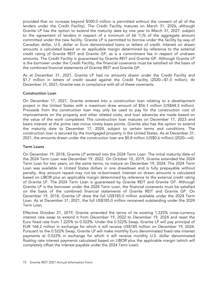provided that no increase beyond \$500.0 million is permitted without the consent of all of the lenders under the Credit Facility). The Credit Facility matures on March 31, 2026, although Granite LP has the option to extend the maturity date by one year to March 31, 2027, subject to the agreement of lenders in respect of a minimum of 66  $\frac{2}{3}$ % of the aggregate amount committed under the new facility. Granite LP is permitted to borrow under the facility by way of Canadian dollar, U.S. dollar or Euro denominated loans or letters of credit. Interest on drawn amounts is calculated based on an applicable margin determined by reference to the external credit rating of Granite REIT and Granite GP, as is a commitment fee in respect of undrawn amounts. The Credit Facility is guaranteed by Granite REIT and Granite GP. Although Granite LP is the borrower under the Credit Facility, the financial covenants must be satisfied on the basis of the combined financial statements of Granite REIT and Granite GP.

As at December 31, 2021, Granite LP had no amounts drawn under the Credit Facility and \$1.7 million in letters of credit issued against the Credit Facility (2020—\$1.0 million). At December 31, 2021, Granite was in compliance with all of these covenants.

#### Construction Loan

On December 17, 2021, Granite entered into a construction loan relating to a development project in the United States with a maximum draw amount of \$56.1 million (US\$44.3 million). Proceeds from the construction loan may only be used to pay for the construction cost of improvements on the property and other related costs, and loan advances are made based on the value of the work completed. The construction loan matures on December 17, 2023 and bears interest at the prime rate minus ninety basis points. Granite also has the option to extend the maturity date to December 17, 2024, subject to certain terms and conditions. The construction loan is secured by the mortgaged property in the United States. As at December 31, 2021, the amounts drawn under the construction loan are \$0.8 million (US\$0.6 million) (2020—nil).

# Term Loans

On December 19, 2018, Granite LP entered into the 2024 Term Loan. The initial maturity date of the 2024 Term Loan was December 19, 2022. On October 10, 2019, Granite extended the 2024 Term Loan for two years, on the same terms, to mature on December 19, 2024. The 2024 Term Loan was available in United States dollars in one drawdown and is fully prepayable without penalty. Any amount repaid may not be re-borrowed. Interest on drawn amounts is calculated based on LIBOR plus an applicable margin determined by reference to the external credit rating of Granite LP. The 2024 Term Loan is guaranteed by Granite REIT and Granite GP. Although Granite LP is the borrower under the 2024 Term Loan, the financial covenants must be satisfied on the basis of the combined financial statements of Granite REIT and Granite GP. On December 19, 2018, Granite LP drew the full US\$185.0 million available under the 2024 Term Loan. As at December 31, 2021, the full US\$185.0 million remained outstanding under the 2024 Term Loan.

Effective October 21, 2019, Granite amended the terms of its existing 1.225% cross-currency interest rate swap to extend it from December 19, 2022 to December 19, 2024 and reset the Euro fixed rate from 1.225% to 0.522%. Under the 0.522% Swap, Granite LP will pay principal of EUR 168.2 million in exchange for which it will receive US\$185 million on December 19, 2024. Pursuant to the 0.522% Swap, Granite LP will make monthly Euro denominated fixed rate interest payments at 0.522% in exchange for which it will receive monthly U.S. dollar denominated floating rate interest payments calculated based on LIBOR plus the applicable margin (which will completely offset the interest payable under the 2024 Term Loan).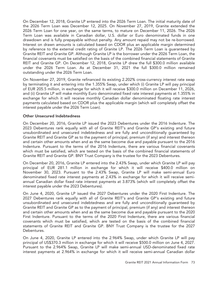On December 12, 2018, Granite LP entered into the 2026 Term Loan. The initial maturity date of the 2026 Term Loan was December 12, 2025. On November 27, 2019, Granite extended the 2026 Term Loan for one year, on the same terms, to mature on December 11, 2026. The 2026 Term Loan was available in Canadian dollar, U.S. dollar or Euro denominated funds in one drawdown and is fully prepayable without penalty. Any amount repaid may not be re-borrowed. Interest on drawn amounts is calculated based on CDOR plus an applicable margin determined by reference to the external credit rating of Granite LP. The 2026 Term Loan is guaranteed by Granite REIT and Granite GP. Although Granite LP is the borrower under the 2026 Term Loan, the financial covenants must be satisfied on the basis of the combined financial statements of Granite REIT and Granite GP. On December 12, 2018, Granite LP drew the full \$300.0 million available under the 2026 Term Loan. As at December 31, 2021 the full \$300.0 million remained outstanding under the 2026 Term Loan.

On November 27, 2019, Granite refinanced its existing 2.202% cross-currency interest rate swap by terminating it and entering into the 1.355% Swap, under which (i) Granite LP will pay principal of EUR 205.5 million, in exchange for which it will receive \$300.0 million on December 11, 2026, and (ii) Granite LP will make monthly Euro denominated fixed rate interest payments at 1.355% in exchange for which it will receive monthly Canadian dollar denominated floating rate interest payments calculated based on CDOR plus the applicable margin (which will completely offset the interest payable under the 2026 Term Loan).

### Other Unsecured Indebtedness

On December 20, 2016, Granite LP issued the 2023 Debentures under the 2016 Indenture. The 2023 Debentures rank equally with all of Granite REIT's and Granite GP's existing and future unsubordinated and unsecured indebtedness and are fully and unconditionally guaranteed by Granite REIT and Granite GP as to the payment of principal, premium (if any) and interest thereon and certain other amounts when and as the same become due and payable pursuant to the 2016 Indenture. Pursuant to the terms of the 2016 Indenture, there are various financial covenants which must be satisfied, which are tested on the basis of the combined financial statements of Granite REIT and Granite GP. BNY Trust Company is the trustee for the 2023 Debentures.

On December 20, 2016, Granite LP entered into the 2.43% Swap, under which Granite LP will pay principal of EUR 281.1 million in exchange for which it will receive \$400.0 million on November 30, 2023. Pursuant to the 2.43% Swap, Granite LP will make semi-annual Euro denominated fixed rate interest payments at 2.43% in exchange for which it will receive semiannual Canadian dollar fixed rate interest payments at 3.873% (which will completely offset the interest payable under the 2023 Debentures).

On June 4, 2020, Granite LP issued the 2027 Debentures under the 2020 First Indenture. The 2027 Debentures rank equally with all of Granite REIT's and Granite GP's existing and future unsubordinated and unsecured indebtedness and are fully and unconditionally guaranteed by Granite REIT and Granite GP as to the payment of principal, premium (if any) and interest thereon and certain other amounts when and as the same become due and payable pursuant to the 2020 First Indenture. Pursuant to the terms of the 2020 First Indenture, there are various financial covenants which must be satisfied, which are tested on the basis of the combined financial statements of Granite REIT and Granite GP. BNY Trust Company is the trustee for the 2027 Debentures.

On June 4, 2020, Granite LP entered into the 2.964% Swap, under which Granite LP will pay principal of US\$370.3 million in exchange for which it will receive \$500.0 million on June 4, 2027. Pursuant to the 2.964% Swap, Granite LP will make semi-annual USD-denominated fixed rate interest payments at 2.964% in exchange for which it will receive semi-annual Canadian dollar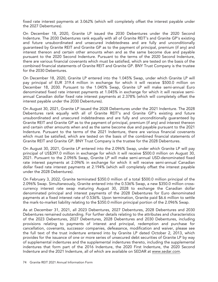fixed rate interest payments at 3.062% (which will completely offset the interest payable under the 2027 Debentures).

On December 18, 2020, Granite LP issued the 2030 Debentures under the 2020 Second Indenture. The 2030 Debentures rank equally with all of Granite REIT's and Granite GP's existing and future unsubordinated and unsecured indebtedness and are fully and unconditionally guaranteed by Granite REIT and Granite GP as to the payment of principal, premium (if any) and interest thereon and certain other amounts when and as the same become due and payable pursuant to the 2020 Second Indenture. Pursuant to the terms of the 2020 Second Indenture, there are various financial covenants which must be satisfied, which are tested on the basis of the combined financial statements of Granite REIT and Granite GP. BNY Trust Company is the trustee for the 2030 Debentures.

On December 18, 2020, Granite LP entered into the 1.045% Swap, under which Granite LP will pay principal of EUR 319.4 million in exchange for which it will receive \$500.0 million on December 18, 2030. Pursuant to the 1.045% Swap, Granite LP will make semi-annual Euro denominated fixed rate interest payments at 1.045% in exchange for which it will receive semiannual Canadian dollar fixed rate interest payments at 2.378% (which will completely offset the interest payable under the 2030 Debentures).

On August 30, 2021, Granite LP issued the 2028 Debentures under the 2021 Indenture. The 2028 Debentures rank equally with all of Granite REIT's and Granite GP's existing and future unsubordinated and unsecured indebtedness and are fully and unconditionally guaranteed by Granite REIT and Granite GP as to the payment of principal, premium (if any) and interest thereon and certain other amounts when and as the same become due and payable pursuant to the 2021 Indenture. Pursuant to the terms of the 2021 Indenture, there are various financial covenants which must be satisfied, which are tested on the basis of the combined financial statements of Granite REIT and Granite GP. BNY Trust Company is the trustee for the 2028 Debentures.

On August 30, 2021, Granite LP entered into the 2.096% Swap, under which Granite LP will pay principal of US\$397.0 million in exchange for which it will receive \$500.0 million on August 30, 2021. Pursuant to the 2.096% Swap, Granite LP will make semi-annual USD-denominated fixed rate interest payments at 2.096% in exchange for which it will receive semi-annual Canadian dollar fixed rate interest payments at 2.194% (which will completely offset the interest payable under the 2028 Debentures).

On February 3, 2022, Granite terminated \$350.0 million of a total \$500.0 million principal of the 2.096% Swap. Simultaneously, Granite entered into the 0.536% Swap, a new \$350.0 million crosscurrency interest rate swap maturing August 30, 2028 to exchange the Canadian dollar denominated principal and interest payments of the 2028 Debentures for Euro denominated payments at a fixed interest rate of 0.536%. Upon termination, Granite paid \$6.6 million to settle the mark-to-market liability relating to the \$350.0 million principal portion of the 2.096% Swap.

As at December 31, 2021, all 2023 Debentures, 2027 Debentures, 2028 Debentures and 2030 Debentures remained outstanding. For further details relating to the attributes and characteristics of the 2023 Debentures, 2027 Debentures, 2028 Debentures and 2030 Debentures, including provisions relating to payments of interest and principal, redemption and purchase for cancellation, covenants, successor companies, defeasance, modification and waiver, please see the full text of the trust indenture entered into by Granite LP dated October 2, 2013, which provides for the issuance of one or more series of unsecured debt securities of Granite LP by way of supplemental indentures and the supplemental indentures thereto, including the supplemental indentures that form part of the 2016 Indenture, the 2020 First Indenture, the 2020 Second Indenture and the 2021 Indenture, all of which are available on SEDAR at [www.sedar.com.](http://www.sedar.com)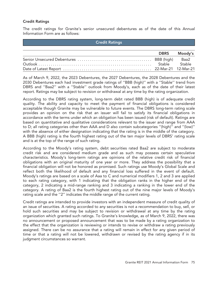### Credit Ratings

The credit ratings for Granite's senior unsecured debentures as of the date of this Annual Information Form are as follows:

| <b>Credit Ratings</b> |              |
|-----------------------|--------------|
|                       |              |
|                       | DBRS Moody's |
|                       | Baa2         |
|                       |              |
|                       |              |

As of March 9, 2022, the 2023 Debentures, the 2027 Debentures, the 2028 Debentures and the 2030 Debentures each had investment grade ratings of ''BBB (high)'' with a ''Stable'' trend from DBRS and ''Baa2'' with a ''Stable'' outlook from Moody's, each as of the date of their latest report. Ratings may be subject to revision or withdrawal at any time by the rating organization.

According to the DBRS rating system, long-term debt rated BBB (high) is of adequate credit quality. The ability and capacity to meet the payment of financial obligations is considered acceptable though Granite may be vulnerable to future events. The DBRS long-term rating scale provides an opinion on the risk that an issuer will fail to satisfy its financial obligations in accordance with the terms under which an obligation has been issued (risk of default). Ratings are based on quantitative and qualitative considerations relevant to the issuer and range from AAA to D; all rating categories other than AAA and D also contain subcategories ''(high)'' and ''(low)'' with the absence of either designation indicating that the rating is in the middle of the category. A BBB (high) rating is the fourth highest rating out of the ten major levels of DBRS' rating scale and is at the top of the range of such rating.

According to the Moody's rating system, debt securities rated Baa2 are subject to moderate credit risk and are considered medium grade and as such may possess certain speculative characteristics. Moody's long-term ratings are opinions of the relative credit risk of financial obligations with an original maturity of one year or more. They address the possibility that a financial obligation will not be honored as promised. Such ratings use Moody's Global Scale and reflect both the likelihood of default and any financial loss suffered in the event of default. Moody's ratings are based on a scale of Aaa to C and numerical modifiers 1, 2 and 3 are applied to each rating category, with 1 indicating that the obligation ranks in the higher end of the category, 2 indicating a mid-range ranking and 3 indicating a ranking in the lower end of the category. A rating of Baa2 is the fourth highest rating out of the nine major levels of Moody's rating scale and the ''2'' indicates the middle range of the current rating.

Credit ratings are intended to provide investors with an independent measure of credit quality of an issue of securities. A rating accorded to any securities is not a recommendation to buy, sell, or hold such securities and may be subject to revision or withdrawal at any time by the rating organization which granted such ratings. To Granite's knowledge, as of March 9, 2022, there was no announcement or proposed announcement that was to be made by a rating organization to the effect that the organization is reviewing or intends to revise or withdraw a rating previously assigned. There can be no assurance that a rating will remain in effect for any given period of time or that a rating will not be lowered, withdrawn or revised by the rating agency if in its judgment circumstances so warrant.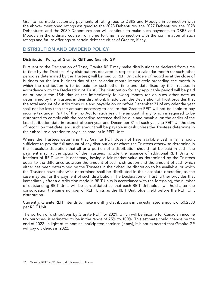Granite has made customary payments of rating fees to DBRS and Moody's in connection with the above- mentioned ratings assigned to the 2023 Debentures, the 2027 Debentures, the 2028 Debentures and the 2030 Debentures and will continue to make such payments to DBRS and Moody's in the ordinary course from time to time in connection with the confirmation of such ratings and future offerings of certain debt securities of Granite, if any.

# DISTRIBUTION AND DIVIDEND POLICY

## Distribution Policy of Granite REIT and Granite GP

Pursuant to the Declaration of Trust, Granite REIT may make distributions as declared from time to time by the Trustees. Any distributions declared in respect of a calendar month (or such other period as determined by the Trustees) will be paid to REIT Unitholders of record as at the close of business on the last business day of the calendar month immediately preceding the month in which the distribution is to be paid (or such other time and date fixed by the Trustees in accordance with the Declaration of Trust). The distribution for any applicable period will be paid on or about the 15th day of the immediately following month (or on such other date as determined by the Trustees in their discretion). In addition, the Declaration of Trust provides that the total amount of distributions due and payable on or before December 31 of any calendar year shall not be less than the amount necessary to ensure that Granite REIT will not be liable to pay income tax under Part I of the Tax Act for such year. The amount, if any, which is required to be distributed to comply with the preceding sentence shall be due and payable, on the earlier of the last distribution date in respect of each year and December 31 of such year, to REIT Unitholders of record on that date, and such amount will be payable in cash unless the Trustees determine in their absolute discretion to pay such amount in REIT Units.

Where the Trustees determine that Granite REIT does not have available cash in an amount sufficient to pay the full amount of any distribution or where the Trustees otherwise determine in their absolute discretion that all or a portion of a distribution should not be paid in cash, the payment may, at the option of the Trustees, include the issuance of additional REIT Units, or fractions of REIT Units, if necessary, having a fair market value as determined by the Trustees equal to the difference between the amount of such distribution and the amount of cash which either has been determined by the Trustees in their absolute discretion to be available, or which the Trustees have otherwise determined shall be distributed in their absolute discretion, as the case may be, for the payment of such distribution. The Declaration of Trust further provides that immediately after a distribution made in REIT Units in accordance with the foregoing, the number of outstanding REIT Units will be consolidated so that each REIT Unitholder will hold after the consolidation the same number of REIT Units as the REIT Unitholder held before the REIT Unit distribution.

Currently, Granite REIT intends to make monthly distributions in the estimated amount of \$0.2583 per REIT Unit.

The portion of distributions by Granite REIT for 2021, which will be income for Canadian income tax purposes, is estimated to be in the range of 75% to 100%. This estimate could change by the end of 2022. In light of its nominal anticipated earnings (if any), it is not expected that Granite GP will pay dividends in 2022.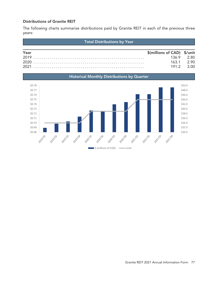## Distributions of Granite REIT

The following charts summarize distributions paid by Granite REIT in each of the previous three years:

## Total Distributions by Year

| Year | \$(millions of CAD) \$/unit |  |
|------|-----------------------------|--|
|      |                             |  |
|      | 136.9 2.80                  |  |
|      | 163.1 2.90                  |  |
|      | 191.2 3.00                  |  |



## Historical Monthly Distributions by Quarter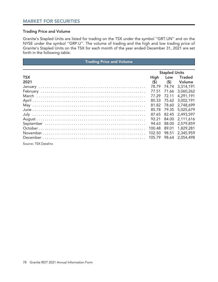## MARKET FOR SECURITIES

### Trading Price and Volume

Granite's Stapled Units are listed for trading on the TSX under the symbol ''GRT.UN'' and on the NYSE under the symbol ''GRP.U''. The volume of trading and the high and low trading price of Granite's Stapled Units on the TSX for each month of the year ended December 31, 2021 are set forth in the following table:

| <b>Trading Price and Volume</b> |                      |             |                        |
|---------------------------------|----------------------|-------------|------------------------|
|                                 | <b>Stapled Units</b> |             |                        |
| <b>TSX</b>                      |                      |             | High Low Traded        |
| 2021                            | (5)                  |             | (\$) Volume            |
|                                 |                      | 78.79 74.74 | 3,314,191              |
|                                 |                      |             | 77.51 71.66 3,060,262  |
|                                 |                      | 77.29 72.11 | 4.291.191              |
|                                 |                      |             | 80.33 75.62 3,002,191  |
|                                 |                      |             | 81.82 78.60 2,748,699  |
|                                 |                      |             | 85.78 79.35 5,025,679  |
|                                 |                      |             | 87.65 82.45 2,493,597  |
|                                 |                      |             | 92.21 84.00 2,111,616  |
|                                 |                      |             | 94.63 88.00 2,579,859  |
|                                 |                      |             | 100.48 89.01 1,829,281 |
|                                 |                      |             | 102.50 98.51 2,345,959 |
|                                 |                      |             | 105.79 98.64 2.054,498 |
|                                 |                      |             |                        |

Source: TSX Datalinx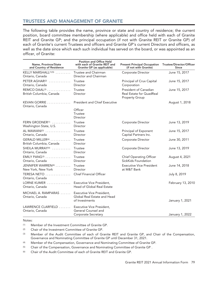## TRUSTEES AND MANAGEMENT OF GRANITE

The following table provides the name, province or state and country of residence; the current position, board committee membership (where applicable) and office held with each of Granite REIT and Granite GP; and the principal occupation (if not with Granite REIT or Granite GP) of each of Granite's current Trustees and officers and Granite GP's current Directors and officers, as well as the date since which each such individual has served on the board, or was appointed as an officer, of Granite:

| Name, Province/State<br>and Country of Residence                   | <b>Position and Office Held</b><br>with each of Granite REIT and<br>Granite GP (as applicable) | <b>Present Principal Occupation</b><br>(if not with Granite)               | Trustee/Director/Officer<br><b>Since</b> |
|--------------------------------------------------------------------|------------------------------------------------------------------------------------------------|----------------------------------------------------------------------------|------------------------------------------|
| KELLY MARSHALL <sup>(1)(5)</sup><br>Ontario, Canada                | Trustee and Chairman<br>Director and Chairman                                                  | Corporate Director                                                         | June 15, 2017                            |
| PETER AGHAR <sup>(2)</sup><br>Ontario, Canada                      | Trustee<br>Director                                                                            | Principal of Crux Capital<br>Corporation                                   | June 15, 2017                            |
| REMCO DAAL <sup>(3)</sup><br>British Columbia, Canada              | Trustee<br>Director                                                                            | President of Canadian<br>Real Estate for QuadReal<br><b>Property Group</b> | June 15, 2017                            |
| KEVAN GORRIE $\ldots, \ldots, \ldots, \ldots$<br>Ontario, Canada   | <b>President and Chief Executive</b><br>Officer<br>Trustee<br>Director                         |                                                                            | August 1, 2018                           |
| FERN GRODNER <sup><math>(1)</math></sup><br>Washington State, U.S. | Trustee<br>Director                                                                            | Corporate Director                                                         | June 13, 2019                            |
| AL MAWAN $ ^{(3)}$<br>Ontario, Canada                              | Trustee<br>Director                                                                            | Principal of Exponent<br>Capital Partners Inc.                             | June 15, 2017                            |
| GERALD MILLER <sup>(6)</sup><br>British Columbia, Canada           | Trustee<br>Director                                                                            | Corporate Director                                                         | June 30, 2011                            |
| SHEILA MURRAY <sup>(4)</sup><br>Ontario, Canada                    | Trustee<br>Director                                                                            | Corporate Director                                                         | June 13, 2019                            |
| EMILY PANG <sup>(3)</sup><br>Ontario, Canada                       | Trustee<br>Director                                                                            | <b>Chief Operating Officer</b><br>SickKids Foundation                      | August 4, 2021                           |
| JENNIFER WARREN(4)<br>New York, New York                           | Trustee<br>Director                                                                            | <b>Executive Vice President</b><br>at M&T Bank                             | June 14, 2018                            |
| TERESA NETO<br>Ontario, Canada                                     | <b>Chief Financial Officer</b>                                                                 |                                                                            | July 8, 2019                             |
| LORNE KUMER<br>Ontario, Canada                                     | Executive Vice President,<br>Head of Global Real Estate                                        |                                                                            | February 13, 2010                        |
| MICHAEL A. RAMPARAS<br>Ontario, Canada                             | Executive Vice President,<br>Global Real Estate and Head<br>of Investments                     |                                                                            | January 1, 2021                          |
| LAWRENCE CLARFIELD<br>Ontario, Canada                              | Executive Vice President,<br>General Counsel and<br><b>Corporate Secretary</b>                 |                                                                            | January 1, 2022                          |

#### Notes:

(1) Member of the Investment Committee of Granite GP.

(2) Chair of the Investment Committee of Granite GP.

(3) Member of the Audit Committee of each of Granite REIT and Granite GP, and Chair of the Compensation, Governance and Nominating Committee of Granite GP until December 31, 2021.

- (4) Member of the Compensation, Governance and Nominating Committee of Granite GP.
- (5) Chair of the Compensation, Governance and Nominating Committee of Granite GP .
- (6) Chair of the Audit Committee of each of Granite REIT and Granite GP.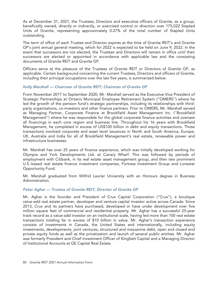As at December 31, 2021, the Trustees, Directors and executive officers of Granite, as a group, beneficially owned, directly or indirectly, or exercised control or direction over 175,022 Stapled Units of Granite, representing approximately 0.27% of the total number of Stapled Units outstanding.

The term of office of each Trustee and Director expires at the time of Granite REIT's and Granite GP's joint annual general meeting, which for 2022 is expected to be held on June 9, 2022. In the event that successors are not elected, the Trustees and Directors will remain in office until their successors are elected or appointed in accordance with applicable law and the constating documents of Granite REIT and Granite GP.

Officers serve at the pleasure of the Trustees of Granite REIT or Directors of Granite GP, as applicable. Certain background concerning the current Trustees, Directors and officers of Granite, including their principal occupations over the last five years, is summarized below.

## *Kelly Marshall — Chairman of Granite REIT; Chairman of Granite GP*

From November 2017 to September 2020, Mr. Marshall served as the Executive Vice President of Strategic Partnerships at Ontario Municipal Employee Retirement System (''OMERS'') where he led the growth of the pension fund's strategic partnerships, including its relationships with thirdparty organizations, co-investors and other finance partners. Prior to OMERS, Mr. Marshall served as Managing Partner, Corporate Finance at Brookfield Asset Management Inc. (''Brookfield Management'') where he was responsible for the global corporate finance activities and oversaw all financings in each core region and business line. Throughout his 16 years with Brookfield Management, he completed in excess of US\$100 billion in debt and equity transactions. Those transactions involved corporate and asset level issuances in North and South America, Europe, UK, Australia and India for all of Brookfield Management's real estate, renewable power and infrastructure businesses.

Mr. Marshall has over 25 years of finance experience, which was initially developed working for Olympia and York Developments Ltd. at Canary Wharf. This was followed by periods of employment with Citibank, in its real estate asset management group, and then two prominent U.S.-based real estate finance investment companies, Fortress Investment Group and Lonestar Opportunity Fund.

Mr. Marshall graduated from Wilfrid Laurier University with an Honours degree in Business Administration.

### *Peter Aghar — Trustee of Granite REIT; Director of Granite GP*

Mr. Aghar is the founder and President of Crux Capital Corporation ("Crux"), a boutique value-add real estate partner, developer and venture capital investor active across Canada. Since 2013, Crux and its partners have purchased, developed or have under development over five million square feet of commercial and residential property. Mr. Aghar has a successful 25-year track record as a value-add investor on an institutional scale, having led more than 100 real estate transactions totaling far in excess of \$10 billion in value. Mr. Aghar's transaction experience consists of investments in Canada, the United States and internationally, including equity investments, developments, joint ventures, structured and mezzanine debt, open and closed end private equity funds as well as the privatization and launch of several public entities. Mr. Aghar was formerly President and Chief Investment Officer of KingSett Capital and a Managing Director of Institutional Accounts at GE Capital Real Estate.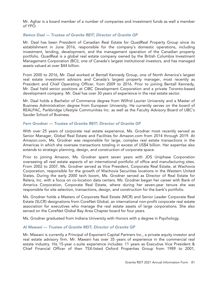Mr. Aghar is a board member of a number of companies and investment funds as well a member of YPO.

### *Remco Daal — Trustee of Granite REIT; Director of Granite GP*

Mr. Daal has been President of Canadian Real Estate for QuadReal Property Group since its establishment in June 2016, responsible for the company's domestic operations, including investment, lending, development, and the management operation of the Canadian property portfolio. QuadReal is a global real estate company owned by the British Columbia Investment Management Corporation (BCI), one of Canada's largest institutional investors, and has managed assets valued at over \$44 billion.

From 2000 to 2016, Mr. Daal worked at Bentall Kennedy Group, one of North America's largest real estate investment advisors and Canada's largest property manager, most recently as President and Chief Operating Officer, from 2009 to 2016. Prior to joining Bentall Kennedy, Mr. Daal held senior positions at CIBC Development Corporation and a private Toronto-based development company. Mr. Daal has over 30 years of experience in the real estate sector.

Mr. Daal holds a Bachelor of Commerce degree from Wilfrid Laurier University and a Master of Business Administration degree from European University. He currently serves on the board of REALPAC, Parkbridge Lifestyle Communities Inc. as well as the Faculty Advisory Board of UBC's Sauder School of Business.

## *Fern Grodner — Trustee of Granite REIT; Director of Granite GP*

With over 25 years of corporate real estate experience, Ms. Grodner most recently served as Senior Manager, Global Real Estate and Facilities for Amazon.com from 2014 through 2019. At Amazon.com, Ms. Grodner was responsible for large, complex real estate transactions in the Americas in which she oversaw transactions totaling in excess of US\$4 billion. Her expertise also extends to strategic planning, design, and construction of corporate space.

Prior to joining Amazon, Ms. Grodner spent seven years with JDS Uniphase Corporation overseeing all real estate aspects of an international portfolio of office and manufacturing sites. From 2002 to 2007, Ms. Grodner served as Vice President, Corporate Real Estate, at Wachovia Corporation, responsible for the growth of Wachovia Securities locations in the Western United States. During the early 2000 tech boom, Ms. Grodner served as Director of Real Estate for Relera, Inc. with a focus on co-location data centers. Ms. Grodner began her career with Bank of America Corporation, Corporate Real Estate, where during her seven-year tenure she was responsible for site selection, transactions, design, and construction for the bank's portfolio.

Ms. Grodner holds a Masters of Corporate Real Estate (MCR) and Senior Leader Corporate Real Estate (SLCR) designations from CoreNet Global, an international non-profit corporate real estate association for executives who manage the real estate assets of large corporations. She also served on the CoreNet Global Bay Area Chapter board for four years.

Ms. Grodner graduated from Indiana University with Honors with a degree in Psychology.

## *Al Mawani — Trustee of Granite REIT; Director of Granite GP*

Mr. Mawani is currently a Principal of Exponent Capital Partners Inc., a private equity investor and real estate advisory firm. Mr. Mawani has over 35 years of experience in the commercial real estate industry. His 15-year c-suite experience includes: 11 years as Executive Vice President & Chief Financial Officer of then TSX-listed Oxford Properties Group from 1989 to 2001,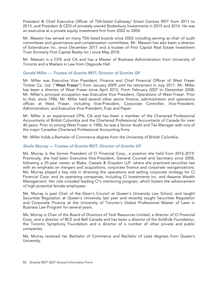President & Chief Executive Officer of TSX-listed Calloway/ Smart Centres REIT from 2011 to 2013, and President & CEO of privately-owned Rodenbury Investments in 2015 and 2016. He was an executive at a private equity investment firm from 2002 to 2004.

Mr. Mawani has served on many TSX-listed boards since 2002 including serving as chair of audit committees and governance and compensation committees. Mr. Mawani has also been a director of Extendicare Inc. since December 2017 and a trustee of First Capital Real Estate Investment Trust (formerly First Capital Realty Inc.) since May 2018.

Mr. Mawani is a CPA and CA and has a Master of Business Administration from University of Toronto and a Masters in Law from Osgoode Hall.

## *Gerald Miller — Trustee of Granite REIT; Director of Granite GP*

Mr. Miller was Executive Vice President, Finance and Chief Financial Officer of West Fraser Timber Co. Ltd. (''West Fraser'') from January 2009 until his retirement in July 2011. Mr. Miller has been a director of West Fraser since April 2012. From February 2007 to December 2008, Mr. Miller's principal occupation was Executive Vice President, Operations of West Fraser. Prior to that, since 1986, Mr. Miller held several other senior finance, administration and operations offices at West Fraser, including Vice-President, Corporate Controller; Vice-President, Administration; and Executive Vice-President, Pulp and Paper.

Mr. Miller is an experienced CPA, CA and has been a member of the Chartered Professional Accountants of British Columbia and the Chartered Professional Accountants of Canada for over 40 years. Prior to joining West Fraser in 1986, he was a Senior Audit and Tax Manager with one of the major Canadian Chartered Professional Accounting firms.

Mr. Miller holds a Bachelor of Commerce degree from the University of British Columbia.

### *Sheila Murray — Trustee of Granite REIT; Director of Granite GP*

Ms. Murray is the former President of CI Financial Corp., a position she held from 2016-2019. Previously, she had been Executive Vice-President, General Counsel and Secretary since 2008, following a 25-year career at Blake, Cassels & Graydon LLP, where she practiced securities law with an emphasis on mergers and acquisitions, corporate finance and corporate reorganizations. Ms. Murray played a key role in directing the operations and setting corporate strategy for CI Financial Corp. and its operating companies, including CI Investments Inc. and Assante Wealth Management. Her role included leading CI's mentoring program, which fosters the advancement of high-potential female employees.

Ms. Murray is past Chair of the Dean's Council at Queen's University Law School, and taught Securities Regulation at Queen's University last year and recently taught Securities Regulation and Corporate Finance at the University of Toronto's Global Professional Master of Laws in Business Law Program for several years.

Ms. Murray is Chair of the Board of Directors of Teck Resources Limited, a director of CI Financial Corp. and a director of BCE and Bell Canada and has been a director of the SickKids Foundation, the Toronto Symphony Foundation and a director of a number of other private and public companies.

Ms. Murray received her Bachelor of Commerce and Bachelor of Laws degrees from Queen's University.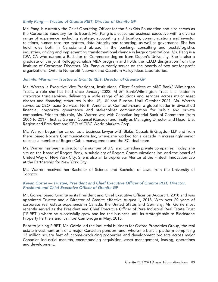### *Emily Pang — Trustee of Granite REIT; Director of Granite GP*

Ms. Pang is currently the Chief Operating Officer for the SickKids Foundation and also serves as the Corporate Secretary for its Board. Ms. Pang is a seasoned business executive with a diverse range of experience, including strategy, accounting and taxation, communications and investor relations, human resource matters, data integrity and reporting, as well as governance. She has held roles both in Canada and abroad in the banking, consulting and postal/logistics industries, driving and implementing transformational change in large organizations. Ms. Pang is a CPA CA who earned a Bachelor of Commerce degree from Queen's University. She is also a graduate of the joint Kellogg-Schulich MBA program and holds the ICD.D designation from the Institute of Corporate Directors. Ms. Pang currently serves on the boards of two not-for-profit organizations: Ontario Nonprofit Network and Quantum Valley Ideas Laboratories.

#### *Jennifer Warren — Trustee of Granite REIT; Director of Granite GP*

Ms. Warren is Executive Vice President, Institutional Client Services at M&T Bank/ Wilmington Trust., a role she has held since January 2022. M &T Bank/Wilmington Trust is a leader in corporate trust services, delivering a wide range of solutions and services across major asset classes and financing structures in the US, UK and Europe. Until October 2021, Ms. Warren served as CEO Issuer Services, North America at Computershare, a global leader in diversified financial, corporate governance and stakeholder communication for public and private companies. Prior to this role, Ms. Warren was with Canadian Imperial Bank of Commerce (from 2006 to 2017), first as General Counsel (Canada) and finally as Managing Director and Head, U.S. Region and President and CEO of CIBC World Markets Corp.

Ms. Warren began her career as a business lawyer with Blake, Cassels & Graydon LLP and from there joined Rogers Communications Inc, where she worked for a decade in increasingly senior roles as a member of Rogers Cable management and the RCI deal team.

Ms. Warren has been a director of a number of U.S. and Canadian private companies. Today, she sits on the board of Rogers Bank, a subsidiary of Rogers Communications Inc. and the board of United Way of New York City. She is also an Entrepreneur Mentor at the Fintech Innovation Lab at the Partnership for New York City.

Ms. Warren received her Bachelor of Science and Bachelor of Laws from the University of Toronto.

### *Kevan Gorrie — Trustee, President and Chief Executive Officer of Granite REIT; Director, President and Chief Executive Officer of Granite GP*

Mr. Gorrie joined Granite as its President and Chief Executive Officer on August 1, 2018 and was appointed Trustee and a Director of Granite effective August 1, 2018. With over 20 years of corporate real estate experience in Canada, the United States and Germany, Mr. Gorrie most recently served as the President and Chief Executive Officer of Pure Industrial Real Estate Trust (''PIRET'') where he successfully grew and led the business until its strategic sale to Blackstone Property Partners and Ivanhoe´ Cambridge in May, 2018.

Prior to joining PIRET, Mr. Gorrie led the industrial business for Oxford Properties Group, the real estate investment arm of a major Canadian pension fund, where he built a platform comprising 13 million square feet of income-producing properties and development projects across major Canadian industrial markets, encompassing acquisition, asset management, leasing, operations and development.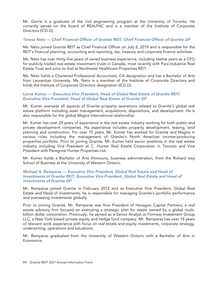Mr. Gorrie is a graduate of the civil engineering program at the University of Toronto. He currently serves on the board of REALPAC and is a member of the Institute of Corporate Directors (ICD.D).

### *Teresa Neto — Chief Financial Officer of Granite REIT; Chief Financial Officer of Granite GP*

Ms. Neto joined Granite REIT as Chief Financial Officer on July 8, 2019 and is responsible for the REIT's financial planning, accounting and reporting, tax, treasury and corporate finance activities.

Ms. Neto has over thirty-five years of varied business experience, including twelve years as a CFO for publicly-traded real estate investment trusts in Canada, most recently with Pure Industrial Real Estate Trust and prior to that at Northwest Healthcare Properties REIT.

Ms. Neto holds a Chartered Professional Accountant, CA designation and has a Bachelor of Arts from Laurentian University. Ms. Neto is a member of the Institute of Corporate Directors and holds the Institute of Corporate Directors designation (ICD.D).

### *Lorne Kumer — Executive Vice President, Head of Global Real Estate of Granite REIT; Executive Vice-President, Head of Global Real Estate of Granite GP*

Mr. Kumer oversees all aspects of Granite property operations related to Granite's global real estate platform including asset management, acquisitions, dispositions, and development. He is also responsible for the global Magna International relationship.

Mr. Kumer has over 25 years of experience in the real estate industry working for both public and private development companies. His experience includes property development, leasing, land planning and construction. For over 15 years, Mr. Kumer has worked for Granite and Magna in various roles including the management of Granite's North American income-producing properties portfolio. Prior to joining Granite, Mr. Kumer held senior positions in the real estate industry including Vice President at C. Hunter Real Estate Corporation in Toronto and Vice President with Peregrine Hunter Properties Ltd.

Mr. Kumer holds a Bachelor of Arts (Honours), business administration, from the Richard Ivey School of Business at the University of Western Ontario.

### *Michael A. Ramparas — Executive Vice President, Global Real Estate and Head of Investments of Granite REIT; Executive Vice-President, Global Real Estate and Head of Investments of Granite GP*

Mr. Ramparas joined Granite in February 2012 and as Executive Vice President, Global Real Estate and Head of Investments, he is responsible for managing Granite's portfolio performance and overseeing investments globally.

Prior to joining Granite, Mr. Ramparas was Vice President of Hexagon Capital Partners, a real estate advisory firm focused on executing a strategic plan for assets owned by a global multibillion dollar corporation. Previously, he served as a Senior Analyst at Fortress Investment Group LLC, a New York-based private equity and hedge fund company. Mr. Ramparas has over 18 years of relevant work experience with focus on real estate and equity investments, corporate strategy, underwriting, operations and valuations.

Mr. Ramparas graduated from the University of Western Ontario with a Bachelor of Arts in Economics.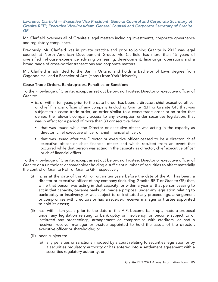### *Lawrence Clarfield — Executive Vice President, General Counsel and Corporate Secretary of Granite REIT; Executive Vice-President, General Counsel and Corporate Secretary of Granite GP*

Mr. Clarfield oversees all of Granite's legal matters including investments, corporate governance and regulatory compliance.

Previously, Mr. Clarfield was in private practice and prior to joining Granite in 2012 was legal counsel at North American Development Group. Mr. Clarfield has more than 15 years of diversified in-house experience advising on leasing, development, financings, operations and a broad range of cross-border transactions and corporate matters.

Mr. Clarfield is admitted to the Bar in Ontario and holds a Bachelor of Laws degree from Osgoode Hall and a Bachelor of Arts (Hons.) from York University.

#### Cease Trade Orders, Bankruptcies, Penalties or Sanctions

To the knowledge of Granite, except as set out below, no Trustee, Director or executive officer of Granite:

- is, or within ten years prior to the date hereof has been, a director, chief executive officer or chief financial officer of any company (including Granite REIT or Granite GP) that was subject to a cease trade order, an order similar to a cease trade order or an order that denied the relevant company access to any exemption under securities legislation, that was in effect for a period of more than 30 consecutive days:
	- that was issued while the Director or executive officer was acting in the capacity as director, chief executive officer or chief financial officer; or
	- that was issued after the Director or executive officer ceased to be a director, chief executive officer or chief financial officer and which resulted from an event that occurred while that person was acting in the capacity as director, chief executive officer or chief financial officer.

To the knowledge of Granite, except as set out below, no Trustee, Director or executive officer of Granite or a unitholder or shareholder holding a sufficient number of securities to affect materially the control of Granite REIT or Granite GP, respectively:

- (i) is, as at the date of this AIF or within ten years before the date of the AIF has been, a director or executive officer of any company (including Granite REIT or Granite GP) that, while that person was acting in that capacity, or within a year of that person ceasing to act in that capacity, became bankrupt, made a proposal under any legislation relating to bankruptcy or insolvency or was subject to or instituted any proceedings, arrangement or compromise with creditors or had a receiver, receiver manager or trustee appointed to hold its assets;
- (ii) has, within ten years prior to the date of this AIF, become bankrupt, made a proposal under any legislation relating to bankruptcy or insolvency, or become subject to or instituted any proceedings, arrangement or compromise with creditors, or had a receiver, receiver manager or trustee appointed to hold the assets of the director, executive officer or shareholder; or
- (iii) been subject to:
	- (a) any penalties or sanctions imposed by a court relating to securities legislation or by a securities regulatory authority or has entered into a settlement agreement with a securities regulatory authority; or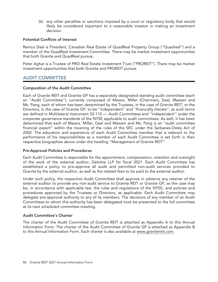(b) any other penalties or sanctions imposed by a court or regulatory body that would likely be considered important to a reasonable investor in making an investment decision.

## Potential Conflicts of Interest

Remco Daal is President, Canadian Real Estate of QuadReal Property Group (''Quadreal'') and a member of the QuadReal Investment Committee. There may be market investment opportunities that both Granite and QuadReal pursue.

Peter Aghar is a Trustee of PRO Real Estate Investment Trust ("PROREIT"). There may be market investment opportunities that both Granite and PROREIT pursue.

## AUDIT COMMITTEE

### Composition of the Audit Committee

Each of Granite REIT and Granite GP has a separately designated standing audit committee (each an ''Audit Committee''), currently composed of Messrs. Miller (Chairman), Daal, Mawani and Ms. Pang, each of whom has been determined by the Trustees, in the case of Granite REIT, or the Directors, in the case of Granite GP, to be ''independent'' and ''financially literate'', as such terms are defined in Multilateral Instrument 52-110 — *Audit Committees* and ''independent'' under the corporate governance standards of the NYSE applicable to audit committees. As well, it has been determined that each of Messrs. Miller, Daal and Mawani and Ms. Pang is an ''audit committee financial expert'' within the meaning of the rules of the SEC under the Sarbanes-Oxley Act of 2002. The education and experience of each Audit Committee member that is relevant to the performance of his responsibilities as a member of each Audit Committee is set forth in their respective biographies above under the heading ''Management of Granite REIT''.

#### Pre-Approval Policies and Procedures

Each Audit Committee is responsible for the appointment, compensation, retention and oversight of the work of the external auditor, Deloitte LLP for fiscal 2021. Each Audit Committee has established a policy to pre-approve all audit and permitted non-audit services provided to Granite by the external auditor, as well as the related fees to be paid to the external auditor.

Under such policy, the respective Audit Committee shall approve in advance any retainer of the external auditor to provide any non-audit service to Granite REIT or Granite GP, as the case may be, in accordance with applicable law, the rules and regulations of the NYSE, and policies and procedures approved by the Trustees or Directors, as applicable. Each Audit Committee may delegate pre-approval authority to any of its members. The decisions of any member of an Audit Committees to whom this authority has been delegated must be presented to the full committee at its next scheduled committee meeting.

#### Audit Committee's Charter

The charter of the Audit Committee of Granite REIT is attached as Appendix A to this Annual Information Form. The charter of the Audit Committee of Granite GP is attached as Appendix B to this Annual Information Form. Each charter is also available at [www.granitereit.com](http://www.granitereit.com).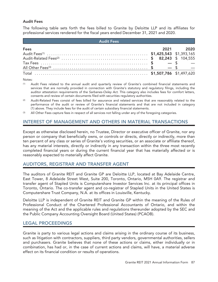### Audit Fees

The following table sets forth the fees billed to Granite by Deloitte LLP and its affiliates for professional services rendered for the fiscal years ended December 31, 2021 and 2020.

| <b>Audit Fees</b> |  |           |  |  |  |
|-------------------|--|-----------|--|--|--|
| <b>Fees</b>       |  | 2021 2020 |  |  |  |
|                   |  |           |  |  |  |
|                   |  |           |  |  |  |
|                   |  |           |  |  |  |
|                   |  |           |  |  |  |
|                   |  |           |  |  |  |

Notes:

- (1) Audit Fees related to the annual audit and quarterly review of Granite's combined financial statements and services that are normally provided in connection with Granite's statutory and regulatory filings, including the auditor attestation requirements of the *Sarbanes-Oxley Act*. This category also includes fees for comfort letters, consents and review of certain documents filed with securities regulatory authorities.
- (2) Audit-Related Fees consist of fees billed for assurance and related services that are reasonably related to the performance of the audit or review of Granite's financial statements and that are not included in category (1) above. They include fees for the audit of certain subsidiary financial statements.
- (3) All Other Fees capture fees in respect of all services not falling under any of the foregoing categories.

## INTEREST OF MANAGEMENT AND OTHERS IN MATERIAL TRANSACTIONS

Except as otherwise disclosed herein, no Trustee, Director or executive officer of Granite, nor any person or company that beneficially owns, or controls or directs, directly or indirectly, more than ten percent of any class or series of Granite's voting securities, or an associate or affiliate thereof, has any material interests, directly or indirectly in any transaction within the three most recently completed financial years or during the current financial year that has materially affected or is reasonably expected to materially affect Granite.

## AUDITORS, REGISTRAR AND TRANSFER AGENT

The auditors of Granite REIT and Granite GP are Deloitte LLP, located at Bay Adelaide Centre, East Tower, 8 Adelaide Street West, Suite 200, Toronto, Ontario, M5H 0A9. The registrar and transfer agent of Stapled Units is Computershare Investor Services Inc. at its principal offices in Toronto, Ontario. The co-transfer agent and co-registrar of Stapled Units in the United States is Computershare Trust Company, N.A. at its offices in Louisville, Kentucky.

Deloitte LLP is independent of Granite REIT and Granite GP within the meaning of the Rules of Professional Conduct of the Chartered Professional Accountants of Ontario, and within the meaning of the Act and the applicable rules and regulations thereunder adopted by the SEC and the Public Company Accounting Oversight Board (United States) (PCAOB).

### LEGAL PROCEEDINGS

Granite is party to various legal actions and claims arising in the ordinary course of its business, such as litigation with contractors, suppliers, third party vendors, governmental authorities, sellers and purchasers. Granite believes that none of these actions or claims, either individually or in combination, has had or, in the case of current actions and claims, will have, a material adverse effect on its financial condition or results of operations.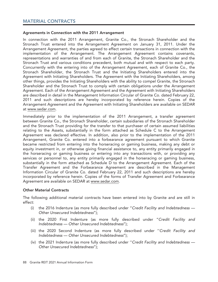### Agreements in Connection with the 2011 Arrangement

In connection with the 2011 Arrangement, Granite Co., the Stronach Shareholder and the Stronach Trust entered into the Arrangement Agreement on January 31, 2011. Under the Arrangement Agreement, the parties agreed to effect certain transactions in connection with the implementation of the Arrangement. The Arrangement Agreement contains covenants, representations and warranties of and from each of Granite, the Stronach Shareholder and the Stronach Trust and various conditions precedent, both mutual and with respect to each party. Concurrently with the entering into of the Arrangement Agreement, each of Granite Co., the Stronach Shareholder, the Stronach Trust and the Initiating Shareholders entered into the Agreement with Initiating Shareholders. The Agreement with the Initiating Shareholders, among other things, provides the Initiating Shareholders with the ability to compel Granite, the Stronach Shareholder and the Stronach Trust to comply with certain obligations under the Arrangement Agreement. Each of the Arrangement Agreement and the Agreement with Initiating Shareholders are described in detail in the Management Information Circular of Granite Co. dated February 22, 2011 and such descriptions are hereby incorporated by reference herein. Copies of the Arrangement Agreement and the Agreement with Initiating Shareholders are available on SEDAR at [www.sedar.com.](http://www.sedar.com)

Immediately prior to the implementation of the 2011 Arrangement, a transfer agreement between Granite Co., the Stronach Shareholder, certain subsidiaries of the Stronach Shareholder and the Stronach Trust providing for the transfer to that purchaser of certain assumed liabilities relating to the Assets, substantially in the form attached as Schedule C to the Arrangement Agreement was declared effective. In addition, also prior to the implementation of the 2011 Arrangement, Granite Co. entered into a forbearance agreement pursuant to which Granite became restricted from entering into the horseracing or gaming business, making any debt or equity investment in, or otherwise giving financial assistance to, any entity primarily engaged in the horseracing or gaming business or entering into any transactions with, or providing any services or personnel to, any entity primarily engaged in the horseracing or gaming business, substantially in the form attached as Schedule D to the Arrangement Agreement. Each of the Transfer Agreement and the Forbearance Agreement are described in the Management Information Circular of Granite Co. dated February 22, 2011 and such descriptions are hereby incorporated by reference herein. Copies of the forms of Transfer Agreement and Forbearance Agreement are available on SEDAR at [www.sedar.com.](http://www.sedar.com)

### Other Material Contracts

The following additional material contracts have been entered into by Granite and are still in effect:

- (i) the 2016 Indenture (as more fully described under "*Credit Facility and Indebtedness Other Unsecured Indebtedness*");
- (ii) the 2020 First Indenture (as more fully described under "*Credit Facility and Indebtedness — Other Unsecured Indebtedness*");
- (iii) the 2020 Second Indenture (as more fully described under ''*Credit Facility and Indebtedness — Other Unsecured Indebtedness*");
- (iv) the 2021 Indenture (as more fully described under ''*Credit Facility and Indebtedness Other Unsecured Indebtedness*");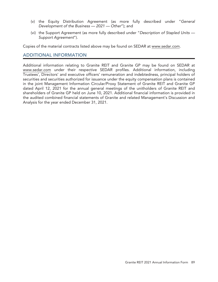- (v) the Equity Distribution Agreement (as more fully described under "*General Development of the Business — 2021 — Other*"); and
- (vi) the Support Agreement (as more fully described under "*Description of Stapled Units Support Agreement*").

Copies of the material contracts listed above may be found on SEDAR at [www.sedar.com.](http://www.sedar.com)

## ADDITIONAL INFORMATION

Additional information relating to Granite REIT and Granite GP may be found on SEDAR at [www.sedar.com](http://www.sedar.com) under their respective SEDAR profiles. Additional information, including Trustees', Directors' and executive officers' remuneration and indebtedness, principal holders of securities and securities authorized for issuance under the equity compensation plans is contained in the joint Management Information Circular/Proxy Statement of Granite REIT and Granite GP dated April 12, 2021 for the annual general meetings of the unitholders of Granite REIT and shareholders of Granite GP held on June 10, 2021. Additional financial information is provided in the audited combined financial statements of Granite and related Management's Discussion and Analysis for the year ended December 31, 2021.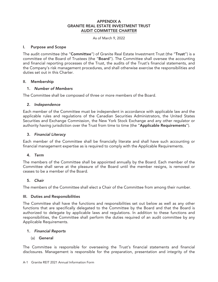## APPENDIX A GRANITE REAL ESTATE INVESTMENT TRUST AUDIT COMMITTEE CHARTER

As of March 9, 2022

### I. Purpose and Scope

The audit committee (the "Committee") of Granite Real Estate Investment Trust (the "Trust") is a committee of the Board of Trustees (the "Board"). The Committee shall oversee the accounting and financial reporting processes of the Trust, the audits of the Trust's financial statements, and the Company's risk management procedures, and shall otherwise exercise the responsibilities and duties set out in this Charter.

### II. Membership

### 1. *Number of Members*

The Committee shall be composed of three or more members of the Board.

### 2. *Independence*

Each member of the Committee must be independent in accordance with applicable law and the applicable rules and regulations of the Canadian Securities Administrators, the United States Securities and Exchange Commission, the New York Stock Exchange and any other regulator or authority having jurisdiction over the Trust from time to time (the "Applicable Requirements").

### 3. *Financial Literacy*

Each member of the Committee shall be financially literate and shall have such accounting or financial management expertise as is required to comply with the Applicable Requirements.

### 4. *Term*

The members of the Committee shall be appointed annually by the Board. Each member of the Committee shall serve at the pleasure of the Board until the member resigns, is removed or ceases to be a member of the Board.

### 5. *Chair*

The members of the Committee shall elect a Chair of the Committee from among their number.

#### III. Duties and Responsibilities

The Committee shall have the functions and responsibilities set out below as well as any other functions that are specifically delegated to the Committee by the Board and that the Board is authorized to delegate by applicable laws and regulations. In addition to these functions and responsibilities, the Committee shall perform the duties required of an audit committee by any Applicable Requirements.

#### 1. *Financial Reports*

### (a) General

The Committee is responsible for overseeing the Trust's financial statements and financial disclosures. Management is responsible for the preparation, presentation and integrity of the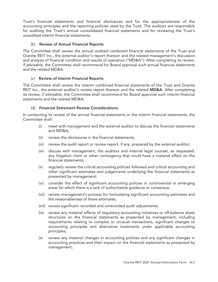Trust's financial statements and financial disclosures and for the appropriateness of the accounting principles and the reporting policies used by the Trust. The auditors are responsible for auditing the Trust's annual consolidated financial statements and for reviewing the Trust's unaudited interim financial statements.

## (b) Review of Annual Financial Reports

The Committee shall review the annual audited combined financial statements of the Trust and Granite REIT Inc., the external auditor's report thereon and the related management's discussion and analysis of financial condition and results of operation ("MD&A"). After completing its review, if advisable, the Committee shall recommend for Board approval such annual financial statements and the related MD&A.

## (c) Review of Interim Financial Reports

The Committee shall review the interim combined financial statements of the Trust and Granite REIT Inc., the external auditor's review report thereon and the related MD&A. After completing its review, if advisable, the Committee shall recommend for Board approval such interim financial statements and the related MD&A.

## (d) Financial Statement Review Considerations

In conducting its review of the annual financial statements or the interim financial statements, the Committee shall:

- (i) meet with management and the external auditor to discuss the financial statements and MD&A;
- (ii) review the disclosures in the financial statements;
- (iii) review the audit report or review report, if any, prepared by the external auditor;
- (iv) discuss with management, the auditors and internal legal counsel, as requested, any litigation claim or other contingency that could have a material effect on the financial statements;
- (v) regularly review the critical accounting policies followed and critical accounting and other significant estimates and judgements underlying the financial statements as presented by management;
- (vi) consider the effect of significant accounting policies in controversial or emerging areas for which there is a lack of authoritative guidance or consensus;
- (vii) review management's process for formulating significant accounting estimates and the reasonableness of these estimates;
- (viii) review significant recorded and unrecorded audit adjustments;
- (ix) review any material effects of regulatory accounting initiatives or off-balance sheet structures on the financial statements as presented by management, including requirements relating to complex or unusual transactions, significant changes to accounting principles and alternative treatments under applicable accounting principles;
- (x) review any material changes in accounting policies and any significant changes in accounting practices and their impact on the financial statements as presented by management;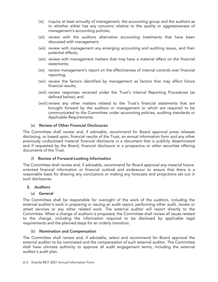- (xi) inquire at least annually of management, the accounting group and the auditors as to whether either has any concerns relative to the quality or aggressiveness of management's accounting policies;
- (xii) review with the auditors alternative accounting treatments that have been discussed with management;
- (xiii) review with management any emerging accounting and auditing issues, and their potential effects;
- (xiv) review with management matters that may have a material effect on the financial statements;
- (xv) review management's report on the effectiveness of internal controls over financial reporting;
- (xvi) review the factors identified by management as factors that may affect future financial results;
- (xvii) review responses received under the Trust's Internal Reporting Procedures (as defined below); and
- (xviii) review any other matters related to the Trust's financial statements that are brought forward by the auditors or management or which are required to be communicated to the Committee under accounting policies, auditing standards or Applicable Requirements.

## (e) Review of Other Financial Disclosures

The Committee shall review and, if advisable, recommend for Board approval press releases disclosing, or based upon, financial results of the Trust, an annual information form and any other previously undisclosed material financial disclosure in a document that is publicly disseminated and if requested by the Board, financial disclosure in a prospectus or other securities offering documents of the Trust.

### (f) Review of Forward-Looking Information

The Committee shall review and, if advisable, recommend for Board approval any material futureoriented financial information or financial outlook and endeavour to ensure that there is a reasonable basis for drawing any conclusions or making any forecasts and projections set out in such disclosures.

## 2*. Auditors*

### (a) General

The Committee shall be responsible for oversight of the work of the auditors, including the external auditor's work in preparing or issuing an audit report, performing other audit, review or attest services or any other related work. The external auditor will report directly to the Committee. When a change of auditors is proposed, the Committee shall review all issues related to the change, including the information required to be disclosed by applicable legal requirements and the planned steps for an orderly transition.

### (b) Nomination and Compensation

The Committee shall review and, if advisable, select and recommend for Board approval the external auditor to be nominated and the compensation of such external auditor. The Committee shall have ultimate authority to approve all audit engagement terms, including the external auditor's audit plan.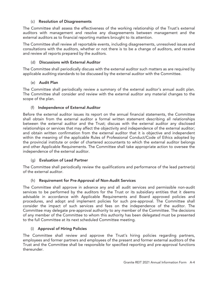## (c) Resolution of Disagreements

The Committee shall assess the effectiveness of the working relationship of the Trust's external auditors with management and resolve any disagreements between management and the external auditors as to financial reporting matters brought to its attention.

The Committee shall review all reportable events, including disagreements, unresolved issues and consultations with the auditors, whether or not there is to be a change of auditors, and receive and review all reports prepared by the auditors.

## (d) Discussions with External Auditor

The Committee shall periodically discuss with the external auditor such matters as are required by applicable auditing standards to be discussed by the external auditor with the Committee.

## (e) Audit Plan

The Committee shall periodically review a summary of the external auditor's annual audit plan. The Committee shall consider and review with the external auditor any material changes to the scope of the plan.

## (f) Independence of External Auditor

Before the external auditor issues its report on the annual financial statements, the Committee shall obtain from the external auditor a formal written statement describing all relationships between the external auditor and the Trust; discuss with the external auditor any disclosed relationships or services that may affect the objectivity and independence of the external auditor; and obtain written confirmation from the external auditor that it is objective and independent within the meaning of the applicable Rules of Professional Conduct/Code of Ethics adopted by the provincial institute or order of chartered accountants to which the external auditor belongs and other Applicable Requirements. The Committee shall take appropriate action to oversee the independence of the external auditor.

## (g) Evaluation of Lead Partner

The Committee shall periodically review the qualifications and performance of the lead partner(s) of the external auditor.

## (h) Requirement for Pre-Approval of Non-Audit Services

The Committee shall approve in advance any and all audit services and permissible non-audit services to be performed by the auditors for the Trust or its subsidiary entities that it deems advisable in accordance with Applicable Requirements and Board approved policies and procedures, and adopt and implement policies for such pre-approval. The Committee shall consider the impact of such services and fees on the independence of the auditor. The Committee may delegate pre-approval authority to any member of the Committee. The decisions of any member of the Committee to whom this authority has been delegated must be presented to the full Committee at its next scheduled Committee meeting.

### (i) Approval of Hiring Policies

The Committee shall review and approve the Trust's hiring policies regarding partners, employees and former partners and employees of the present and former external auditors of the Trust and the Committee shall be responsible for specified reporting and pre-approval functions thereunder.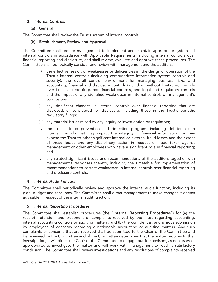## 3*. Internal Controls*

## (a) General

The Committee shall review the Trust's system of internal controls.

## (b) Establishment, Review and Approval

The Committee shall require management to implement and maintain appropriate systems of internal controls in accordance with Applicable Requirements, including internal controls over financial reporting and disclosure, and shall review, evaluate and approve these procedures. The Committee shall periodically consider and review with management and the auditors:

- (i) the effectiveness of, or weaknesses or deficiencies in: the design or operation of the Trust's internal controls (including computerized information system controls and security); the overall control environment for managing business risks; and accounting, financial and disclosure controls (including, without limitation, controls over financial reporting), non-financial controls, and legal and regulatory controls and the impact of any identified weaknesses in internal controls on management's conclusions;
- (ii) any significant changes in internal controls over financial reporting that are disclosed, or considered for disclosure, including those in the Trust's periodic regulatory filings;
- (iii) any material issues raised by any inquiry or investigation by regulators;
- (iv) the Trust's fraud prevention and detection program, including deficiencies in internal controls that may impact the integrity of financial information, or may expose the Trust to other significant internal or external fraud losses and the extent of those losses and any disciplinary action in respect of fraud taken against management or other employees who have a significant role in financial reporting; and
- (v) any related significant issues and recommendations of the auditors together with management's responses thereto, including the timetable for implementation of recommendations to correct weaknesses in internal controls over financial reporting and disclosure controls.

## 4*. Internal Audit Function*

The Committee shall periodically review and approve the internal audit function, including its plan, budget and resources. The Committee shall direct management to make changes it deems advisable in respect of the internal audit function.

## 5*. Internal Reporting Procedures*

The Committee shall establish procedures (the "Internal Reporting Procedures") for (a) the receipt, retention, and treatment of complaints received by the Trust regarding accounting, internal accounting controls or auditing matters; and (b) the confidential, anonymous submission by employees of concerns regarding questionable accounting or auditing matters. Any such complaints or concerns that are received shall be submitted to the Chair of the Committee and be reviewed by the Committee and, if the Committee determines that the matter requires further investigation, it will direct the Chair of the Committee to engage outside advisors, as necessary or appropriate, to investigate the matter and will work with management to reach a satisfactory conclusion. The Committee shall review investigations and any resolutions of complaints received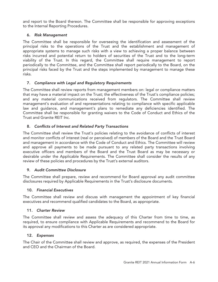and report to the Board thereon. The Committee shall be responsible for approving exceptions to the Internal Reporting Procedures.

## 6*. Risk Management*

The Committee shall be responsible for overseeing the identification and assessment of the principal risks to the operations of the Trust and the establishment and management of appropriate systems to manage such risks with a view to achieving a proper balance between risks incurred and potential return to holders of securities of the Trust and to the long-term viability of the Trust. In this regard, the Committee shall require management to report periodically to the Committee, and the Committee shall report periodically to the Board, on the principal risks faced by the Trust and the steps implemented by management to manage these risks.

## 7*. Compliance with Legal and Regulatory Requirements*

The Committee shall review reports from management members on: legal or compliance matters that may have a material impact on the Trust; the effectiveness of the Trust's compliance policies; and any material communications received from regulators. The Committee shall review management's evaluation of and representations relating to compliance with specific applicable law and guidance, and management's plans to remediate any deficiencies identified. The Committee shall be responsible for granting waivers to the Code of Conduct and Ethics of the Trust and Granite REIT Inc.

## 8*. Conflicts of Interest and Related Party Transactions*

The Committee shall review the Trust's policies relating to the avoidance of conflicts of interest and monitor conflicts of interest (real or perceived) of members of the Board and the Trust Board and management in accordance with the Code of Conduct and Ethics. The Committee will review and approve all payments to be made pursuant to any related party transactions involving executive officers and members of the Board and the Trust Board as may be necessary or desirable under the Applicable Requirements. The Committee shall consider the results of any review of these policies and procedures by the Trust's external auditors.

## 9. *Audit Committee Disclosure*

The Committee shall prepare, review and recommend for Board approval any audit committee disclosures required by Applicable Requirements in the Trust's disclosure documents.

## 10*. Financial Executives*

The Committee shall review and discuss with management the appointment of key financial executives and recommend qualified candidates to the Board, as appropriate.

## 11*. Charter Review*

The Committee shall review and assess the adequacy of this Charter from time to time, as required, to ensure compliance with Applicable Requirements and recommend to the Board for its approval any modifications to this Charter as are considered appropriate.

## 12*. Expenses*

The Chair of the Committee shall review and approve, as required, the expenses of the President and CEO and the Chairman of the Board.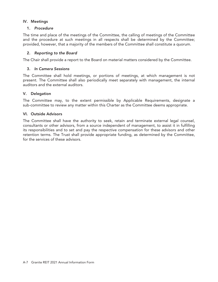### IV. Meetings

## 1*. Procedure*

The time and place of the meetings of the Committee, the calling of meetings of the Committee and the procedure at such meetings in all respects shall be determined by the Committee; provided, however, that a majority of the members of the Committee shall constitute a quorum.

## 2*. Reporting to the Board*

The Chair shall provide a report to the Board on material matters considered by the Committee.

### 3*. In Camera Sessions*

The Committee shall hold meetings, or portions of meetings, at which management is not present. The Committee shall also periodically meet separately with management, the internal auditors and the external auditors.

## V. Delegation

The Committee may, to the extent permissible by Applicable Requirements, designate a sub-committee to review any matter within this Charter as the Committee deems appropriate.

### VI. Outside Advisors

The Committee shall have the authority to seek, retain and terminate external legal counsel, consultants or other advisors, from a source independent of management, to assist it in fulfilling its responsibilities and to set and pay the respective compensation for these advisors and other retention terms. The Trust shall provide appropriate funding, as determined by the Committee, for the services of these advisors.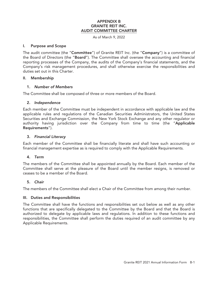### APPENDIX B GRANITE REIT INC. AUDIT COMMITTEE CHARTER

As of March 9, 2022

### I. Purpose and Scope

The audit committee (the "Committee") of Granite REIT Inc. (the "Company") is a committee of the Board of Directors (the "Board"). The Committee shall oversee the accounting and financial reporting processes of the Company, the audits of the Company's financial statements, and the Company's risk management procedures, and shall otherwise exercise the responsibilities and duties set out in this Charter.

### II. Membership

### 1. *Number of Members*

The Committee shall be composed of three or more members of the Board.

### 2. *Independence*

Each member of the Committee must be independent in accordance with applicable law and the applicable rules and regulations of the Canadian Securities Administrators, the United States Securities and Exchange Commission, the New York Stock Exchange and any other regulator or authority having jurisdiction over the Company from time to time (the "Applicable Requirements").

### 3. *Financial Literacy*

Each member of the Committee shall be financially literate and shall have such accounting or financial management expertise as is required to comply with the Applicable Requirements.

### 4. *Term*

The members of the Committee shall be appointed annually by the Board. Each member of the Committee shall serve at the pleasure of the Board until the member resigns, is removed or ceases to be a member of the Board.

### 5. *Chair*

The members of the Committee shall elect a Chair of the Committee from among their number.

#### III. Duties and Responsibilities

The Committee shall have the functions and responsibilities set out below as well as any other functions that are specifically delegated to the Committee by the Board and that the Board is authorized to delegate by applicable laws and regulations. In addition to these functions and responsibilities, the Committee shall perform the duties required of an audit committee by any Applicable Requirements.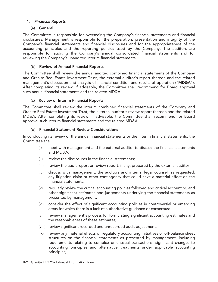## 1*. Financial Reports*

## (a) General

The Committee is responsible for overseeing the Company's financial statements and financial disclosures. Management is responsible for the preparation, presentation and integrity of the Company's financial statements and financial disclosures and for the appropriateness of the accounting principles and the reporting policies used by the Company. The auditors are responsible for auditing the Company's annual consolidated financial statements and for reviewing the Company's unaudited interim financial statements.

## (b) Review of Annual Financial Reports

The Committee shall review the annual audited combined financial statements of the Company and Granite Real Estate Investment Trust, the external auditor's report thereon and the related management's discussion and analysis of financial condition and results of operation ("MD&A"). After completing its review, if advisable, the Committee shall recommend for Board approval such annual financial statements and the related MD&A.

### (c) Review of Interim Financial Reports

The Committee shall review the interim combined financial statements of the Company and Granite Real Estate Investment Trust, the external auditor's review report thereon and the related MD&A. After completing its review, if advisable, the Committee shall recommend for Board approval such interim financial statements and the related MD&A.

### (d) Financial Statement Review Considerations

In conducting its review of the annual financial statements or the interim financial statements, the Committee shall:

- (i) meet with management and the external auditor to discuss the financial statements and MD&A;
- (ii) review the disclosures in the financial statements;
- (iii) review the audit report or review report, if any, prepared by the external auditor;
- (iv) discuss with management, the auditors and internal legal counsel, as requested, any litigation claim or other contingency that could have a material effect on the financial statements;
- (v) regularly review the critical accounting policies followed and critical accounting and other significant estimates and judgements underlying the financial statements as presented by management;
- (vi) consider the effect of significant accounting policies in controversial or emerging areas for which there is a lack of authoritative guidance or consensus;
- (vii) review management's process for formulating significant accounting estimates and the reasonableness of these estimates;
- (viii) review significant recorded and unrecorded audit adjustments;
- (ix) review any material effects of regulatory accounting initiatives or off-balance sheet structures on the financial statements as presented by management, including requirements relating to complex or unusual transactions, significant changes to accounting principles and alternative treatments under applicable accounting principles;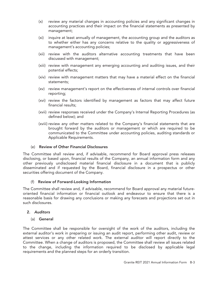- (x) review any material changes in accounting policies and any significant changes in accounting practices and their impact on the financial statements as presented by management;
- (xi) inquire at least annually of management, the accounting group and the auditors as to whether either has any concerns relative to the quality or aggressiveness of management's accounting policies;
- (xii) review with the auditors alternative accounting treatments that have been discussed with management;
- (xiii) review with management any emerging accounting and auditing issues, and their potential effects;
- (xiv) review with management matters that may have a material effect on the financial statements;
- (xv) review management's report on the effectiveness of internal controls over financial reporting;
- (xvi) review the factors identified by management as factors that may affect future financial results;
- (xvii) review responses received under the Company's Internal Reporting Procedures (as defined below); and
- (xviii) review any other matters related to the Company's financial statements that are brought forward by the auditors or management or which are required to be communicated to the Committee under accounting policies, auditing standards or Applicable Requirements.

### (e) Review of Other Financial Disclosures

The Committee shall review and, if advisable, recommend for Board approval press releases disclosing, or based upon, financial results of the Company, an annual information form and any other previously undisclosed material financial disclosure in a document that is publicly disseminated and if requested by the Board, financial disclosure in a prospectus or other securities offering document of the Company.

### (f) Review of Forward-Looking Information

The Committee shall review and, if advisable, recommend for Board approval any material futureoriented financial information or financial outlook and endeavour to ensure that there is a reasonable basis for drawing any conclusions or making any forecasts and projections set out in such disclosures.

## 2. *Auditors*

(a) General

The Committee shall be responsible for oversight of the work of the auditors, including the external auditor's work in preparing or issuing an audit report, performing other audit, review or attest services or any other related work. The external auditor will report directly to the Committee. When a change of auditors is proposed, the Committee shall review all issues related to the change, including the information required to be disclosed by applicable legal requirements and the planned steps for an orderly transition.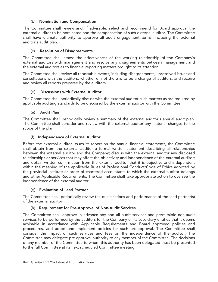## (b) Nomination and Compensation

The Committee shall review and, if advisable, select and recommend for Board approval the external auditor to be nominated and the compensation of such external auditor. The Committee shall have ultimate authority to approve all audit engagement terms, including the external auditor's audit plan.

## (c) Resolution of Disagreements

The Committee shall assess the effectiveness of the working relationship of the Company's external auditors with management and resolve any disagreements between management and the external auditors as to financial reporting matters brought to its attention.

The Committee shall review all reportable events, including disagreements, unresolved issues and consultations with the auditors, whether or not there is to be a change of auditors, and receive and review all reports prepared by the auditors.

## (d) Discussions with External Auditor

The Committee shall periodically discuss with the external auditor such matters as are required by applicable auditing standards to be discussed by the external auditor with the Committee.

## (e) Audit Plan

The Committee shall periodically review a summary of the external auditor's annual audit plan. The Committee shall consider and review with the external auditor any material changes to the scope of the plan.

## (f) Independence of External Auditor

Before the external auditor issues its report on the annual financial statements, the Committee shall obtain from the external auditor a formal written statement describing all relationships between the external auditor and the Company; discuss with the external auditor any disclosed relationships or services that may affect the objectivity and independence of the external auditor; and obtain written confirmation from the external auditor that it is objective and independent within the meaning of the applicable Rules of Professional Conduct/Code of Ethics adopted by the provincial institute or order of chartered accountants to which the external auditor belongs and other Applicable Requirements. The Committee shall take appropriate action to oversee the independence of the external auditor.

### (g) Evaluation of Lead Partner

The Committee shall periodically review the qualifications and performance of the lead partner(s) of the external auditor.

## (h) Requirement for Pre-Approval of Non-Audit Services

The Committee shall approve in advance any and all audit services and permissible non-audit services to be performed by the auditors for the Company or its subsidiary entities that it deems advisable in accordance with Applicable Requirements and Board approved policies and procedures, and adopt and implement policies for such pre-approval. The Committee shall consider the impact of such services and fees on the independence of the auditor. The Committee may delegate pre-approval authority to any member of the Committee. The decisions of any member of the Committee to whom this authority has been delegated must be presented to the full Committee at its next scheduled Committee meeting.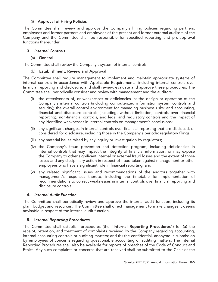## (i) Approval of Hiring Policies

The Committee shall review and approve the Company's hiring policies regarding partners, employees and former partners and employees of the present and former external auditors of the Company and the Committee shall be responsible for specified reporting and pre-approval functions thereunder.

## 3. *Internal Controls*

## (a) General

The Committee shall review the Company's system of internal controls.

## (b) Establishment, Review and Approval

The Committee shall require management to implement and maintain appropriate systems of internal controls in accordance with Applicable Requirements, including internal controls over financial reporting and disclosure, and shall review, evaluate and approve these procedures. The Committee shall periodically consider and review with management and the auditors:

- (i) the effectiveness of, or weaknesses or deficiencies in: the design or operation of the Company's internal controls (including computerized information system controls and security); the overall control environment for managing business risks; and accounting, financial and disclosure controls (including, without limitation, controls over financial reporting), non-financial controls, and legal and regulatory controls and the impact of any identified weaknesses in internal controls on management's conclusions;
- (ii) any significant changes in internal controls over financial reporting that are disclosed, or considered for disclosure, including those in the Company's periodic regulatory filings;
- (iii) any material issues raised by any inquiry or investigation by regulators;
- (iv) the Company's fraud prevention and detection program, including deficiencies in internal controls that may impact the integrity of financial information, or may expose the Company to other significant internal or external fraud losses and the extent of those losses and any disciplinary action in respect of fraud taken against management or other employees who have a significant role in financial reporting; and
- (v) any related significant issues and recommendations of the auditors together with management's responses thereto, including the timetable for implementation of recommendations to correct weaknesses in internal controls over financial reporting and disclosure controls.

### 4. *Internal Audit Function*

The Committee shall periodically review and approve the internal audit function, including its plan, budget and resources. The Committee shall direct management to make changes it deems advisable in respect of the internal audit function.

### 5*.* I*nternal Reporting Procedures*

The Committee shall establish procedures (the "Internal Reporting Procedures") for (a) the receipt, retention, and treatment of complaints received by the Company regarding accounting, internal accounting controls or auditing matters; and (b) the confidential, anonymous submission by employees of concerns regarding questionable accounting or auditing matters. The Internal Reporting Procedures shall also be available for reports of breaches of the Code of Conduct and Ethics. Any such complaints or concerns that are received shall be submitted to the Chair of the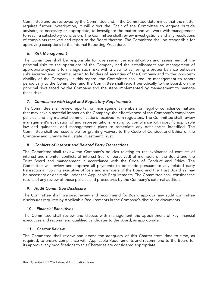Committee and be reviewed by the Committee and, if the Committee determines that the matter requires further investigation, it will direct the Chair of the Committee to engage outside advisors, as necessary or appropriate, to investigate the matter and will work with management to reach a satisfactory conclusion. The Committee shall review investigations and any resolutions of complaints received and report to the Board thereon. The Committee shall be responsible for approving exceptions to the Internal Reporting Procedures.

## 6*. Risk Management*

The Committee shall be responsible for overseeing the identification and assessment of the principal risks to the operations of the Company and the establishment and management of appropriate systems to manage such risks with a view to achieving a proper balance between risks incurred and potential return to holders of securities of the Company and to the long-term viability of the Company. In this regard, the Committee shall require management to report periodically to the Committee, and the Committee shall report periodically to the Board, on the principal risks faced by the Company and the steps implemented by management to manage these risks.

## 7*. Compliance with Legal and Regulatory Requirements*

The Committee shall review reports from management members on: legal or compliance matters that may have a material impact on the Company; the effectiveness of the Company's compliance policies; and any material communications received from regulators. The Committee shall review management's evaluation of and representations relating to compliance with specific applicable law and guidance, and management's plans to remediate any deficiencies identified. The Committee shall be responsible for granting waivers to the Code of Conduct and Ethics of the Company and Granite Real Estate Investment Trust.

## 8*. Conflicts of Interest and Related Party Transactions*

The Committee shall review the Company's policies relating to the avoidance of conflicts of interest and monitor conflicts of interest (real or perceived) of members of the Board and the Trust Board and management in accordance with the Code of Conduct and Ethics. The Committee will review and approve all payments to be made pursuant to any related party transactions involving executive officers and members of the Board and the Trust Board as may be necessary or desirable under the Applicable Requirements. The Committee shall consider the results of any review of these policies and procedures by the Company's external auditors.

## 9*. Audit Committee Disclosure*

The Committee shall prepare, review and recommend for Board approval any audit committee disclosures required by Applicable Requirements in the Company's disclosure documents.

## 10*. Financial Executives*

The Committee shall review and discuss with management the appointment of key financial executives and recommend qualified candidates to the Board, as appropriate.

## 11*. Charter Review*

The Committee shall review and assess the adequacy of this Charter from time to time, as required, to ensure compliance with Applicable Requirements and recommend to the Board for its approval any modifications to this Charter as are considered appropriate.